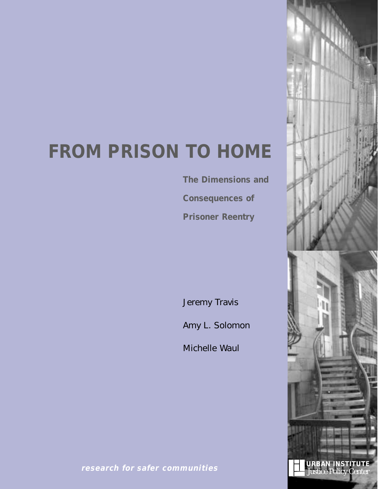# **FROM PRISON TO HOME**

**The Dimensions and**

**Consequences of**

**Prisoner Reentry**

Jeremy Travis

Amy L. Solomon

Michelle Waul



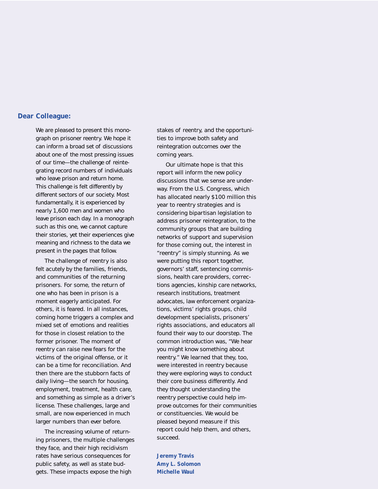### **Dear Colleague:**

We are pleased to present this monograph on prisoner reentry. We hope it can inform a broad set of discussions about one of the most pressing issues of our time—the challenge of reintegrating record numbers of individuals who leave prison and return home. This challenge is felt differently by different sectors of our society. Most fundamentally, it is experienced by nearly 1,600 men and women who leave prison each day. In a monograph such as this one, we cannot capture their stories, yet their experiences give meaning and richness to the data we present in the pages that follow.

The challenge of reentry is also felt acutely by the families, friends, and communities of the returning prisoners. For some, the return of one who has been in prison is a moment eagerly anticipated. For others, it is feared. In all instances, coming home triggers a complex and mixed set of emotions and realities for those in closest relation to the former prisoner. The moment of reentry can raise new fears for the victims of the original offense, or it can be a time for reconciliation. And then there are the stubborn facts of daily living—the search for housing, employment, treatment, health care, and something as simple as a driver's license. These challenges, large and small, are now experienced in much larger numbers than ever before.

The increasing volume of returning prisoners, the multiple challenges they face, and their high recidivism rates have serious consequences for public safety, as well as state budgets. These impacts expose the high

stakes of reentry, and the opportunities to improve both safety and reintegration outcomes over the coming years.

Our ultimate hope is that this report will inform the new policy discussions that we sense are underway. From the U.S. Congress, which has allocated nearly \$100 million this year to reentry strategies and is considering bipartisan legislation to address prisoner reintegration, to the community groups that are building networks of support and supervision for those coming out, the interest in "reentry" is simply stunning. As we were putting this report together, governors' staff, sentencing commissions, health care providers, corrections agencies, kinship care networks, research institutions, treatment advocates, law enforcement organizations, victims' rights groups, child development specialists, prisoners' rights associations, and educators all found their way to our doorstep. The common introduction was, "We hear you might know something about reentry." We learned that they, too, were interested in reentry because they were exploring ways to conduct their core business differently. And they thought understanding the reentry perspective could help improve outcomes for their communities or constituencies. We would be pleased beyond measure if this report could help them, and others, succeed.

**Jeremy Travis Amy L. Solomon Michelle Waul**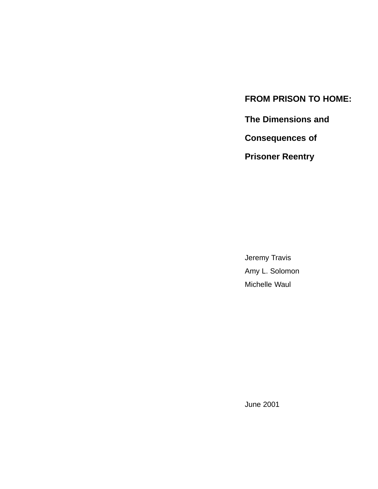# **FROM PRISON TO HOME:**

**The Dimensions and**

**Consequences of**

**Prisoner Reentry**

Jeremy Travis Amy L. Solomon Michelle Waul

June 2001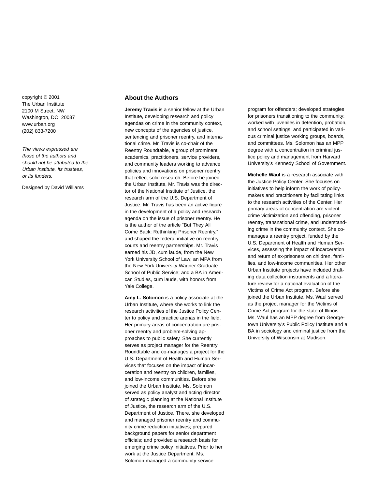copyright © 2001 The Urban Institute 2100 M Street, NW Washington, DC 20037 www.urban.org (202) 833-7200

The views expressed are those of the authors and should not be attributed to the Urban Institute, its trustees, or its funders.

Designed by David Williams

### **About the Authors**

**Jeremy Travis** is a senior fellow at the Urban Institute, developing research and policy agendas on crime in the community context, new concepts of the agencies of justice, sentencing and prisoner reentry, and international crime. Mr. Travis is co-chair of the Reentry Roundtable, a group of prominent academics, practitioners, service providers, and community leaders working to advance policies and innovations on prisoner reentry that reflect solid research. Before he joined the Urban Institute, Mr. Travis was the director of the National Institute of Justice, the research arm of the U.S. Department of Justice. Mr. Travis has been an active figure in the development of a policy and research agenda on the issue of prisoner reentry. He is the author of the article "But They All Come Back: Rethinking Prisoner Reentry," and shaped the federal initiative on reentry courts and reentry partnerships. Mr. Travis earned his JD, cum laude, from the New York University School of Law; an MPA from the New York University Wagner Graduate School of Public Service; and a BA in American Studies, cum laude, with honors from Yale College.

**Amy L. Solomon** is a policy associate at the Urban Institute, where she works to link the research activities of the Justice Policy Center to policy and practice arenas in the field. Her primary areas of concentration are prisoner reentry and problem-solving approaches to public safety. She currently serves as project manager for the Reentry Roundtable and co-manages a project for the U.S. Department of Health and Human Services that focuses on the impact of incarceration and reentry on children, families, and low-income communities. Before she joined the Urban Institute, Ms. Solomon served as policy analyst and acting director of strategic planning at the National Institute of Justice, the research arm of the U.S. Department of Justice. There, she developed and managed prisoner reentry and community crime reduction initiatives; prepared background papers for senior department officials; and provided a research basis for emerging crime policy initiatives. Prior to her work at the Justice Department, Ms. Solomon managed a community service

program for offenders; developed strategies for prisoners transitioning to the community; worked with juveniles in detention, probation, and school settings; and participated in various criminal justice working groups, boards, and committees. Ms. Solomon has an MPP degree with a concentration in criminal justice policy and management from Harvard University's Kennedy School of Government.

**Michelle Waul** is a research associate with the Justice Policy Center. She focuses on initiatives to help inform the work of policymakers and practitioners by facilitating links to the research activities of the Center. Her primary areas of concentration are violent crime victimization and offending, prisoner reentry, transnational crime, and understanding crime in the community context. She comanages a reentry project, funded by the U.S. Department of Health and Human Services, assessing the impact of incarceration and return of ex-prisoners on children, families, and low-income communities. Her other Urban Institute projects have included drafting data collection instruments and a literature review for a national evaluation of the Victims of Crime Act program. Before she joined the Urban Institute, Ms. Waul served as the project manager for the Victims of Crime Act program for the state of Illinois. Ms. Waul has an MPP degree from Georgetown University's Public Policy Institute and a BA in sociology and criminal justice from the University of Wisconsin at Madison.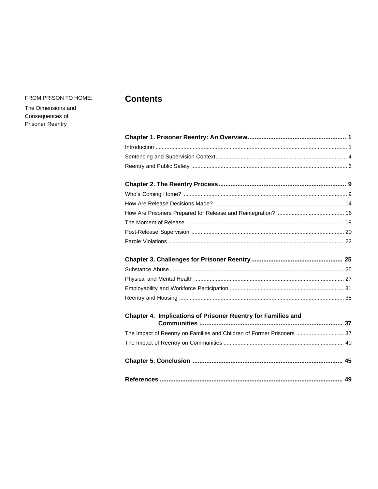### FROM PRISON TO HOME:

The Dimensions and Consequences of **Prisoner Reentry** 

### **Contents**

| Chapter 4. Implications of Prisoner Reentry for Families and           |
|------------------------------------------------------------------------|
| The Impact of Reentry on Families and Children of Former Prisoners  37 |
|                                                                        |
|                                                                        |
|                                                                        |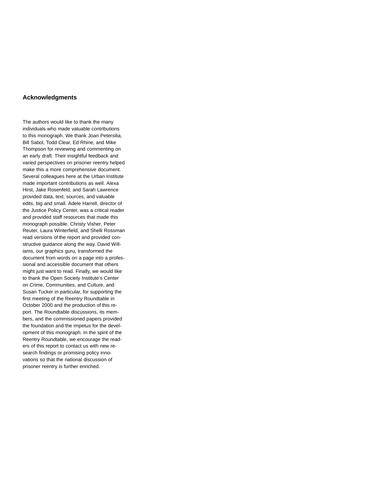### **Acknowledgments**

The authors would like to thank the many individuals who made valuable contributions to this monograph. We thank Joan Petersilia, Bill Sabol, Todd Clear, Ed Rhine, and Mike Thompson for reviewing and commenting on an early draft. Their insightful feedback and varied perspectives on prisoner reentry helped make this a more comprehensive document. Several colleagues here at the Urban Institute made important contributions as well: Alexa Hirst, Jake Rosenfeld, and Sarah Lawrence provided data, text, sources, and valuable edits, big and small. Adele Harrell, director of the Justice Policy Center, was a critical reader and provided staff resources that made this monograph possible. Christy Visher, Peter Reuter, Laura Winterfield, and Shelli Rossman read versions of the report and provided constructive guidance along the way. David Williams, our graphics guru, transformed the document from words on a page into a professional and accessible document that others might just want to read. Finally, we would like to thank the Open Society Institute's Center on Crime, Communities, and Culture, and Susan Tucker in particular, for supporting the first meeting of the Reentry Roundtable in October 2000 and the production of this report. The Roundtable discussions, its members, and the commissioned papers provided the foundation and the impetus for the development of this monograph. In the spirit of the Reentry Roundtable, we encourage the readers of this report to contact us with new research findings or promising policy innovations so that the national discussion of prisoner reentry is further enriched.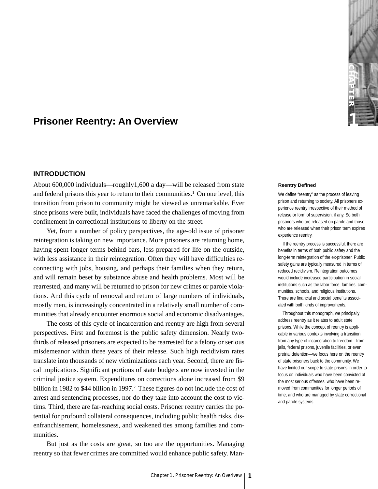

# **Prisoner Reentry: An Overview**

### **INTRODUCTION**

About 600,000 individuals—roughly1,600 a day—will be released from state and federal prisons this year to return to their communities.<sup>1</sup> On one level, this transition from prison to community might be viewed as unremarkable. Ever since prisons were built, individuals have faced the challenges of moving from confinement in correctional institutions to liberty on the street.

Yet, from a number of policy perspectives, the age-old issue of prisoner reintegration is taking on new importance. More prisoners are returning home, having spent longer terms behind bars, less prepared for life on the outside, with less assistance in their reintegration. Often they will have difficulties reconnecting with jobs, housing, and perhaps their families when they return, and will remain beset by substance abuse and health problems. Most will be rearrested, and many will be returned to prison for new crimes or parole violations. And this cycle of removal and return of large numbers of individuals, mostly men, is increasingly concentrated in a relatively small number of communities that already encounter enormous social and economic disadvantages.

The costs of this cycle of incarceration and reentry are high from several perspectives. First and foremost is the public safety dimension. Nearly twothirds of released prisoners are expected to be rearrested for a felony or serious misdemeanor within three years of their release. Such high recidivism rates translate into thousands of new victimizations each year. Second, there are fiscal implications. Significant portions of state budgets are now invested in the criminal justice system. Expenditures on corrections alone increased from \$9 billion in 1982 to \$44 billion in 1997.<sup>2</sup> These figures do not include the cost of arrest and sentencing processes, nor do they take into account the cost to victims. Third, there are far-reaching social costs. Prisoner reentry carries the potential for profound collateral consequences, including public health risks, disenfranchisement, homelessness, and weakened ties among families and communities.

But just as the costs are great, so too are the opportunities. Managing reentry so that fewer crimes are committed would enhance public safety. Man-

#### **Reentry Defined**

We define "reentry" as the process of leaving prison and returning to society. All prisoners experience reentry irrespective of their method of release or form of supervision, if any. So both prisoners who are released on parole and those who are released when their prison term expires experience reentry.

If the reentry process is successful, there are benefits in terms of both public safety and the long-term reintegration of the ex-prisoner. Public safety gains are typically measured in terms of reduced recidivism. Reintegration outcomes would include increased participation in social institutions such as the labor force, families, communities, schools, and religious institutions. There are financial and social benefits associated with both kinds of improvements.

Throughout this monograph, we principally address reentry as it relates to adult state prisons. While the concept of reentry is applicable in various contexts involving a transition from any type of incarceration to freedom—from jails, federal prisons, juvenile facilities, or even pretrial detention—we focus here on the reentry of state prisoners back to the community. We have limited our scope to state prisons in order to focus on individuals who have been convicted of the most serious offenses, who have been removed from communities for longer periods of time, and who are managed by state correctional and parole systems.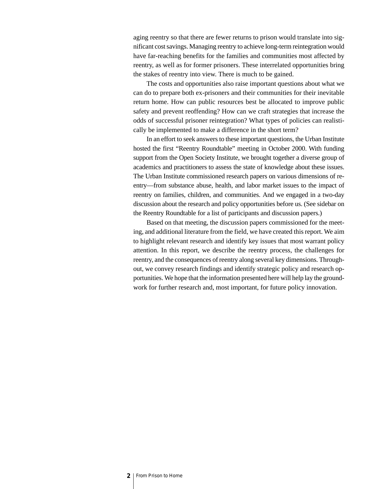aging reentry so that there are fewer returns to prison would translate into significant cost savings. Managing reentry to achieve long-term reintegration would have far-reaching benefits for the families and communities most affected by reentry, as well as for former prisoners. These interrelated opportunities bring the stakes of reentry into view. There is much to be gained.

The costs and opportunities also raise important questions about what we can do to prepare both ex-prisoners and their communities for their inevitable return home. How can public resources best be allocated to improve public safety and prevent reoffending? How can we craft strategies that increase the odds of successful prisoner reintegration? What types of policies can realistically be implemented to make a difference in the short term?

In an effort to seek answers to these important questions, the Urban Institute hosted the first "Reentry Roundtable" meeting in October 2000. With funding support from the Open Society Institute, we brought together a diverse group of academics and practitioners to assess the state of knowledge about these issues. The Urban Institute commissioned research papers on various dimensions of reentry—from substance abuse, health, and labor market issues to the impact of reentry on families, children, and communities. And we engaged in a two-day discussion about the research and policy opportunities before us. (See sidebar on the Reentry Roundtable for a list of participants and discussion papers.)

Based on that meeting, the discussion papers commissioned for the meeting, and additional literature from the field, we have created this report. We aim to highlight relevant research and identify key issues that most warrant policy attention. In this report, we describe the reentry process, the challenges for reentry, and the consequences of reentry along several key dimensions. Throughout, we convey research findings and identify strategic policy and research opportunities. We hope that the information presented here will help lay the groundwork for further research and, most important, for future policy innovation.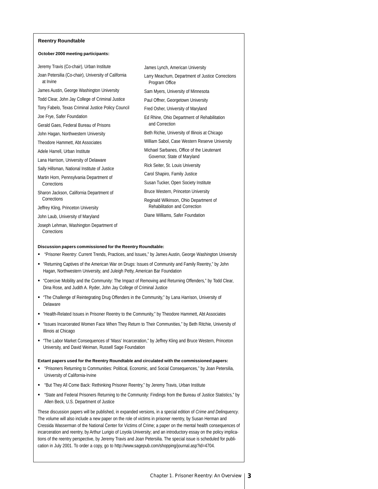#### **Reentry Roundtable**

#### **October 2000 meeting participants:**

Jeremy Travis (Co-chair), Urban Institute Joan Petersilia (Co-chair), University of California at Irvine James Austin, George Washington University Todd Clear, John Jay College of Criminal Justice Tony Fabelo, Texas Criminal Justice Policy Council Joe Frye, Safer Foundation Gerald Gaes, Federal Bureau of Prisons John Hagan, Northwestern University Theodore Hammett, Abt Associates Adele Harrell, Urban Institute Lana Harrison, University of Delaware Sally Hillsman, National Institute of Justice Martin Horn, Pennsylvania Department of Corrections Sharon Jackson, California Department of **Corrections** Jeffrey Kling, Princeton University John Laub, University of Maryland Joseph Lehman, Washington Department of **Corrections** 

### James Lynch, American University Larry Meachum, Department of Justice Corrections Program Office Sam Myers, University of Minnesota Paul Offner, Georgetown University Fred Osher, University of Maryland Ed Rhine, Ohio Department of Rehabilitation and Correction Beth Richie, University of Illinois at Chicago William Sabol, Case Western Reserve University Michael Sarbanes, Office of the Lieutenant Governor, State of Maryland Rick Seiter, St. Louis University Carol Shapiro, Family Justice Susan Tucker, Open Society Institute Bruce Western, Princeton University Reginald Wilkinson, Ohio Department of Rehabilitation and Correction Diane Williams, Safer Foundation

#### **Discussion papers commissioned for the Reentry Roundtable:**

- ! "Prisoner Reentry: Current Trends, Practices, and Issues," by James Austin, George Washington University
- " "Returning Captives of the American War on Drugs: Issues of Community and Family Reentry," by John Hagan, Northwestern University, and Juleigh Petty, American Bar Foundation
- ! "Coercive Mobility and the Community: The Impact of Removing and Returning Offenders," by Todd Clear, Dina Rose, and Judith A. Ryder, John Jay College of Criminal Justice
- ! "The Challenge of Reintegrating Drug Offenders in the Community," by Lana Harrison, University of Delaware
- ! "Health-Related Issues in Prisoner Reentry to the Community," by Theodore Hammett, Abt Associates
- ! "Issues Incarcerated Women Face When They Return to Their Communities," by Beth Ritchie, University of Illinois at Chicago
- ! "The Labor Market Consequences of 'Mass' Incarceration," by Jeffrey Kling and Bruce Western, Princeton University, and David Weiman, Russell Sage Foundation

#### **Extant papers used for the Reentry Roundtable and circulated with the commissioned papers:**

- ! "Prisoners Returning to Communities: Political, Economic, and Social Consequences," by Joan Petersilia, University of California-Irvine
- ! "But They All Come Back: Rethinking Prisoner Reentry," by Jeremy Travis, Urban Institute
- ! "State and Federal Prisoners Returning to the Community: Findings from the Bureau of Justice Statistics," by Allen Beck, U.S. Department of Justice

These discussion papers will be published, in expanded versions, in a special edition of *Crime and Delinquency*. The volume will also include a new paper on the role of victims in prisoner reentry, by Susan Herman and Cressida Wasserman of the National Center for Victims of Crime; a paper on the mental health consequences of incarceration and reentry, by Arthur Lurigio of Loyola University; and an introductory essay on the policy implications of the reentry perspective, by Jeremy Travis and Joan Petersilia. The special issue is scheduled for publication in July 2001. To order a copy, go to http://www.sagepub.com/shopping/journal.asp?id=4704.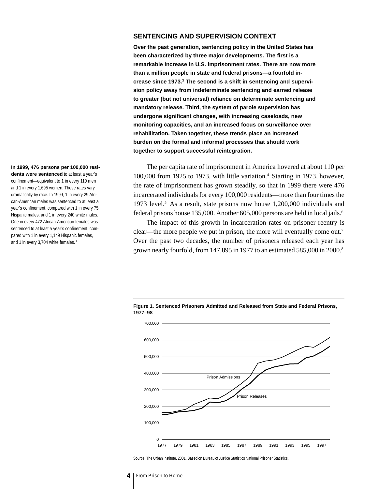### **SENTENCING AND SUPERVISION CONTEXT**

**Over the past generation, sentencing policy in the United States has been characterized by three major developments. The first is a remarkable increase in U.S. imprisonment rates. There are now more than a million people in state and federal prisons—a fourfold increase since 1973.3 The second is a shift in sentencing and supervision policy away from indeterminate sentencing and earned release to greater (but not universal) reliance on determinate sentencing and mandatory release. Third, the system of parole supervision has undergone significant changes, with increasing caseloads, new monitoring capacities, and an increased focus on surveillance over rehabilitation. Taken together, these trends place an increased burden on the formal and informal processes that should work together to support successful reintegration.**

The per capita rate of imprisonment in America hovered at about 110 per 100,000 from 1925 to 1973, with little variation.<sup>4</sup> Starting in 1973, however, the rate of imprisonment has grown steadily, so that in 1999 there were 476 incarcerated individuals for every 100,000 residents—more than four times the 1973 level. $5$  As a result, state prisons now house 1,200,000 individuals and federal prisons house 135,000. Another 605,000 persons are held in local jails.6

The impact of this growth in incarceration rates on prisoner reentry is clear—the more people we put in prison, the more will eventually come out.7 Over the past two decades, the number of prisoners released each year has grown nearly fourfold, from 147,895 in 1977 to an estimated 585,000 in 2000.<sup>8</sup>





**4** *From Prison to Home*

**dents were sentenced** to at least a year's confinement—equivalent to 1 in every 110 men and 1 in every 1,695 women. These rates vary dramatically by race. In 1999, 1 in every 29 African-American males was sentenced to at least a year's confinement, compared with 1 in every 75 Hispanic males, and 1 in every 240 white males.

One in every 472 African-American females was

**In 1999, 476 persons per 100,000 resi-**

sentenced to at least a year's confinement, compared with 1 in every 1,149 Hispanic females, and 1 in every 3,704 white females. 9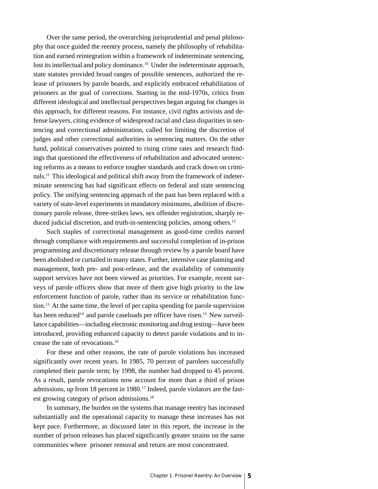Over the same period, the overarching jurisprudential and penal philosophy that once guided the reentry process, namely the philosophy of rehabilitation and earned reintegration within a framework of indeterminate sentencing, lost its intellectual and policy dominance.<sup>10</sup> Under the indeterminate approach, state statutes provided broad ranges of possible sentences, authorized the release of prisoners by parole boards, and explicitly embraced rehabilitation of prisoners as the goal of corrections. Starting in the mid-1970s, critics from different ideological and intellectual perspectives began arguing for changes in this approach, for different reasons. For instance, civil rights activists and defense lawyers, citing evidence of widespread racial and class disparities in sentencing and correctional administration, called for limiting the discretion of judges and other correctional authorities in sentencing matters. On the other hand, political conservatives pointed to rising crime rates and research findings that questioned the effectiveness of rehabilitation and advocated sentencing reforms as a means to enforce tougher standards and crack down on criminals.11 This ideological and political shift away from the framework of indeterminate sentencing has had significant effects on federal and state sentencing policy. The unifying sentencing approach of the past has been replaced with a variety of state-level experiments in mandatory minimums, abolition of discretionary parole release, three-strikes laws, sex offender registration, sharply reduced judicial discretion, and truth-in-sentencing policies, among others.<sup>12</sup>

Such staples of correctional management as good-time credits earned through compliance with requirements and successful completion of in-prison programming and discretionary release through review by a parole board have been abolished or curtailed in many states. Further, intensive case planning and management, both pre- and post-release, and the availability of community support services have not been viewed as priorities. For example, recent surveys of parole officers show that more of them give high priority to the law enforcement function of parole, rather than its service or rehabilitation function.13 At the same time, the level of per capita spending for parole supervision has been reduced<sup>14</sup> and parole caseloads per officer have risen.<sup>15</sup> New surveillance capabilities—including electronic monitoring and drug testing—have been introduced, providing enhanced capacity to detect parole violations and to increase the rate of revocations.16

For these and other reasons, the rate of parole violations has increased significantly over recent years. In 1985, 70 percent of parolees successfully completed their parole term; by 1998, the number had dropped to 45 percent. As a result, parole revocations now account for more than a third of prison admissions, up from 18 percent in 1980.<sup>17</sup> Indeed, parole violators are the fastest growing category of prison admissions.<sup>18</sup>

In summary, the burden on the systems that manage reentry has increased substantially and the operational capacity to manage these increases has not kept pace. Furthermore, as discussed later in this report, the increase in the number of prison releases has placed significantly greater strains on the same communities where prisoner removal and return are most concentrated.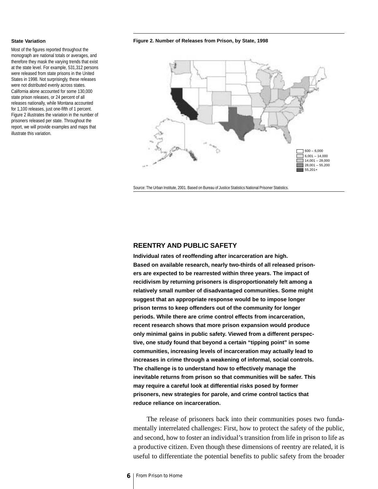#### **State Variation**

Most of the figures reported throughout the monograph are national totals or averages, and therefore they mask the varying trends that exist at the state level. For example, 531,312 persons were released from state prisons in the United States in 1998. Not surprisingly, these releases were not distributed evenly across states. California alone accounted for some 130,000 state prison releases, or 24 percent of all releases nationally, while Montana accounted for 1,100 releases, just one-fifth of 1 percent. Figure 2 illustrates the variation in the number of prisoners released per state. Throughout the report, we will provide examples and maps that illustrate this variation.

**Figure 2. Number of Releases from Prison, by State, 1998**



Source: The Urban Institute, 2001. Based on Bureau of Justice Statistics National Prisoner Statistics.

### **REENTRY AND PUBLIC SAFETY**

**Individual rates of reoffending after incarceration are high. Based on available research, nearly two-thirds of all released prisoners are expected to be rearrested within three years. The impact of recidivism by returning prisoners is disproportionately felt among a relatively small number of disadvantaged communities. Some might suggest that an appropriate response would be to impose longer prison terms to keep offenders out of the community for longer periods. While there are crime control effects from incarceration, recent research shows that more prison expansion would produce only minimal gains in public safety. Viewed from a different perspective, one study found that beyond a certain "tipping point" in some communities, increasing levels of incarceration may actually lead to increases in crime through a weakening of informal, social controls. The challenge is to understand how to effectively manage the inevitable returns from prison so that communities will be safer. This may require a careful look at differential risks posed by former prisoners, new strategies for parole, and crime control tactics that reduce reliance on incarceration.**

The release of prisoners back into their communities poses two fundamentally interrelated challenges: First, how to protect the safety of the public, and second, how to foster an individual's transition from life in prison to life as a productive citizen. Even though these dimensions of reentry are related, it is useful to differentiate the potential benefits to public safety from the broader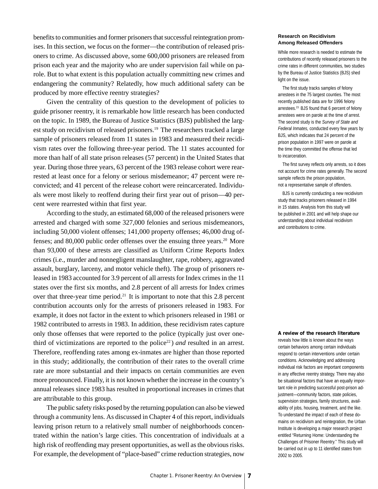benefits to communities and former prisoners that successful reintegration promises. In this section, we focus on the former—the contribution of released prisoners to crime. As discussed above, some 600,000 prisoners are released from prison each year and the majority who are under supervision fail while on parole. But to what extent is this population actually committing new crimes and endangering the community? Relatedly, how much additional safety can be produced by more effective reentry strategies?

Given the centrality of this question to the development of policies to guide prisoner reentry, it is remarkable how little research has been conducted on the topic. In 1989, the Bureau of Justice Statistics (BJS) published the largest study on recidivism of released prisoners.<sup>19</sup> The researchers tracked a large sample of prisoners released from 11 states in 1983 and measured their recidivism rates over the following three-year period. The 11 states accounted for more than half of all state prison releases (57 percent) in the United States that year. During those three years, 63 percent of the 1983 release cohort were rearrested at least once for a felony or serious misdemeanor; 47 percent were reconvicted; and 41 percent of the release cohort were reincarcerated. Individuals were most likely to reoffend during their first year out of prison—40 percent were rearrested within that first year.

According to the study, an estimated 68,000 of the released prisoners were arrested and charged with some 327,000 felonies and serious misdemeanors, including 50,000 violent offenses; 141,000 property offenses; 46,000 drug offenses; and 80,000 public order offenses over the ensuing three years.<sup>20</sup> More than 93,000 of these arrests are classified as Uniform Crime Reports Index crimes (i.e., murder and nonnegligent manslaughter, rape, robbery, aggravated assault, burglary, larceny, and motor vehicle theft). The group of prisoners released in 1983 accounted for 3.9 percent of all arrests for Index crimes in the 11 states over the first six months, and 2.8 percent of all arrests for Index crimes over that three-year time period.21 It is important to note that this 2.8 percent contribution accounts only for the arrests of prisoners released in 1983. For example, it does not factor in the extent to which prisoners released in 1981 or 1982 contributed to arrests in 1983. In addition, these recidivism rates capture only those offenses that were reported to the police (typically just over onethird of victimizations are reported to the police<sup>22</sup>) *and* resulted in an arrest. Therefore, reoffending rates among ex-inmates are higher than those reported in this study; additionally, the contribution of their rates to the overall crime rate are more substantial and their impacts on certain communities are even more pronounced. Finally, it is not known whether the increase in the country's annual releases since 1983 has resulted in proportional increases in crimes that are attributable to this group.

The public safety risks posed by the returning population can also be viewed through a community lens. As discussed in Chapter 4 of this report, individuals leaving prison return to a relatively small number of neighborhoods concentrated within the nation's large cities. This concentration of individuals at a high risk of reoffending may present opportunities, as well as the obvious risks. For example, the development of "place-based" crime reduction strategies, now

#### **Research on Recidivism Among Released Offenders**

While more research is needed to estimate the contributions of recently released prisoners to the crime rates in different communities, two studies by the Bureau of Justice Statistics (BJS) shed light on the issue.

The first study tracks samples of felony arrestees in the 75 largest counties. The most recently published data are for 1996 felony arrestees.23 BJS found that 6 percent of felony arrestees were on parole at the time of arrest. The second study is the *Survey of State and Federal Inmates,* conducted every few years by BJS, which indicates that 24 percent of the prison population in 1997 were on parole at the time they committed the offense that led to incarceration.

The first survey reflects only arrests, so it does not account for crime rates generally. The second sample reflects the prison population, not a representative sample of offenders.

BJS is currently conducting a new recidivism study that tracks prisoners released in 1994 in 15 states. Analysis from this study will be published in 2001 and will help shape our understanding about individual recidivism and contributions to crime.

**A review of the research literature** reveals how little is known about the ways certain behaviors among certain individuals respond to certain interventions under certain conditions. Acknowledging and addressing individual risk factors are important components in any effective reentry strategy. There may also be situational factors that have an equally important role in predicting successful post-prison adjustment—community factors, state policies, supervision strategies, family structures, availability of jobs, housing, treatment, and the like. To understand the impact of each of these domains on recidivism and reintegration, the Urban Institute is developing a major research project entitled "Returning Home: Understanding the Challenges of Prisoner Reentry." This study will be carried out in up to 11 identified states from 2002 to 2005.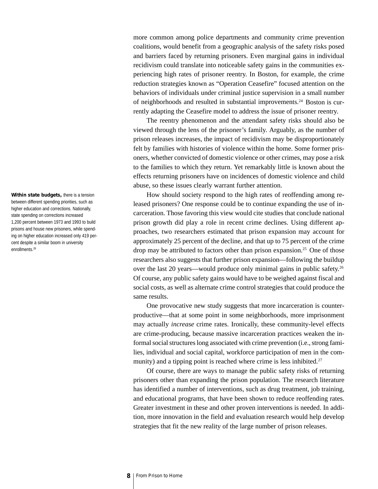**Within state budgets,** there is a tension between different spending priorities, such as higher education and corrections. Nationally, state spending on corrections increased 1,200 percent between 1973 and 1993 to build prisons and house new prisoners, while spending on higher education increased only 419 percent despite a similar boom in university enrollments.28

more common among police departments and community crime prevention coalitions, would benefit from a geographic analysis of the safety risks posed and barriers faced by returning prisoners. Even marginal gains in individual recidivism could translate into noticeable safety gains in the communities experiencing high rates of prisoner reentry. In Boston, for example, the crime reduction strategies known as "Operation Ceasefire" focused attention on the behaviors of individuals under criminal justice supervision in a small number of neighborhoods and resulted in substantial improvements.24 Boston is currently adapting the Ceasefire model to address the issue of prisoner reentry.

The reentry phenomenon and the attendant safety risks should also be viewed through the lens of the prisoner's family. Arguably, as the number of prison releases increases, the impact of recidivism may be disproportionately felt by families with histories of violence within the home. Some former prisoners, whether convicted of domestic violence or other crimes, may pose a risk to the families to which they return. Yet remarkably little is known about the effects returning prisoners have on incidences of domestic violence and child abuse, so these issues clearly warrant further attention.

How should society respond to the high rates of reoffending among released prisoners? One response could be to continue expanding the use of incarceration. Those favoring this view would cite studies that conclude national prison growth did play a role in recent crime declines. Using different approaches, two researchers estimated that prison expansion may account for approximately 25 percent of the decline, and that up to 75 percent of the crime drop may be attributed to factors other than prison expansion.<sup>25</sup> One of those researchers also suggests that further prison expansion—following the buildup over the last 20 years—would produce only minimal gains in public safety.26 Of course, any public safety gains would have to be weighed against fiscal and social costs, as well as alternate crime control strategies that could produce the same results.

One provocative new study suggests that more incarceration is counterproductive—that at some point in some neighborhoods, more imprisonment may actually *increase* crime rates. Ironically, these community-level effects are crime-producing, because massive incarceration practices weaken the informal social structures long associated with crime prevention (i.e., strong families, individual and social capital, workforce participation of men in the community) and a tipping point is reached where crime is less inhibited.<sup>27</sup>

Of course, there are ways to manage the public safety risks of returning prisoners other than expanding the prison population. The research literature has identified a number of interventions, such as drug treatment, job training, and educational programs, that have been shown to reduce reoffending rates. Greater investment in these and other proven interventions is needed. In addition, more innovation in the field and evaluation research would help develop strategies that fit the new reality of the large number of prison releases.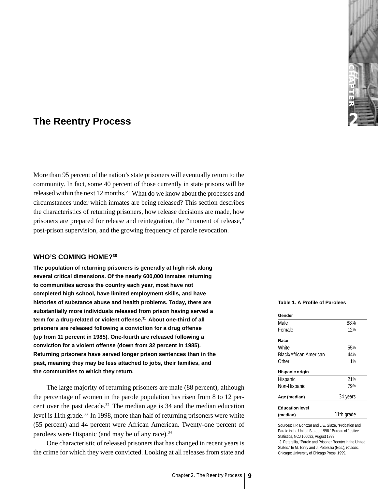

# **The Reentry Process**

More than 95 percent of the nation's state prisoners will eventually return to the community. In fact, some 40 percent of those currently in state prisons will be released within the next 12 months.<sup>29</sup> What do we know about the processes and circumstances under which inmates are being released? This section describes the characteristics of returning prisoners, how release decisions are made, how prisoners are prepared for release and reintegration, the "moment of release," post-prison supervision, and the growing frequency of parole revocation.

### **WHO'S COMING HOME?30**

**The population of returning prisoners is generally at high risk along several critical dimensions. Of the nearly 600,000 inmates returning to communities across the country each year, most have not completed high school, have limited employment skills, and have histories of substance abuse and health problems. Today, there are substantially more individuals released from prison having served a term for a drug-related or violent offense.31 About one-third of all prisoners are released following a conviction for a drug offense (up from 11 percent in 1985). One-fourth are released following a conviction for a violent offense (down from 32 percent in 1985). Returning prisoners have served longer prison sentences than in the past, meaning they may be less attached to jobs, their families, and the communities to which they return.**

The large majority of returning prisoners are male (88 percent), although the percentage of women in the parole population has risen from 8 to 12 percent over the past decade.32 The median age is 34 and the median education level is 11th grade.<sup>33</sup> In 1998, more than half of returning prisoners were white (55 percent) and 44 percent were African American. Twenty-one percent of parolees were Hispanic (and may be of any race).<sup>34</sup>

One characteristic of released prisoners that has changed in recent years is the crime for which they were convicted. Looking at all releases from state and

### **Table 1. A Profile of Parolees**

| Gender                 |            |
|------------------------|------------|
| Male                   | 88%        |
| Female                 | 12%        |
| Race                   |            |
| White                  | 55%        |
| Black/African American | 44%        |
| <b>Other</b>           | 1%         |
| Hispanic origin        |            |
| Hispanic               | 21%        |
| Non-Hispanic           | 79%        |
| Age (median)           | 34 years   |
| <b>Education level</b> |            |
| (median)               | 11th grade |

Sources: T.P. Bonczar and L.E. Glaze, "Probation and Parole in the United States, 1998." Bureau of Justice Statistics, NCJ 160092, August 1999.

 J. Petersilia, "Parole and Prisoner Reentry in the United States." In M. Tonry and J. Petersilia (Eds.), *Prisons.* Chicago: University of Chicago Press, 1999.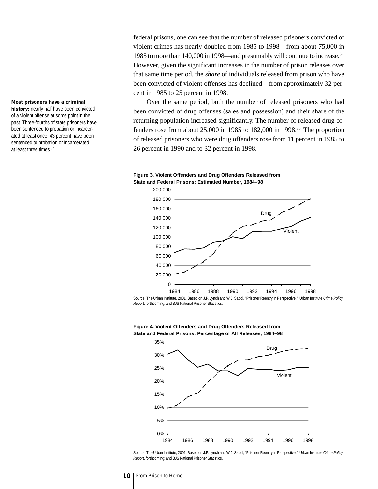federal prisons, one can see that the number of released prisoners convicted of violent crimes has nearly doubled from 1985 to 1998—from about 75,000 in 1985 to more than 140,000 in 1998—and presumably will continue to increase.35 However, given the significant increases in the number of prison releases over that same time period, the *share* of individuals released from prison who have been convicted of violent offenses has declined—from approximately 32 percent in 1985 to 25 percent in 1998.

Over the same period, both the number of released prisoners who had been convicted of drug offenses (sales and possession) and their share of the returning population increased significantly. The number of released drug offenders rose from about  $25,000$  in 1985 to 182,000 in 1998.<sup>36</sup> The proportion of released prisoners who were drug offenders rose from 11 percent in 1985 to 26 percent in 1990 and to 32 percent in 1998.





Source: The Urban Institute, 2001. Based on J.P. Lynch and W.J. Sabol, "Prisoner Reentry in Perspective." Urban Institute *Crime Policy Report*, forthcoming; and BJS National Prisoner Statistics.







**Most prisoners have a criminal history;** nearly half have been convicted of a violent offense at some point in the past. Three-fourths of state prisoners have been sentenced to probation or incarcerated at least once; 43 percent have been sentenced to probation or incarcerated at least three times.<sup>37</sup>

#### **10** *From Prison to Home*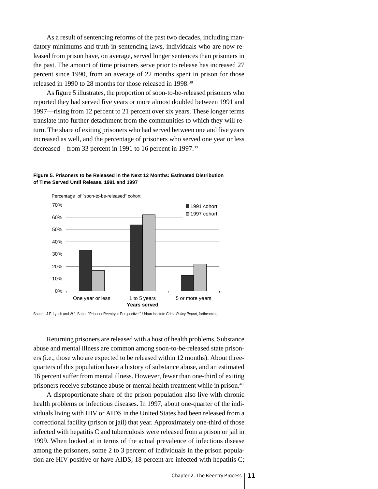As a result of sentencing reforms of the past two decades, including mandatory minimums and truth-in-sentencing laws, individuals who are now released from prison have, on average, served longer sentences than prisoners in the past. The amount of time prisoners serve prior to release has increased 27 percent since 1990, from an average of 22 months spent in prison for those released in 1990 to 28 months for those released in 1998.<sup>38</sup>

As figure 5 illustrates, the proportion of soon-to-be-released prisoners who reported they had served five years or more almost doubled between 1991 and 1997—rising from 12 percent to 21 percent over six years. These longer terms translate into further detachment from the communities to which they will return. The share of exiting prisoners who had served between one and five years increased as well, and the percentage of prisoners who served one year or less decreased—from 33 percent in 1991 to 16 percent in 1997.<sup>39</sup>

**Figure 5. Prisoners to be Released in the Next 12 Months: Estimated Distribution of Time Served Until Release, 1991 and 1997**



Returning prisoners are released with a host of health problems. Substance abuse and mental illness are common among soon-to-be-released state prisoners (i.e., those who are expected to be released within 12 months). About threequarters of this population have a history of substance abuse, and an estimated 16 percent suffer from mental illness. However, fewer than one-third of exiting prisoners receive substance abuse or mental health treatment while in prison.40

A disproportionate share of the prison population also live with chronic health problems or infectious diseases. In 1997, about one-quarter of the individuals living with HIV or AIDS in the United States had been released from a correctional facility (prison or jail) that year. Approximately one-third of those infected with hepatitis C and tuberculosis were released from a prison or jail in 1999. When looked at in terms of the actual prevalence of infectious disease among the prisoners, some 2 to 3 percent of individuals in the prison population are HIV positive or have AIDS; 18 percent are infected with hepatitis C;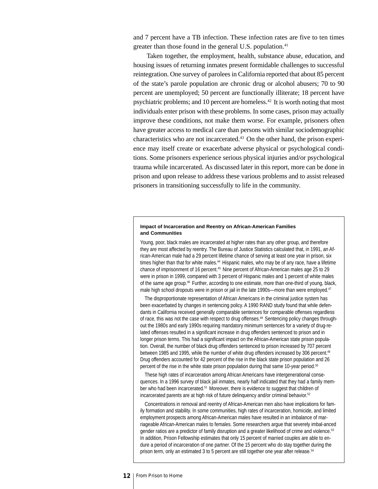and 7 percent have a TB infection. These infection rates are five to ten times greater than those found in the general U.S. population.<sup>41</sup>

Taken together, the employment, health, substance abuse, education, and housing issues of returning inmates present formidable challenges to successful reintegration. One survey of parolees in California reported that about 85 percent of the state's parole population are chronic drug or alcohol abusers; 70 to 90 percent are unemployed; 50 percent are functionally illiterate; 18 percent have psychiatric problems; and 10 percent are homeless.42 It is worth noting that most individuals enter prison with these problems. In some cases, prison may actually improve these conditions, not make them worse. For example, prisoners often have greater access to medical care than persons with similar sociodemographic characteristics who are not incarcerated.43 On the other hand, the prison experience may itself create or exacerbate adverse physical or psychological conditions. Some prisoners experience serious physical injuries and/or psychological trauma while incarcerated. As discussed later in this report, more can be done in prison and upon release to address these various problems and to assist released prisoners in transitioning successfully to life in the community.

### **Impact of Incarceration and Reentry on African-American Families and Communities**

Young, poor, black males are incarcerated at higher rates than any other group, and therefore they are most affected by reentry. The Bureau of Justice Statistics calculated that, in 1991, an African-American male had a 29 percent lifetime chance of serving at least one year in prison, six times higher than that for white males.<sup>44</sup> Hispanic males, who may be of any race, have a lifetime chance of imprisonment of 16 percent.<sup>45</sup> Nine percent of African-American males age 25 to 29 were in prison in 1999, compared with 3 percent of Hispanic males and 1 percent of white males of the same age group.46 Further, according to one estimate, more than one-third of young, black, male high school dropouts were in prison or jail in the late 1990s—more than were employed.<sup>47</sup>

The disproportionate representation of African Americans in the criminal justice system has been exacerbated by changes in sentencing policy. A 1990 RAND study found that while defendants in California received generally comparable sentences for comparable offenses regardless of race, this was not the case with respect to drug offenses.<sup>48</sup> Sentencing policy changes throughout the 1980s and early 1990s requiring mandatory minimum sentences for a variety of drug-related offenses resulted in a significant increase in drug offenders sentenced to prison and in longer prison terms. This had a significant impact on the African-American state prison population. Overall, the number of black drug offenders sentenced to prison increased by 707 percent between 1985 and 1995, while the number of white drug offenders increased by 306 percent.<sup>49</sup> Drug offenders accounted for 42 percent of the rise in the black state prison population and 26 percent of the rise in the white state prison population during that same 10-year period.50

These high rates of incarceration among African Americans have intergenerational consequences. In a 1996 survey of black jail inmates, nearly half indicated that they had a family member who had been incarcerated.<sup>51</sup> Moreover, there is evidence to suggest that children of incarcerated parents are at high risk of future delinguency and/or criminal behavior.<sup>52</sup>

Concentrations in removal and reentry of African-American men also have implications for family formation and stability. In some communities, high rates of incarceration, homicide, and limited employment prospects among African-American males have resulted in an imbalance of marriageable African-American males to females. Some researchers argue that severely imbal-anced gender ratios are a predictor of family disruption and a greater likelihood of crime and violence.<sup>53</sup> In addition, Prison Fellowship estimates that only 15 percent of married couples are able to endure a period of incarceration of one partner. Of the 15 percent who do stay together during the prison term, only an estimated 3 to 5 percent are still together one year after release.<sup>54</sup>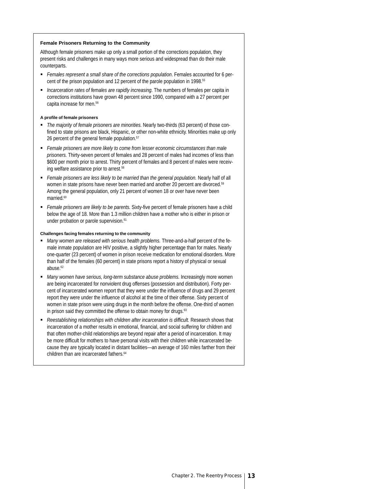#### **Female Prisoners Returning to the Community**

Although female prisoners make up only a small portion of the corrections population, they present risks and challenges in many ways more serious and widespread than do their male counterparts.

- ! *Females represent a small share of the corrections population*. Females accounted for 6 percent of the prison population and 12 percent of the parole population in 1998.55
- ! *Incarceration rates of females are rapidly increasing*. The numbers of females per capita in corrections institutions have grown 48 percent since 1990, compared with a 27 percent per capita increase for men.<sup>56</sup>

#### **A profile of female prisoners**

- ! *The majority of female prisoners are minorities.* Nearly two-thirds (63 percent) of those confined to state prisons are black, Hispanic, or other non-white ethnicity. Minorities make up only 26 percent of the general female population.<sup>57</sup>
- ! *Female prisoners are more likely to come from lesser economic circumstances than male prisoners.* Thirty-seven percent of females and 28 percent of males had incomes of less than \$600 per month prior to arrest. Thirty percent of females and 8 percent of males were receiving welfare assistance prior to arrest.<sup>58</sup>
- ! *Female prisoners are less likely to be married than the general population.* Nearly half of all women in state prisons have never been married and another 20 percent are divorced.<sup>59</sup> Among the general population, only 21 percent of women 18 or over have never been married.<sup>60</sup>
- ! *Female prisoners are likely to be parents.* Sixty-five percent of female prisoners have a child below the age of 18. More than 1.3 million children have a mother who is either in prison or under probation or parole supervision.<sup>61</sup>

### **Challenges facing females returning to the community**

- ! *Many women are released with serious health problems.* Three-and-a-half percent of the female inmate population are HIV positive, a slightly higher percentage than for males. Nearly one-quarter (23 percent) of women in prison receive medication for emotional disorders. More than half of the females (60 percent) in state prisons report a history of physical or sexual abuse.<sup>62</sup>
- **.** *Many women have serious, long-term substance abuse problems.* Increasingly more women are being incarcerated for nonviolent drug offenses (possession and distribution). Forty percent of incarcerated women report that they were under the influence of drugs and 29 percent report they were under the influence of alcohol at the time of their offense. Sixty percent of women in state prison were using drugs in the month before the offense. One-third of women in prison said they committed the offense to obtain money for drugs.<sup>63</sup>
- ! *Reestablishing relationships with children after incarceration is difficult.* Research shows that incarceration of a mother results in emotional, financial, and social suffering for children and that often mother-child relationships are beyond repair after a period of incarceration. It may be more difficult for mothers to have personal visits with their children while incarcerated because they are typically located in distant facilities—an average of 160 miles farther from their children than are incarcerated fathers.<sup>64</sup>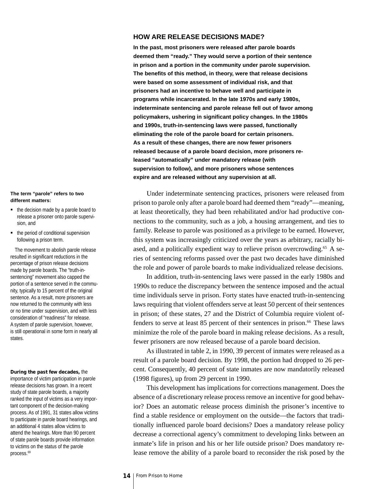### **HOW ARE RELEASE DECISIONS MADE?**

**In the past, most prisoners were released after parole boards deemed them "ready." They would serve a portion of their sentence in prison and a portion in the community under parole supervision. The benefits of this method, in theory, were that release decisions were based on some assessment of individual risk, and that prisoners had an incentive to behave well and participate in programs while incarcerated. In the late 1970s and early 1980s, indeterminate sentencing and parole release fell out of favor among policymakers, ushering in significant policy changes. In the 1980s and 1990s, truth-in-sentencing laws were passed, functionally eliminating the role of the parole board for certain prisoners. As a result of these changes, there are now fewer prisoners released because of a parole board decision, more prisoners released "automatically" under mandatory release (with supervision to follow), and more prisoners whose sentences expire and are released without any supervision at all.**

Under indeterminate sentencing practices, prisoners were released from prison to parole only after a parole board had deemed them "ready"—meaning, at least theoretically, they had been rehabilitated and/or had productive connections to the community, such as a job, a housing arrangement, and ties to family. Release to parole was positioned as a privilege to be earned. However, this system was increasingly criticized over the years as arbitrary, racially biased, and a politically expedient way to relieve prison overcrowding.<sup>65</sup> A series of sentencing reforms passed over the past two decades have diminished the role and power of parole boards to make individualized release decisions.

In addition, truth-in-sentencing laws were passed in the early 1980s and 1990s to reduce the discrepancy between the sentence imposed and the actual time individuals serve in prison. Forty states have enacted truth-in-sentencing laws requiring that violent offenders serve at least 50 percent of their sentences in prison; of these states, 27 and the District of Columbia require violent offenders to serve at least 85 percent of their sentences in prison.<sup>66</sup> These laws minimize the role of the parole board in making release decisions. As a result, fewer prisoners are now released because of a parole board decision.

As illustrated in table 2, in 1990, 39 percent of inmates were released as a result of a parole board decision. By 1998, the portion had dropped to 26 percent. Consequently, 40 percent of state inmates are now mandatorily released (1998 figures), up from 29 percent in 1990.

This development has implications for corrections management. Does the absence of a discretionary release process remove an incentive for good behavior? Does an automatic release process diminish the prisoner's incentive to find a stable residence or employment on the outside––the factors that traditionally influenced parole board decisions? Does a mandatory release policy decrease a correctional agency's commitment to developing links between an inmate's life in prison and his or her life outside prison? Does mandatory release remove the ability of a parole board to reconsider the risk posed by the

### **The term "parole" refers to two different matters:**

- ! the decision made by a parole board to release a prisoner onto parole supervision, and
- ! the period of conditional supervision following a prison term.

The movement to abolish parole release resulted in significant reductions in the percentage of prison release decisions made by parole boards. The "truth-insentencing" movement also capped the portion of a sentence served in the community, typically to 15 percent of the original sentence. As a result, more prisoners are now returned to the community with less or no time under supervision, and with less consideration of "readiness" for release. A system of parole *supervision*, however, is still operational in some form in nearly all states.

**During the past few decades,** the importance of victim participation in parole release decisions has grown. In a recent study of state parole boards, a majority ranked the input of victims as a very important component of the decision-making process. As of 1991, 31 states allow victims to participate in parole board hearings, and an additional 4 states allow victims to attend the hearings. More than 90 percent of state parole boards provide information to victims on the status of the parole process.69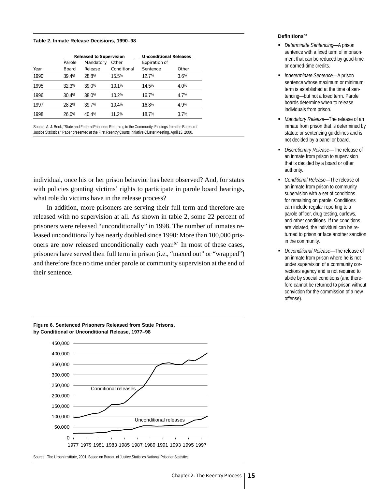#### **Table 2. Inmate Release Decisions, 1990–98**

|      | <b>Released to Supervision</b> |           | <b>Unconditional Releases</b> |               |       |
|------|--------------------------------|-----------|-------------------------------|---------------|-------|
|      | Parole                         | Mandatory | Other                         | Expiration of |       |
| Year | Board                          | Release   | Conditional                   | Sentence      | Other |
| 1990 | 39.4%                          | 28.8%     | 15.5%                         | 12.7%         | 3.6%  |
| 1995 | 32.3%                          | 39.0%     | 10.1%                         | 14.5%         | 4.0%  |
| 1996 | 30.4%                          | 38.0%     | 10.2%                         | 16.7%         | 4.7%  |
| 1997 | 28.2%                          | 39.7%     | 10.4%                         | 16.8%         | 4.9%  |
| 1998 | 26.0%                          | 40.4%     | 11.2%                         | 18.7%         | 3.7%  |

Source: A. J. Beck, "State and Federal Prisoners Returning to the Community: Findings from the Bureau of Justice Statistics." Paper presented at the First Reentry Courts Initiative Cluster Meeting, April 13, 2000.

individual, once his or her prison behavior has been observed? And, for states with policies granting victims' rights to participate in parole board hearings, what role do victims have in the release process?

In addition, more prisoners are serving their full term and therefore are released with no supervision at all. As shown in table 2, some 22 percent of prisoners were released "unconditionally" in 1998. The number of inmates released unconditionally has nearly doubled since 1990: More than 100,000 prisoners are now released unconditionally each year.<sup>67</sup> In most of these cases, prisoners have served their full term in prison (i.e., "maxed out" or "wrapped") and therefore face no time under parole or community supervision at the end of their sentence.

### **Definitions**<sup>68</sup>

- ! *Determinate Sentencing*—A prison sentence with a fixed term of imprisonment that can be reduced by good-time or earned-time credits.
- ! *Indeterminate Sentence*—A prison sentence whose maximum or minimum term is established at the time of sentencing—but not a fixed term. Parole boards determine when to release individuals from prison.
- ! *Mandatory Release*—The release of an inmate from prison that is determined by statute or sentencing guidelines and is not decided by a panel or board.
- ! *Discretionary Release*—The release of an inmate from prison to supervision that is decided by a board or other authority.
- ! *Conditional Release*—The release of an inmate from prison to community supervision with a set of conditions for remaining on parole. Conditions can include regular reporting to a parole officer, drug testing, curfews, and other conditions. If the conditions are violated, the individual can be returned to prison or face another sanction in the community.
- ! *Unconditional Release*—The release of an inmate from prison where he is not under supervision of a community corrections agency and is not required to abide by special conditions (and therefore cannot be returned to prison without conviction for the commission of a new offense).



**Figure 6. Sentenced Prisoners Released from State Prisons, by Conditional or Unconditional Release, 1977–98**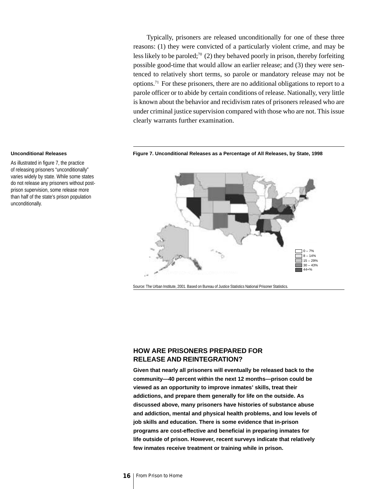Typically, prisoners are released unconditionally for one of these three reasons: (1) they were convicted of a particularly violent crime, and may be less likely to be paroled;<sup>70</sup> (2) they behaved poorly in prison, thereby forfeiting possible good-time that would allow an earlier release; and (3) they were sentenced to relatively short terms, so parole or mandatory release may not be options.71 For these prisoners, there are no additional obligations to report to a parole officer or to abide by certain conditions of release. Nationally, very little is known about the behavior and recidivism rates of prisoners released who are under criminal justice supervision compared with those who are not. This issue clearly warrants further examination.

#### **Figure 7. Unconditional Releases as a Percentage of All Releases, by State, 1998**



Source: The Urban Institute, 2001. Based on Bureau of Justice Statistics National Prisoner Statistics.

### **HOW ARE PRISONERS PREPARED FOR RELEASE AND REINTEGRATION?**

**Given that nearly all prisoners will eventually be released back to the community—40 percent within the next 12 months—prison could be viewed as an opportunity to improve inmates' skills, treat their addictions, and prepare them generally for life on the outside. As discussed above, many prisoners have histories of substance abuse and addiction, mental and physical health problems, and low levels of job skills and education. There is some evidence that in-prison programs are cost-effective and beneficial in preparing inmates for life outside of prison. However, recent surveys indicate that relatively few inmates receive treatment or training while in prison.**

### **Unconditional Releases**

As illustrated in figure 7, the practice of releasing prisoners "unconditionally" varies widely by state. While some states do not release any prisoners without postprison supervision, some release more than half of the state's prison population unconditionally.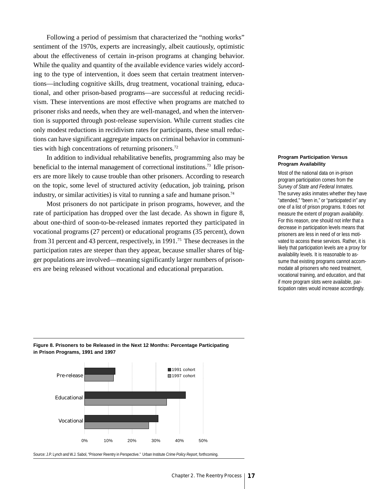Following a period of pessimism that characterized the "nothing works" sentiment of the 1970s, experts are increasingly, albeit cautiously, optimistic about the effectiveness of certain in-prison programs at changing behavior. While the quality and quantity of the available evidence varies widely according to the type of intervention, it does seem that certain treatment interventions—including cognitive skills, drug treatment, vocational training, educational, and other prison-based programs—are successful at reducing recidivism. These interventions are most effective when programs are matched to prisoner risks and needs, when they are well-managed, and when the intervention is supported through post-release supervision. While current studies cite only modest reductions in recidivism rates for participants, these small reductions can have significant aggregate impacts on criminal behavior in communities with high concentrations of returning prisoners.<sup>72</sup>

In addition to individual rehabilitative benefits, programming also may be beneficial to the internal management of correctional institutions.73 Idle prisoners are more likely to cause trouble than other prisoners. According to research on the topic, some level of structured activity (education, job training, prison industry, or similar activities) is vital to running a safe and humane prison.<sup>74</sup>

Most prisoners do not participate in prison programs, however, and the rate of participation has dropped over the last decade. As shown in figure 8, about one-third of soon-to-be-released inmates reported they participated in vocational programs (27 percent) or educational programs (35 percent), down from 31 percent and 43 percent, respectively, in 1991.75 These decreases in the participation rates are steeper than they appear, because smaller shares of bigger populations are involved—meaning significantly larger numbers of prisoners are being released without vocational and educational preparation.

### **Program Participation Versus Program Availability**

Most of the national data on in-prison program participation comes from the *Survey of State and Federal Inmates.* The survey asks inmates whether they have "attended," "been in," or "participated in" any one of a list of prison programs. It does not measure the extent of program *availability*. For this reason, one should not infer that a decrease in participation levels means that prisoners are less in need of or less motivated to access these services. Rather, it is likely that participation levels are a proxy for availability levels. It is reasonable to assume that existing programs cannot accommodate all prisoners who need treatment, vocational training, and education, and that if more program slots were available, participation rates would increase accordingly.



**Figure 8. Prisoners to be Released in the Next 12 Months: Percentage Participating in Prison Programs, 1991 and 1997**

Source: J.P. Lynch and W.J. Sabol, "Prisoner Reentry in Perspective." Urban Institute *Crime Policy Report*, forthcoming.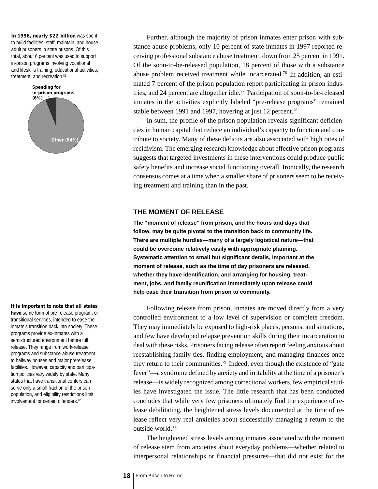**In 1996, nearly \$22 billion** was spent to build facilities, staff, maintain, and house adult prisoners in state prisons. Of this total, about 6 percent was used to support in-prison programs involving vocational and lifeskills training, educational activities, treatment, and recreation.<sup>81</sup>



**It is important to note that all states have** some form of pre-release program, or transitional services, intended to ease the inmate's transition back into society. These programs provide ex-inmates with a semistructured environment before full release. They range from work-release programs and substance-abuse treatment to halfway houses and major prerelease facilities. However, capacity and participation policies vary widely by state. Many states that have transitional centers can serve only a small fraction of the prison population, and eligibility restrictions limit involvement for certain offenders.<sup>82</sup>

Further, although the majority of prison inmates enter prison with substance abuse problems, only 10 percent of state inmates in 1997 reported receiving professional substance abuse treatment, down from 25 percent in 1991. Of the soon-to-be-released population, 18 percent of those with a substance abuse problem received treatment while incarcerated.76 In addition, an estimated 7 percent of the prison population report participating in prison industries, and 24 percent are altogether idle.<sup>77</sup> Participation of soon-to-be-released inmates in the activities explicitly labeled "pre-release programs" remained stable between 1991 and 1997, hovering at just 12 percent.<sup>78</sup>

In sum, the profile of the prison population reveals significant deficiencies in human capital that reduce an individual's capacity to function and contribute to society. Many of these deficits are also associated with high rates of recidivism. The emerging research knowledge about effective prison programs suggests that targeted investments in these interventions could produce public safety benefits and increase social functioning overall. Ironically, the research consensus comes at a time when a smaller share of prisoners seem to be receiving treatment and training than in the past.

### **THE MOMENT OF RELEASE**

**The "moment of release" from prison, and the hours and days that follow, may be quite pivotal to the transition back to community life. There are multiple hurdles—many of a largely logistical nature—that could be overcome relatively easily with appropriate planning. Systematic attention to small but significant details, important at the moment of release, such as the time of day prisoners are released, whether they have identification, and arranging for housing, treatment, jobs, and family reunification immediately upon release could help ease their transition from prison to community.**

Following release from prison, inmates are moved directly from a very controlled environment to a low level of supervision or complete freedom. They may immediately be exposed to high-risk places, persons, and situations, and few have developed relapse prevention skills during their incarceration to deal with these risks. Prisoners facing release often report feeling anxious about reestablishing family ties, finding employment, and managing finances once they return to their communities.79 Indeed, even though the existence of "gate fever"—a syndrome defined by anxiety and irritability at the time of a prisoner's release—is widely recognized among correctional workers, few empirical studies have investigated the issue. The little research that has been conducted concludes that while very few prisoners ultimately find the experience of release debilitating, the heightened stress levels documented at the time of release reflect very real anxieties about successfully managing a return to the outside world. 80

The heightened stress levels among inmates associated with the moment of release stem from anxieties about everyday problems—whether related to interpersonal relationships or financial pressures—that did not exist for the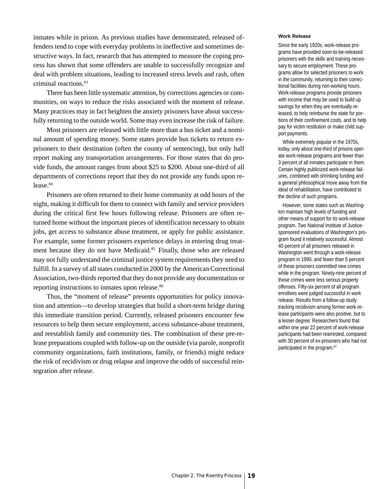inmates while in prison. As previous studies have demonstrated, released offenders tend to cope with everyday problems in ineffective and sometimes destructive ways. In fact, research that has attempted to measure the coping process has shown that some offenders are unable to successfully recognize and deal with problem situations, leading to increased stress levels and rash, often criminal reactions.<sup>83</sup>

There has been little systematic attention, by corrections agencies or communities, on ways to reduce the risks associated with the moment of release. Many practices may in fact heighten the anxiety prisoners have about successfully returning to the outside world. Some may even increase the risk of failure.

Most prisoners are released with little more than a bus ticket and a nominal amount of spending money. Some states provide bus tickets to return exprisoners to their destination (often the county of sentencing), but only half report making any transportation arrangements. For those states that do provide funds, the amount ranges from about \$25 to \$200. About one-third of all departments of corrections report that they do not provide any funds upon release.<sup>84</sup>

Prisoners are often returned to their home community at odd hours of the night, making it difficult for them to connect with family and service providers during the critical first few hours following release. Prisoners are often returned home without the important pieces of identification necessary to obtain jobs, get access to substance abuse treatment, or apply for public assistance. For example, some former prisoners experience delays in entering drug treatment because they do not have Medicaid.<sup>85</sup> Finally, those who are released may not fully understand the criminal justice system requirements they need to fulfill. In a survey of all states conducted in 2000 by the American Correctional Association, two-thirds reported that they do not provide any documentation or reporting instructions to inmates upon release.<sup>86</sup>

Thus, the "moment of release" presents opportunities for policy innovation and attention—to develop strategies that build a short-term bridge during this immediate transition period. Currently, released prisoners encounter few resources to help them secure employment, access substance-abuse treatment, and reestablish family and community ties. The combination of these pre-release preparations coupled with follow-up on the outside (via parole, nonprofit community organizations, faith institutions, family, or friends) might reduce the risk of recidivism or drug relapse and improve the odds of successful reintegration after release.

#### **Work Release**

Since the early 1920s, work-release programs have provided soon-to-be-released prisoners with the skills and training necessary to secure employment. These programs allow for selected prisoners to work in the community, returning to their correctional facilities during non-working hours. Work-release programs provide prisoners with income that may be used to build up savings for when they are eventually released, to help reimburse the state for portions of their confinement costs, and to help pay for victim restitution or make child support payments.

While extremely popular in the 1970s, today, only about one-third of prisons operate work-release programs and fewer than 3 percent of all inmates participate in them. Certain highly publicized work-release failures, combined with shrinking funding and a general philosophical move away from the ideal of rehabilitation, have contributed to the decline of such programs.

However, some states such as Washington maintain high levels of funding and other means of support for its work-release program. Two National Institute of Justicesponsored evaluations of Washington's program found it relatively successful. Almost 40 percent of all prisoners released in Washington went through a work-release program in 1990, and fewer than 5 percent of these prisoners committed new crimes while in the program. Ninety-nine percent of these crimes were less serious property offenses. Fifty-six percent of all program enrollees were judged successful in work release. Results from a follow-up study tracking recidivism among former work-release participants were also positive, but to a lesser degree: Researchers found that within one year 22 percent of work-release participants had been rearrested, compared with 30 percent of ex-prisoners who had not participated in the program.87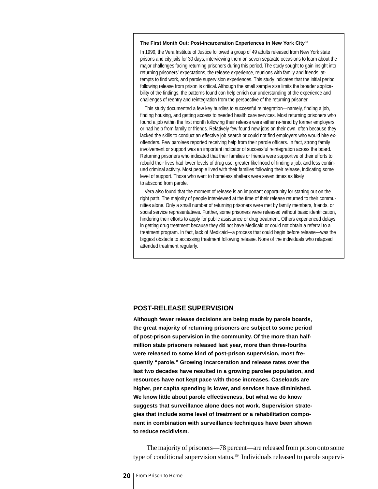#### The First Month Out: Post-Incarceration Experiences in New York City<sup>88</sup>

In 1999, the Vera Institute of Justice followed a group of 49 adults released from New York state prisons and city jails for 30 days, interviewing them on seven separate occasions to learn about the major challenges facing returning prisoners during this period. The study sought to gain insight into returning prisoners' expectations, the release experience, reunions with family and friends, attempts to find work, and parole supervision experiences. This study indicates that the initial period following release from prison is critical. Although the small sample size limits the broader applicability of the findings, the patterns found can help enrich our understanding of the experience and challenges of reentry and reintegration from the perspective of the returning prisoner.

This study documented a few key hurdles to successful reintegration—namely, finding a job, finding housing, and getting access to needed health care services. Most returning prisoners who found a job within the first month following their release were either re-hired by former employers or had help from family or friends. Relatively few found new jobs on their own, often because they lacked the skills to conduct an effective job search or could not find employers who would hire exoffenders. Few parolees reported receiving help from their parole officers. In fact, strong family involvement or support was an important indicator of successful reintegration across the board. Returning prisoners who indicated that their families or friends were supportive of their efforts to rebuild their lives had lower levels of drug use, greater likelihood of finding a job, and less continued criminal activity. Most people lived with their families following their release, indicating some level of support. Those who went to homeless shelters were seven times as likely to abscond from parole.

Vera also found that the moment of release is an important opportunity for starting out on the right path. The majority of people interviewed at the time of their release returned to their communities alone. Only a small number of returning prisoners were met by family members, friends, or social service representatives. Further, some prisoners were released without basic identification, hindering their efforts to apply for public assistance or drug treatment. Others experienced delays in getting drug treatment because they did not have Medicaid or could not obtain a referral to a treatment program. In fact, lack of Medicaid—a process that could begin before release—was the biggest obstacle to accessing treatment following release. None of the individuals who relapsed attended treatment regularly.

### **POST-RELEASE SUPERVISION**

**Although fewer release decisions are being made by parole boards, the great majority of returning prisoners are subject to some period of post-prison supervision in the community. Of the more than halfmillion state prisoners released last year, more than three-fourths were released to some kind of post-prison supervision, most frequently "parole." Growing incarceration and release rates over the last two decades have resulted in a growing parolee population, and resources have not kept pace with those increases. Caseloads are higher, per capita spending is lower, and services have diminished. We know little about parole effectiveness, but what we do know suggests that surveillance alone does not work. Supervision strategies that include some level of treatment or a rehabilitation component in combination with surveillance techniques have been shown to reduce recidivism.**

The majority of prisoners—78 percent—are released from prison onto some type of conditional supervision status.<sup>89</sup> Individuals released to parole supervi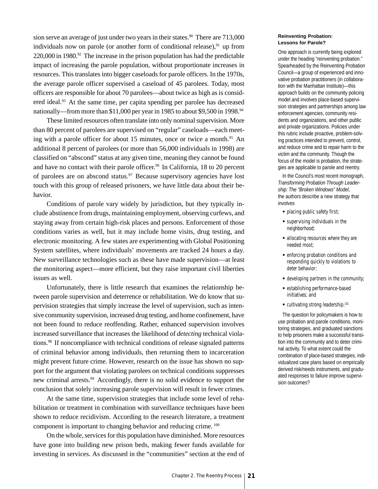sion serve an average of just under two years in their states.<sup>90</sup> There are  $713,000$ individuals now on parole (or another form of conditional release),  $91$  up from  $220,000$  in 1980.<sup>92</sup> The increase in the prison population has had the predictable impact of increasing the parole population, without proportionate increases in resources. This translates into bigger caseloads for parole officers. In the 1970s, the average parole officer supervised a caseload of 45 parolees. Today, most officers are responsible for about 70 parolees—about twice as high as is considered ideal.<sup>93</sup> At the same time, per capita spending per parolee has decreased nationally—from more than \$11,000 per year in 1985 to about \$9,500 in 1998.<sup>94</sup>

These limited resources often translate into only nominal supervision. More than 80 percent of parolees are supervised on "regular" caseloads—each meeting with a parole officer for about 15 minutes, once or twice a month.<sup>95</sup> An additional 8 percent of parolees (or more than 56,000 individuals in 1998) are classified on "abscond" status at any given time, meaning they cannot be found and have no contact with their parole officer.<sup>96</sup> In California, 18 to 20 percent of parolees are on abscond status.<sup>97</sup> Because supervisory agencies have lost touch with this group of released prisoners, we have little data about their behavior.

Conditions of parole vary widely by jurisdiction, but they typically include abstinence from drugs, maintaining employment, observing curfews, and staying away from certain high-risk places and persons. Enforcement of those conditions varies as well, but it may include home visits, drug testing, and electronic monitoring. A few states are experimenting with Global Positioning System satellites, where individuals' movements are tracked 24 hours a day. New surveillance technologies such as these have made supervision—at least the monitoring aspect—more efficient, but they raise important civil liberties issues as well.

Unfortunately, there is little research that examines the relationship between parole supervision and deterrence or rehabilitation. We do know that supervision strategies that simply increase the level of supervision, such as intensive community supervision, increased drug testing, and home confinement, have not been found to reduce reoffending. Rather, enhanced supervision involves increased surveillance that increases the likelihood of *detecting* technical violations.98 If noncompliance with technical conditions of release signaled patterns of criminal behavior among individuals, then returning them to incarceration might prevent future crime. However, research on the issue has shown no support for the argument that violating parolees on technical conditions suppresses new criminal arrests.99 Accordingly, there is no solid evidence to support the conclusion that solely increasing parole supervision will result in fewer crimes.

At the same time, supervision strategies that include some level of rehabilitation or treatment in combination with surveillance techniques have been shown to reduce recidivism. According to the research literature, a treatment component is important to changing behavior and reducing crime. 100

On the whole, services for this population have diminished. More resources have gone into building new prison beds, making fewer funds available for investing in services. As discussed in the "communities" section at the end of

### **Reinventing Probation: Lessons for Parole?**

One approach is currently being explored under the heading "reinventing probation." Spearheaded by the Reinventing Probation Council—a group of experienced and innovative probation practitioners (in collaboration with the Manhattan Institute)—this approach builds on the community policing model and involves place-based supervision strategies and partnerships among law enforcement agencies, community residents and organizations, and other public and private organizations. Policies under this rubric include proactive, problem-solving practices intended to prevent, control, and reduce crime and to repair harm to the victim and the community. Though the focus of the model is probation, the strategies are applicable to parole and reentry.

In the Council's most recent monograph*, Transforming Probation Through Leadership: The "Broken Windows" Model*, the authors describe a new strategy that involves

- ! placing public safety first;
- ! supervising individuals in the neighborhood;
- ! allocating resources where they are needed most;
- ! enforcing probation conditions and responding quickly to violations to deter behavior;
- ! developing partners in the community;
- ! establishing performance-based initiatives; and
- $\blacksquare$  cultivating strong leadership.<sup>101</sup>

The question for policymakers is how to use probation and parole conditions, monitoring strategies, and graduated sanctions to help prisoners make a successful transition into the community and to deter criminal activity. To what extent could the combination of place-based strategies, individualized case plans based on empirically derived risk/needs instruments, and graduated responses to failure improve supervision outcomes?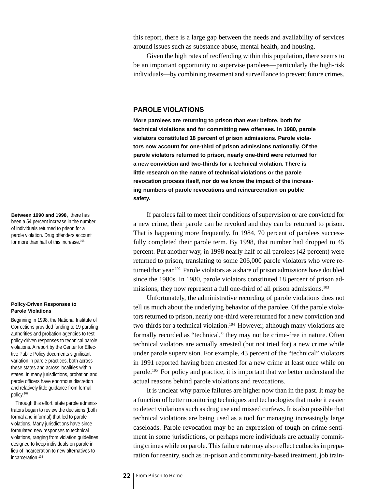this report, there is a large gap between the needs and availability of services around issues such as substance abuse, mental health, and housing.

Given the high rates of reoffending within this population, there seems to be an important opportunity to supervise parolees—particularly the high-risk individuals—by combining treatment and surveillance to prevent future crimes.

### **PAROLE VIOLATIONS**

**More parolees are returning to prison than ever before, both for technical violations and for committing new offenses. In 1980, parole violators constituted 18 percent of prison admissions. Parole violators now account for one-third of prison admissions nationally. Of the parole violators returned to prison, nearly one-third were returned for a new conviction and two-thirds for a technical violation. There is little research on the nature of technical violations or the parole revocation process itself, nor do we know the impact of the increasing numbers of parole revocations and reincarceration on public safety.**

If parolees fail to meet their conditions of supervision or are convicted for a new crime, their parole can be revoked and they can be returned to prison. That is happening more frequently. In 1984, 70 percent of parolees successfully completed their parole term. By 1998, that number had dropped to 45 percent. Put another way, in 1998 nearly half of all parolees (42 percent) were returned to prison, translating to some 206,000 parole violators who were returned that year.102 Parole violators as a share of prison admissions have doubled since the 1980s. In 1980, parole violators constituted 18 percent of prison admissions; they now represent a full one-third of all prison admissions.<sup>103</sup>

Unfortunately, the administrative recording of parole violations does not tell us much about the underlying behavior of the parolee. Of the parole violators returned to prison, nearly one-third were returned for a new conviction and two-thirds for a technical violation.<sup>104</sup> However, although many violations are formally recorded as "technical," they may not be crime-free in nature. Often technical violators are actually arrested (but not tried for) a new crime while under parole supervision. For example, 43 percent of the "technical" violators in 1991 reported having been arrested for a new crime at least once while on parole.105 For policy and practice, it is important that we better understand the actual reasons behind parole violations and revocations.

It is unclear why parole failures are higher now than in the past. It may be a function of better monitoring techniques and technologies that make it easier to detect violations such as drug use and missed curfews. It is also possible that technical violations are being used as a tool for managing increasingly large caseloads. Parole revocation may be an expression of tough-on-crime sentiment in some jurisdictions, or perhaps more individuals are actually committing crimes while on parole. This failure rate may also reflect cutbacks in preparation for reentry, such as in-prison and community-based treatment, job train-

**Between 1990 and 1998,** there has been a 54 percent increase in the number of individuals returned to prison for a parole violation. Drug offenders account for more than half of this increase.<sup>106</sup>

### **Policy-Driven Responses to Parole Violations**

Beginning in 1998, the National Institute of Corrections provided funding to 19 paroling authorities and probation agencies to test policy-driven responses to technical parole violations. A report by the Center for Effective Public Policy documents significant variation in parole practices, both across these states and across localities within states. In many jurisdictions, probation and parole officers have enormous discretion and relatively little guidance from formal policy.107

Through this effort, state parole administrators began to review the decisions (both formal and informal) that led to parole violations. Many jurisdictions have since formulated new responses to technical violations, ranging from violation guidelines designed to keep individuals on parole in lieu of incarceration to new alternatives to incarceration.108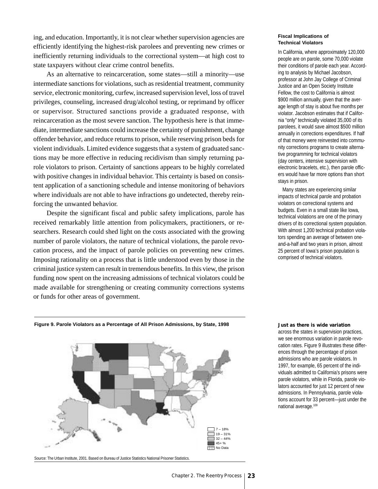ing, and education. Importantly, it is not clear whether supervision agencies are efficiently identifying the highest-risk parolees and preventing new crimes or inefficiently returning individuals to the correctional system—at high cost to state taxpayers without clear crime control benefits.

As an alternative to reincarceration, some states—still a minority—use intermediate sanctions for violations, such as residential treatment, community service, electronic monitoring, curfew, increased supervision level, loss of travel privileges, counseling, increased drug/alcohol testing, or reprimand by officer or supervisor. Structured sanctions provide a graduated response, with reincarceration as the most severe sanction. The hypothesis here is that immediate, intermediate sanctions could increase the certainty of punishment, change offender behavior, and reduce returns to prison, while reserving prison beds for violent individuals. Limited evidence suggests that a system of graduated sanctions may be more effective in reducing recidivism than simply returning parole violators to prison. Certainty of sanctions appears to be highly correlated with positive changes in individual behavior. This certainty is based on consistent application of a sanctioning schedule and intense monitoring of behaviors where individuals are not able to have infractions go undetected, thereby reinforcing the unwanted behavior.

Despite the significant fiscal and public safety implications, parole has received remarkably little attention from policymakers, practitioners, or researchers. Research could shed light on the costs associated with the growing number of parole violators, the nature of technical violations, the parole revocation process, and the impact of parole policies on preventing new crimes. Imposing rationality on a process that is little understood even by those in the criminal justice system can result in tremendous benefits. In this view, the prison funding now spent on the increasing admissions of technical violators could be made available for strengthening or creating community corrections systems or funds for other areas of government.

### **Fiscal Implications of Technical Violators**

In California, where approximately 120,000 people are on parole, some 70,000 violate their conditions of parole each year. According to analysis by Michael Jacobson, professor at John Jay College of Criminal Justice and an Open Society Institute Fellow, the cost to California is almost \$900 million annually, given that the average length of stay is about five months per violator. Jacobson estimates that if California "only" technically violated 35,000 of its parolees, it would save almost \$500 million annually in corrections expenditures. If half of that money were reinvested into community corrections programs to create alternative programming for technical violators (day centers, intensive supervision with electronic bracelets, etc.), then parole officers would have far more options than short stays in prison.

Many states are experiencing similar impacts of technical parole and probation violators on correctional systems and budgets. Even in a small state like Iowa, technical violations are one of the primary drivers of its correctional system population. With almost 1,200 technical probation violators spending an average of between oneand-a-half and two years in prison, almost 25 percent of Iowa's prison population is comprised of technical violators.



**Figure 9. Parole Violators as a Percentage of All Prison Admissions, by State, 1998**

Source: The Urban Institute, 2001. Based on Bureau of Justice Statistics National Prisoner Statistics.

**Just as there is wide variation** across the states in supervision practices, we see enormous variation in parole revocation rates. Figure 9 illustrates these differences through the percentage of prison admissions who are parole violators. In 1997, for example, 65 percent of the individuals admitted to California's prisons were parole violators, while in Florida, parole violators accounted for just 12 percent of new admissions. In Pennsylvania, parole violations account for 33 percent—just under the national average.109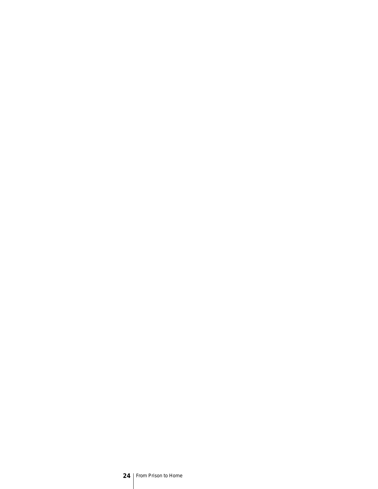### *From Prison to Home*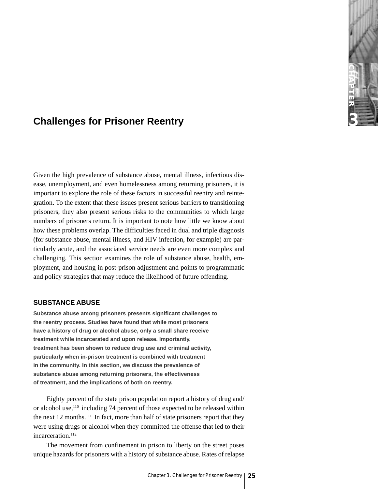

# **Challenges for Prisoner Reentry**

Given the high prevalence of substance abuse, mental illness, infectious disease, unemployment, and even homelessness among returning prisoners, it is important to explore the role of these factors in successful reentry and reintegration. To the extent that these issues present serious barriers to transitioning prisoners, they also present serious risks to the communities to which large numbers of prisoners return. It is important to note how little we know about how these problems overlap. The difficulties faced in dual and triple diagnosis (for substance abuse, mental illness, and HIV infection, for example) are particularly acute, and the associated service needs are even more complex and challenging. This section examines the role of substance abuse, health, employment, and housing in post-prison adjustment and points to programmatic and policy strategies that may reduce the likelihood of future offending.

### **SUBSTANCE ABUSE**

**Substance abuse among prisoners presents significant challenges to the reentry process. Studies have found that while most prisoners have a history of drug or alcohol abuse, only a small share receive treatment while incarcerated and upon release. Importantly, treatment has been shown to reduce drug use and criminal activity, particularly when in-prison treatment is combined with treatment in the community. In this section, we discuss the prevalence of substance abuse among returning prisoners, the effectiveness of treatment, and the implications of both on reentry.**

Eighty percent of the state prison population report a history of drug and/ or alcohol use,110 including 74 percent of those expected to be released within the next 12 months.111 In fact, more than half of state prisoners report that they were using drugs or alcohol when they committed the offense that led to their incarceration.<sup>112</sup>

The movement from confinement in prison to liberty on the street poses unique hazards for prisoners with a history of substance abuse. Rates of relapse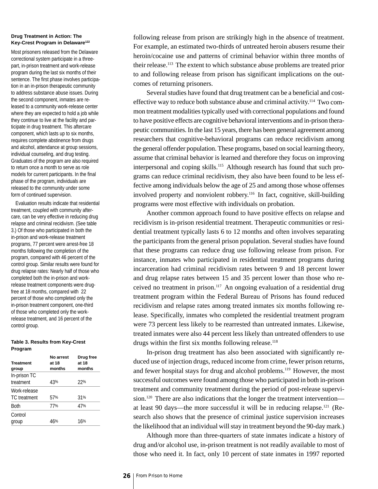### **Drug Treatment in Action: The Key-Crest Program in Delaware122**

Most prisoners released from the Delaware correctional system participate in a threepart, in-prison treatment and work-release program during the last six months of their sentence. The first phase involves participation in an in-prison therapeutic community to address substance abuse issues. During the second component, inmates are released to a community work-release center where they are expected to hold a job while they continue to live at the facility and participate in drug treatment. This aftercare component, which lasts up to six months, requires complete abstinence from drugs and alcohol, attendance at group sessions, individual counseling, and drug testing. Graduates of the program are also required to return once a month to serve as role models for current participants. In the final phase of the program, individuals are released to the community under some form of continued supervision.

Evaluation results indicate that residential treatment, coupled with community aftercare, can be very effective in reducing drug relapse and criminal recidivism. (See table 3.) Of those who participated in both the in-prison and work-release treatment programs, 77 percent were arrest-free 18 months following the completion of the program, compared with 46 percent of the control group. Similar results were found for drug relapse rates: Nearly half of those who completed both the in-prison and workrelease treatment components were drugfree at 18 months, compared with 22 percent of those who completed only the in-prison treatment component, one-third of those who completed only the workrelease treatment, and 16 percent of the control group.

### **Table 3. Results from Key-Crest Program**

| <b>Treatment</b><br>group | No arrest<br>at 18<br>months | Drug free<br>at 18<br>months |
|---------------------------|------------------------------|------------------------------|
| In-prison TC              |                              |                              |
| treatment                 | 43%                          | 22%                          |
| Work-release              |                              |                              |
| <b>TC</b> treatment       | 57%                          | 31%                          |
| Both                      | 77%                          | 47%                          |
| Control                   |                              |                              |
| group                     | 46%                          | 16%                          |

following release from prison are strikingly high in the absence of treatment. For example, an estimated two-thirds of untreated heroin abusers resume their heroin/cocaine use and patterns of criminal behavior within three months of their release.113 The extent to which substance abuse problems are treated prior to and following release from prison has significant implications on the outcomes of returning prisoners.

Several studies have found that drug treatment can be a beneficial and costeffective way to reduce both substance abuse and criminal activity.114 Two common treatment modalities typically used with correctional populations and found to have positive effects are cognitive behavioral interventions and in-prison therapeutic communities. In the last 15 years, there has been general agreement among researchers that cognitive-behavioral programs can reduce recidivism among the general offender population. These programs, based on social learning theory, assume that criminal behavior is learned and therefore they focus on improving interpersonal and coping skills.<sup>115</sup> Although research has found that such programs can reduce criminal recidivism, they also have been found to be less effective among individuals below the age of 25 and among those whose offenses involved property and nonviolent robbery.116 In fact, cognitive, skill-building programs were most effective with individuals on probation.

Another common approach found to have positive effects on relapse and recidivism is in-prison residential treatment. Therapeutic communities or residential treatment typically lasts 6 to 12 months and often involves separating the participants from the general prison population. Several studies have found that these programs can reduce drug use following release from prison. For instance, inmates who participated in residential treatment programs during incarceration had criminal recidivism rates between 9 and 18 percent lower and drug relapse rates between 15 and 35 percent lower than those who received no treatment in prison.117 An ongoing evaluation of a residential drug treatment program within the Federal Bureau of Prisons has found reduced recidivism and relapse rates among treated inmates six months following release. Specifically, inmates who completed the residential treatment program were 73 percent less likely to be rearrested than untreated inmates. Likewise, treated inmates were also 44 percent less likely than untreated offenders to use drugs within the first six months following release.<sup>118</sup>

In-prison drug treatment has also been associated with significantly reduced use of injection drugs, reduced income from crime, fewer prison returns, and fewer hospital stays for drug and alcohol problems.<sup>119</sup> However, the most successful outcomes were found among those who participated in both in-prison treatment and community treatment during the period of post-release supervision.<sup>120</sup> There are also indications that the longer the treatment intervention at least 90 days—the more successful it will be in reducing relapse.121 (Research also shows that the presence of criminal justice supervision increases the likelihood that an individual will stay in treatment beyond the 90-day mark.)

Although more than three-quarters of state inmates indicate a history of drug and/or alcohol use, in-prison treatment is not readily available to most of those who need it. In fact, only 10 percent of state inmates in 1997 reported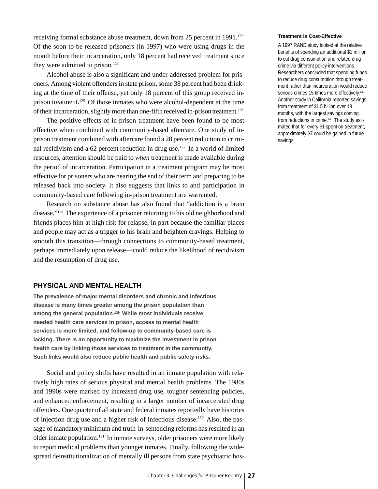receiving formal substance abuse treatment, down from 25 percent in 1991.<sup>123</sup> Of the soon-to-be-released prisoners (in 1997) who were using drugs in the month before their incarceration, only 18 percent had received treatment since they were admitted to prison.<sup>124</sup>

Alcohol abuse is also a significant and under-addressed problem for prisoners. Among violent offenders in state prison, some 38 percent had been drinking at the time of their offense, yet only 18 percent of this group received inprison treatment.125 Of those inmates who were alcohol-dependent at the time of their incarceration, slightly more than one-fifth received in-prison treatment.126

The positive effects of in-prison treatment have been found to be most effective when combined with community-based aftercare. One study of inprison treatment combined with aftercare found a 28 percent reduction in criminal recidivism and a  $62$  percent reduction in drug use.<sup>127</sup> In a world of limited resources, attention should be paid to *when* treatment is made available during the period of incarceration. Participation in a treatment program may be most effective for prisoners who are nearing the end of their term and preparing to be released back into society. It also suggests that links to and participation in community-based care following in-prison treatment are warranted.

Research on substance abuse has also found that "addiction is a brain disease."128 The experience of a prisoner returning to his old neighborhood and friends places him at high risk for relapse, in part because the familiar places and people may act as a trigger to his brain and heighten cravings. Helping to smooth this transition—through connections to community-based treatment, perhaps immediately upon release––could reduce the likelihood of recidivism and the resumption of drug use.

### **PHYSICAL AND MENTAL HEALTH**

**The prevalence of major mental disorders and chronic and infectious disease is many times greater among the prison population than among the general population.129 While most individuals receive needed health care services in prison, access to mental health services is more limited, and follow-up to community-based care is lacking. There is an opportunity to maximize the investment in prison health care by linking those services to treatment in the community. Such links would also reduce public health and public safety risks.**

Social and policy shifts have resulted in an inmate population with relatively high rates of serious physical and mental health problems. The 1980s and 1990s were marked by increased drug use, tougher sentencing policies, and enhanced enforcement, resulting in a larger number of incarcerated drug offenders. One quarter of all state and federal inmates reportedly have histories of injection drug use and a higher risk of infectious disease.130 Also, the passage of mandatory minimum and truth-in-sentencing reforms has resulted in an older inmate population.131 In inmate surveys, older prisoners were more likely to report medical problems than younger inmates. Finally, following the widespread deinstitutionalization of mentally ill persons from state psychiatric hos-

#### **Treatment is Cost-Effective**

A 1997 RAND study looked at the relative benefits of spending an additional \$1 million to cut drug consumption and related drug crime via different policy interventions. Researchers concluded that spending funds to reduce drug consumption through treatment rather than incarceration would reduce serious crimes 15 times more effectively.<sup>132</sup> Another study in California reported savings from treatment of \$1.5 billion over 18 months, with the largest savings coming from reductions in crime.<sup>133</sup> The study estimated that for every \$1 spent on treatment, approximately \$7 could be gained in future savings.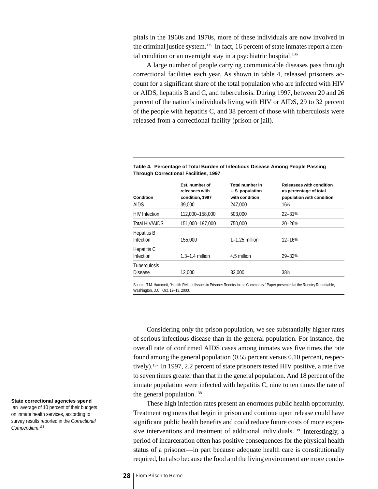pitals in the 1960s and 1970s, more of these individuals are now involved in the criminal justice system.<sup>135</sup> In fact, 16 percent of state inmates report a mental condition or an overnight stay in a psychiatric hospital. $136$ 

A large number of people carrying communicable diseases pass through correctional facilities each year. As shown in table 4, released prisoners account for a significant share of the total population who are infected with HIV or AIDS, hepatitis B and C, and tuberculosis. During 1997, between 20 and 26 percent of the nation's individuals living with HIV or AIDS, 29 to 32 percent of the people with hepatitis C, and 38 percent of those with tuberculosis were released from a correctional facility (prison or jail).

| Condition                             | Est. number of<br>releasees with<br>condition, 1997 | Total number in<br>U.S. population<br>with condition | <b>Releasees with condition</b><br>as percentage of total<br>population with condition |
|---------------------------------------|-----------------------------------------------------|------------------------------------------------------|----------------------------------------------------------------------------------------|
| <b>AIDS</b>                           | 39,000                                              | 247.000                                              | 16%                                                                                    |
| <b>HIV</b> Infection                  | 112,000-158,000                                     | 503,000                                              | 22-31%                                                                                 |
| <b>Total HIV/AIDS</b>                 | 151.000-197.000                                     | 750,000                                              | $20 - 26%$                                                                             |
| Hepatitis B<br>Infection              | 155,000                                             | $1-1.25$ million                                     | $12 - 16%$                                                                             |
| Hepatitis C<br>Infection              | $1.3 - 1.4$ million                                 | 4.5 million                                          | 29-32%                                                                                 |
| <b>Tuberculosis</b><br><b>Disease</b> | 12,000                                              | 32,000                                               | 38%                                                                                    |

| Table 4. Percentage of Total Burden of Infectious Disease Among People Passing |
|--------------------------------------------------------------------------------|
| <b>Through Correctional Facilities, 1997</b>                                   |

Source: T.M. Hammett, "Health-Related Issues in Prisoner Reentry to the Community." Paper presented at the Reentry Roundtable, Washington, D.C., Oct. 12–13, 2000.

Considering only the prison population, we see substantially higher rates of serious infectious disease than in the general population. For instance, the overall rate of confirmed AIDS cases among inmates was five times the rate found among the general population (0.55 percent versus 0.10 percent, respectively).137 In 1997, 2.2 percent of state prisoners tested HIV positive, a rate five to seven times greater than that in the general population. And 18 percent of the inmate population were infected with hepatitis C, nine to ten times the rate of the general population.<sup>138</sup>

These high infection rates present an enormous public health opportunity. Treatment regimens that begin in prison and continue upon release could have significant public health benefits and could reduce future costs of more expensive interventions and treatment of additional individuals.<sup>139</sup> Interestingly, a period of incarceration often has positive consequences for the physical health status of a prisoner—in part because adequate health care is constitutionally required, but also because the food and the living environment are more condu-

#### **State correctional agencies spend**

an average of 10 percent of their budgets on inmate health services, according to survey results reported in the *Correctional Compendium*. 134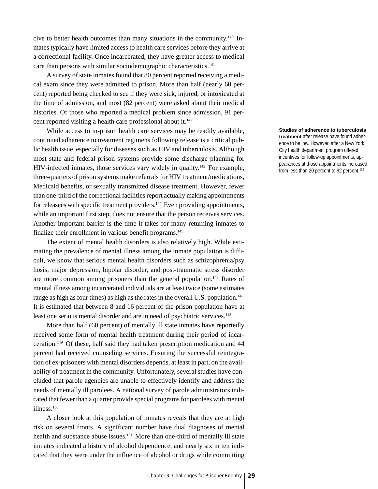cive to better health outcomes than many situations in the community.140 Inmates typically have limited access to health care services before they arrive at a correctional facility. Once incarcerated, they have greater access to medical care than persons with similar sociodemographic characteristics.<sup>141</sup>

A survey of state inmates found that 80 percent reported receiving a medical exam since they were admitted to prison. More than half (nearly 60 percent) reported being checked to see if they were sick, injured, or intoxicated at the time of admission, and most (82 percent) were asked about their medical histories. Of those who reported a medical problem since admission, 91 percent reported visiting a health care professional about it.142

While access to in-prison health care services may be readily available, continued adherence to treatment regimens following release is a critical public health issue, especially for diseases such as HIV and tuberculosis. Although most state and federal prison systems provide some discharge planning for HIV-infected inmates, those services vary widely in quality.<sup>143</sup> For example, three-quarters of prison systems make referrals for HIV treatment/medications, Medicaid benefits, or sexually transmitted disease treatment. However, fewer than one-third of the correctional facilities report actually making appointments for releasees with specific treatment providers.<sup>144</sup> Even providing appointments, while an important first step, does not ensure that the person receives services. Another important barrier is the time it takes for many returning inmates to finalize their enrollment in various benefit programs.145

The extent of mental health disorders is also relatively high. While estimating the prevalence of mental illness among the inmate population is difficult, we know that serious mental health disorders such as schizophrenia/psy hosis, major depression, bipolar disorder, and post-traumatic stress disorder are more common among prisoners than the general population.<sup>146</sup> Rates of mental illness among incarcerated individuals are at least twice (some estimates range as high as four times) as high as the rates in the overall U.S. population.<sup>147</sup> It is estimated that between 8 and 16 percent of the prison population have at least one serious mental disorder and are in need of psychiatric services.<sup>148</sup>

More than half (60 percent) of mentally ill state inmates have reportedly received some form of mental health treatment during their period of incarceration.149 Of these, half said they had taken prescription medication and 44 percent had received counseling services. Ensuring the successful reintegration of ex-prisoners with mental disorders depends, at least in part, on the availability of treatment in the community. Unfortunately, several studies have concluded that parole agencies are unable to effectively identify and address the needs of mentally ill parolees. A national survey of parole administrators indicated that fewer than a quarter provide special programs for parolees with mental illness.150

A closer look at this population of inmates reveals that they are at high risk on several fronts. A significant number have dual diagnoses of mental health and substance abuse issues.<sup>151</sup> More than one-third of mentally ill state inmates indicated a history of alcohol dependence, and nearly six in ten indicated that they were under the influence of alcohol or drugs while committing **Studies of adherence to tuberculosis treatment** after release have found adherence to be low. However, after a New York City health department program offered incentives for follow-up appointments, appearances at those appointments increased from less than 20 percent to 92 percent.<sup>152</sup>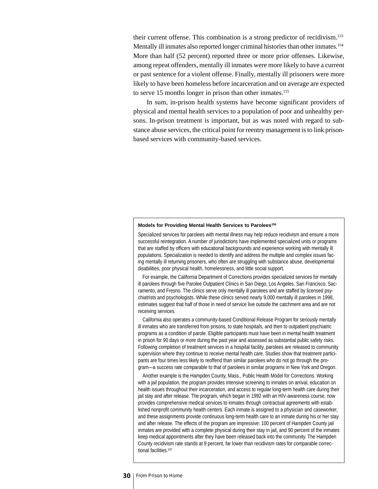their current offense. This combination is a strong predictor of recidivism.153 Mentally ill inmates also reported longer criminal histories than other inmates.<sup>154</sup> More than half (52 percent) reported three or more prior offenses. Likewise, among repeat offenders, mentally ill inmates were more likely to have a current or past sentence for a violent offense. Finally, mentally ill prisoners were more likely to have been homeless before incarceration and on average are expected to serve 15 months longer in prison than other inmates.<sup>155</sup>

In sum, in-prison health systems have become significant providers of physical and mental health services to a population of poor and unhealthy persons. In-prison treatment is important, but as was noted with regard to substance abuse services, the critical point for reentry management is to link prisonbased services with community-based services.

#### **Models for Providing Mental Health Services to Parolees156**

Specialized services for parolees with mental illness may help reduce recidivism and ensure a more successful reintegration. A number of jurisdictions have implemented specialized units or programs that are staffed by officers with educational backgrounds and experience working with mentally ill populations. Specialization is needed to identify and address the multiple and complex issues facing mentally ill returning prisoners, who often are struggling with substance abuse, developmental disabilities, poor physical health, homelessness, and little social support.

For example, the California Department of Corrections provides specialized services for mentally ill parolees through five Parolee Outpatient Clinics in San Diego, Los Angeles, San Francisco, Sacramento, and Fresno. The clinics serve only mentally ill parolees and are staffed by licensed psychiatrists and psychologists. While these clinics served nearly 9,000 mentally ill parolees in 1998, estimates suggest that half of those in need of service live outside the catchment area and are not receiving services.

California also operates a community-based Conditional Release Program for seriously mentally ill inmates who are transferred from prisons, to state hospitals, and then to outpatient psychiatric programs as a condition of parole. Eligible participants must have been in mental health treatment in prison for 90 days or more during the past year and assessed as substantial public safety risks. Following completion of treatment services in a hospital facility, parolees are released to community supervision where they continue to receive mental health care. Studies show that treatment participants are four times less likely to reoffend than similar parolees who do not go through the program—a success rate comparable to that of parolees in similar programs in New York and Oregon.

Another example is the Hampden County, Mass., Public Health Model for Corrections. Working with a jail population, the program provides intensive screening to inmates on arrival, education on health issues throughout their incarceration, and access to regular long-term health care during their jail stay and after release. The program, which began in 1992 with an HIV-awareness course, now provides comprehensive medical services to inmates through contractual agreements with established nonprofit community health centers. Each inmate is assigned to a physician and caseworker, and these assignments provide continuous long-term health care to an inmate during his or her stay and after release. The effects of the program are impressive: 100 percent of Hampden County jail inmates are provided with a complete physical during their stay in jail, and 90 percent of the inmates keep medical appointments after they have been released back into the community. The Hampden County recidivism rate stands at 9 percent, far lower than recidivism rates for comparable correctional facilities.<sup>157</sup>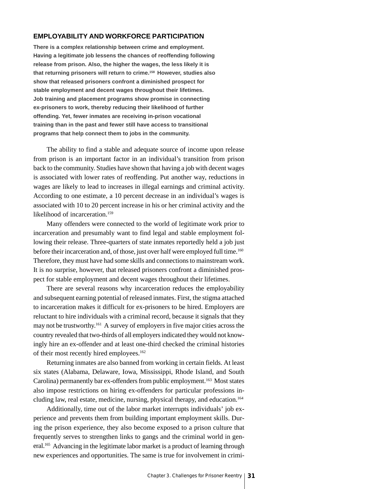### **EMPLOYABILITY AND WORKFORCE PARTICIPATION**

**There is a complex relationship between crime and employment. Having a legitimate job lessens the chances of reoffending following release from prison. Also, the higher the wages, the less likely it is that returning prisoners will return to crime.158 However, studies also show that released prisoners confront a diminished prospect for stable employment and decent wages throughout their lifetimes. Job training and placement programs show promise in connecting ex-prisoners to work, thereby reducing their likelihood of further offending. Yet, fewer inmates are receiving in-prison vocational training than in the past and fewer still have access to transitional programs that help connect them to jobs in the community.**

The ability to find a stable and adequate source of income upon release from prison is an important factor in an individual's transition from prison back to the community. Studies have shown that having a job with decent wages is associated with lower rates of reoffending. Put another way, reductions in wages are likely to lead to increases in illegal earnings and criminal activity. According to one estimate, a 10 percent decrease in an individual's wages is associated with 10 to 20 percent increase in his or her criminal activity and the likelihood of incarceration.<sup>159</sup>

Many offenders were connected to the world of legitimate work prior to incarceration and presumably want to find legal and stable employment following their release. Three-quarters of state inmates reportedly held a job just before their incarceration and, of those, just over half were employed full time.<sup>160</sup> Therefore, they must have had some skills and connections to mainstream work. It is no surprise, however, that released prisoners confront a diminished prospect for stable employment and decent wages throughout their lifetimes.

There are several reasons why incarceration reduces the employability and subsequent earning potential of released inmates. First, the stigma attached to incarceration makes it difficult for ex-prisoners to be hired. Employers are reluctant to hire individuals with a criminal record, because it signals that they may not be trustworthy.161 A survey of employers in five major cities across the country revealed that two-thirds of all employers indicated they would not knowingly hire an ex-offender and at least one-third checked the criminal histories of their most recently hired employees.<sup>162</sup>

Returning inmates are also banned from working in certain fields. At least six states (Alabama, Delaware, Iowa, Mississippi, Rhode Island, and South Carolina) permanently bar ex-offenders from public employment.<sup>163</sup> Most states also impose restrictions on hiring ex-offenders for particular professions including law, real estate, medicine, nursing, physical therapy, and education.<sup>164</sup>

Additionally, time out of the labor market interrupts individuals' job experience and prevents them from building important employment skills. During the prison experience, they also become exposed to a prison culture that frequently serves to strengthen links to gangs and the criminal world in general.165 Advancing in the legitimate labor market is a product of learning through new experiences and opportunities. The same is true for involvement in crimi-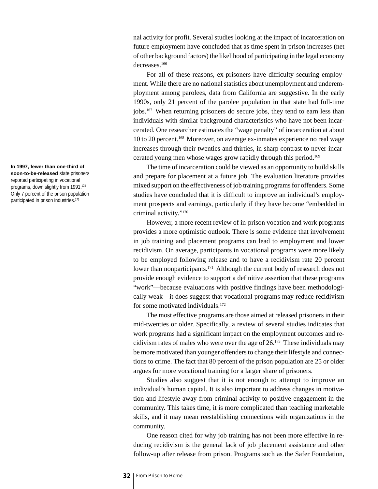nal activity for profit. Several studies looking at the impact of incarceration on future employment have concluded that as time spent in prison increases (net of other background factors) the likelihood of participating in the legal economy decreases.<sup>166</sup>

For all of these reasons, ex-prisoners have difficulty securing employment. While there are no national statistics about unemployment and underemployment among parolees, data from California are suggestive. In the early 1990s, only 21 percent of the parolee population in that state had full-time jobs.167 When returning prisoners do secure jobs, they tend to earn less than individuals with similar background characteristics who have not been incarcerated. One researcher estimates the "wage penalty" of incarceration at about 10 to 20 percent.168 Moreover, on average ex-inmates experience no real wage increases through their twenties and thirties, in sharp contrast to never-incarcerated young men whose wages grow rapidly through this period.169

The time of incarceration could be viewed as an opportunity to build skills and prepare for placement at a future job. The evaluation literature provides mixed support on the effectiveness of job training programs for offenders. Some studies have concluded that it is difficult to improve an individual's employment prospects and earnings, particularly if they have become "embedded in criminal activity."170

However, a more recent review of in-prison vocation and work programs provides a more optimistic outlook. There is some evidence that involvement in job training and placement programs can lead to employment and lower recidivism. On average, participants in vocational programs were more likely to be employed following release and to have a recidivism rate 20 percent lower than nonparticipants.<sup>171</sup> Although the current body of research does not provide enough evidence to support a definitive assertion that these programs "work"—because evaluations with positive findings have been methodologically weak—it does suggest that vocational programs may reduce recidivism for some motivated individuals.172

The most effective programs are those aimed at released prisoners in their mid-twenties or older. Specifically, a review of several studies indicates that work programs had a significant impact on the employment outcomes and recidivism rates of males who were over the age of  $26$ .<sup>173</sup> These individuals may be more motivated than younger offenders to change their lifestyle and connections to crime. The fact that 80 percent of the prison population are 25 or older argues for more vocational training for a larger share of prisoners.

Studies also suggest that it is not enough to attempt to improve an individual's human capital. It is also important to address changes in motivation and lifestyle away from criminal activity to positive engagement in the community. This takes time, it is more complicated than teaching marketable skills, and it may mean reestablishing connections with organizations in the community.

One reason cited for why job training has not been more effective in reducing recidivism is the general lack of job placement assistance and other follow-up after release from prison. Programs such as the Safer Foundation,

**In 1997, fewer than one-third of soon-to-be-released** state prisoners reported participating in vocational programs, down slightly from 1991.174 Only 7 percent of the prison population participated in prison industries.175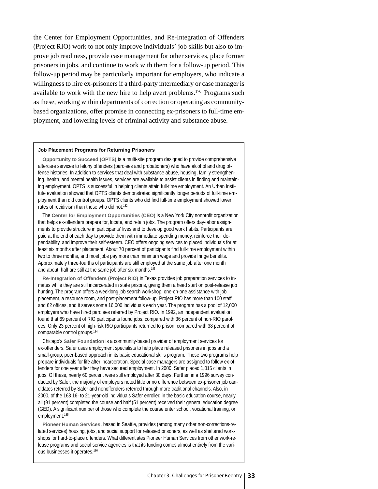the Center for Employment Opportunities, and Re-Integration of Offenders (Project RIO) work to not only improve individuals' job skills but also to improve job readiness, provide case management for other services, place former prisoners in jobs, and continue to work with them for a follow-up period. This follow-up period may be particularly important for employers, who indicate a willingness to hire ex-prisoners if a third-party intermediary or case manager is available to work with the new hire to help avert problems.176 Programs such as these, working within departments of correction or operating as communitybased organizations, offer promise in connecting ex-prisoners to full-time employment, and lowering levels of criminal activity and substance abuse.

### **Job Placement Programs for Returning Prisoners**

**Opportunity to Succeed (OPTS)** is a multi-site program designed to provide comprehensive aftercare services to felony offenders (parolees and probationers) who have alcohol and drug offense histories. In addition to services that deal with substance abuse, housing, family strengthening, health, and mental health issues, services are available to assist clients in finding and maintaining employment. OPTS is successful in helping clients attain full-time employment. An Urban Institute evaluation showed that OPTS clients demonstrated significantly longer periods of full-time employment than did control groups. OPTS clients who did find full-time employment showed lower rates of recidivism than those who did not.<sup>182</sup>

The **Center for Employment Opportunities (CEO)** is a New York City nonprofit organization that helps ex-offenders prepare for, locate, and retain jobs. The program offers day-labor assignments to provide structure in participants' lives and to develop good work habits. Participants are paid at the end of each day to provide them with immediate spending money, reinforce their dependability, and improve their self-esteem. CEO offers ongoing services to placed individuals for at least six months after placement. About 70 percent of participants find full-time employment within two to three months, and most jobs pay more than minimum wage and provide fringe benefits. Approximately three-fourths of participants are still employed at the same job after one month and about half are still at the same job after six months.<sup>183</sup>

**Re-Integration of Offenders (Project RIO)** in Texas provides job preparation services to inmates while they are still incarcerated in state prisons, giving them a head start on post-release job hunting. The program offers a weeklong job search workshop, one-on-one assistance with job placement, a resource room, and post-placement follow-up. Project RIO has more than 100 staff and 62 offices, and it serves some 16,000 individuals each year. The program has a pool of 12,000 employers who have hired parolees referred by Project RIO. In 1992, an independent evaluation found that 69 percent of RIO participants found jobs, compared with 36 percent of non-RIO parolees. Only 23 percent of high-risk RIO participants returned to prison, compared with 38 percent of comparable control groups.184

Chicago's **Safer Foundation** is a community-based provider of employment services for ex-offenders. Safer uses employment specialists to help place released prisoners in jobs and a small-group, peer-based approach in its basic educational skills program. These two programs help prepare individuals for life after incarceration. Special case managers are assigned to follow ex-offenders for one year after they have secured employment. In 2000, Safer placed 1,015 clients in jobs. Of these, nearly 60 percent were still employed after 30 days. Further, in a 1996 survey conducted by Safer, the majority of employers noted little or no difference between ex-prisoner job candidates referred by Safer and nonoffenders referred through more traditional channels. Also, in 2000, of the 168 16- to 21-year-old individuals Safer enrolled in the basic education course, nearly all (91 percent) completed the course and half (51 percent) received their general education degree (GED). A significant number of those who complete the course enter school, vocational training, or employment.185

**Pioneer Human Services,** based in Seattle, provides (among many other non-corrections-related services) housing, jobs, and social support for released prisoners, as well as sheltered workshops for hard-to-place offenders. What differentiates Pioneer Human Services from other work-release programs and social service agencies is that its funding comes almost entirely from the various businesses it operates.<sup>186</sup>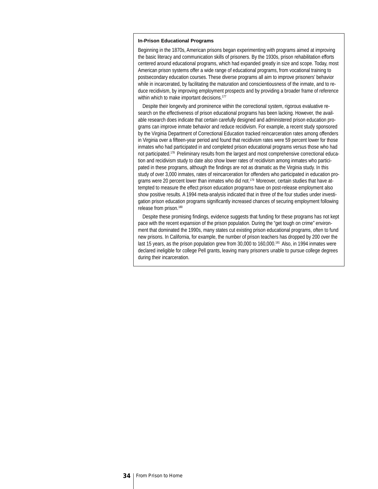### **In-Prison Educational Programs**

Beginning in the 1870s, American prisons began experimenting with programs aimed at improving the basic literacy and communication skills of prisoners. By the 1930s, prison rehabilitation efforts centered around educational programs, which had expanded greatly in size and scope. Today, most American prison systems offer a wide range of educational programs, from vocational training to postsecondary education courses. These diverse programs all aim to improve prisoners' behavior while in incarcerated, by facilitating the maturation and conscientiousness of the inmate, and to reduce recidivism, by improving employment prospects and by providing a broader frame of reference within which to make important decisions.<sup>177</sup>

Despite their longevity and prominence within the correctional system, rigorous evaluative research on the effectiveness of prison educational programs has been lacking. However, the available research does indicate that certain carefully designed and administered prison education programs can improve inmate behavior and reduce recidivism. For example, a recent study sponsored by the Virginia Department of Correctional Education tracked reincarceration rates among offenders in Virginia over a fifteen-year period and found that recidivism rates were 59 percent lower for those inmates who had participated in and completed prison educational programs versus those who had not participated.178 Preliminary results from the largest and most comprehensive correctional education and recidivism study to date also show lower rates of recidivism among inmates who participated in these programs, although the findings are not as dramatic as the Virginia study. In this study of over 3,000 inmates, rates of reincarceration for offenders who participated in education programs were 20 percent lower than inmates who did not.<sup>179</sup> Moreover, certain studies that have attempted to measure the effect prison education programs have on post-release employment also show positive results. A 1994 meta-analysis indicated that in three of the four studies under investigation prison education programs significantly increased chances of securing employment following release from prison.180

Despite these promising findings, evidence suggests that funding for these programs has not kept pace with the recent expansion of the prison population. During the "get tough on crime" environment that dominated the 1990s, many states cut existing prison educational programs, often to fund new prisons. In California, for example, the number of prison teachers has dropped by 200 over the last 15 years, as the prison population grew from 30,000 to 160,000.<sup>181</sup> Also, in 1994 inmates were declared ineligible for college Pell grants, leaving many prisoners unable to pursue college degrees during their incarceration.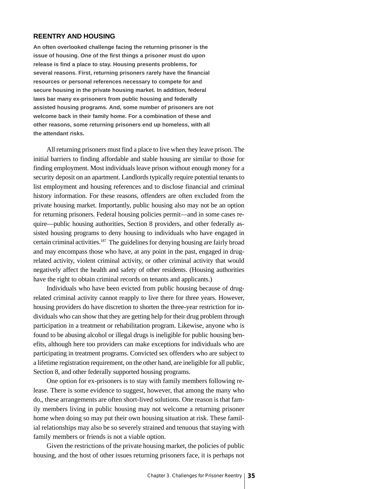### **REENTRY AND HOUSING**

**An often overlooked challenge facing the returning prisoner is the issue of housing. One of the first things a prisoner must do upon release is find a place to stay. Housing presents problems, for several reasons. First, returning prisoners rarely have the financial resources or personal references necessary to compete for and secure housing in the private housing market. In addition, federal laws bar many ex-prisoners from public housing and federally assisted housing programs. And, some number of prisoners are not welcome back in their family home. For a combination of these and other reasons, some returning prisoners end up homeless, with all the attendant risks.**

All returning prisoners must find a place to live when they leave prison. The initial barriers to finding affordable and stable housing are similar to those for finding employment. Most individuals leave prison without enough money for a security deposit on an apartment. Landlords typically require potential tenants to list employment and housing references and to disclose financial and criminal history information. For these reasons, offenders are often excluded from the private housing market. Importantly, public housing also may not be an option for returning prisoners. Federal housing policies permit—and in some cases require—public housing authorities, Section 8 providers, and other federally assisted housing programs to deny housing to individuals who have engaged in certain criminal activities.187 The guidelines for denying housing are fairly broad and may encompass those who have, at any point in the past, engaged in drugrelated activity, violent criminal activity, or other criminal activity that would negatively affect the health and safety of other residents. (Housing authorities have the right to obtain criminal records on tenants and applicants.)

Individuals who have been evicted from public housing because of drugrelated criminal activity cannot reapply to live there for three years. However, housing providers do have discretion to shorten the three-year restriction for individuals who can show that they are getting help for their drug problem through participation in a treatment or rehabilitation program. Likewise, anyone who is found to be abusing alcohol or illegal drugs is ineligible for public housing benefits, although here too providers can make exceptions for individuals who are participating in treatment programs. Convicted sex offenders who are subject to a lifetime registration requirement, on the other hand, are ineligible for all public, Section 8, and other federally supported housing programs.

One option for ex-prisoners is to stay with family members following release. There is some evidence to suggest, however, that among the many who do,, these arrangements are often short-lived solutions. One reason is that family members living in public housing may not welcome a returning prisoner home when doing so may put their own housing situation at risk. These familial relationships may also be so severely strained and tenuous that staying with family members or friends is not a viable option.

Given the restrictions of the private housing market, the policies of public housing, and the host of other issues returning prisoners face, it is perhaps not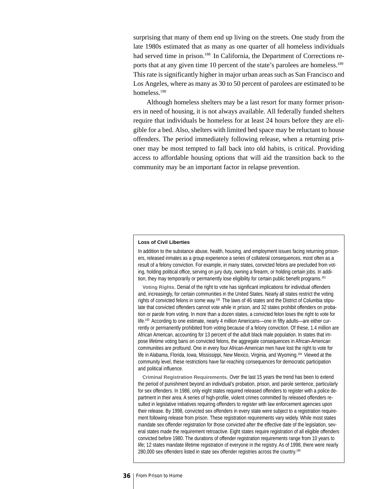surprising that many of them end up living on the streets. One study from the late 1980s estimated that as many as one quarter of all homeless individuals had served time in prison.<sup>188</sup> In California, the Department of Corrections reports that at any given time 10 percent of the state's parolees are homeless.<sup>189</sup> This rate is significantly higher in major urban areas such as San Francisco and Los Angeles, where as many as 30 to 50 percent of parolees are estimated to be homeless.190

Although homeless shelters may be a last resort for many former prisoners in need of housing, it is not always available. All federally funded shelters require that individuals be homeless for at least 24 hours before they are eligible for a bed. Also, shelters with limited bed space may be reluctant to house offenders. The period immediately following release, when a returning prisoner may be most tempted to fall back into old habits, is critical. Providing access to affordable housing options that will aid the transition back to the community may be an important factor in relapse prevention.

### **Loss of Civil Liberties**

In addition to the substance abuse, health, housing, and employment issues facing returning prisoners, released inmates as a group experience a series of collateral consequences, most often as a result of a felony conviction. For example, in many states, convicted felons are precluded from voting, holding political office, serving on jury duty, owning a firearm, or holding certain jobs. In addition, they may temporarily or permanently lose eligibility for certain public benefit programs.<sup>191</sup>

**Voting Rights.** Denial of the right to vote has significant implications for individual offenders and, increasingly, for certain communities in the United States. Nearly all states restrict the voting rights of convicted felons in some way.<sup>192</sup> The laws of 46 states and the District of Columbia stipulate that convicted offenders cannot vote while in prison, and 32 states prohibit offenders on probation or parole from voting. In more than a dozen states, a convicted felon loses the right to vote for life.193 According to one estimate, nearly 4 million Americans—one in fifty adults—are either currently or permanently prohibited from voting because of a felony conviction. Of these, 1.4 million are African American, accounting for 13 percent of the adult black male population. In states that impose lifetime voting bans on convicted felons, the aggregate consequences in African-American communities are profound. One in every four African-American men have lost the right to vote for life in Alabama, Florida, Iowa, Mississippi, New Mexico, Virginia, and Wyoming.194 Viewed at the community level, these restrictions have far-reaching consequences for democratic participation and political influence.

**Criminal Registration Requirements.** Over the last 15 years the trend has been to extend the period of punishment beyond an individual's probation, prison, and parole sentence, particularly for sex offenders. In 1986, only eight states required released offenders to register with a police department in their area. A series of high-profile, violent crimes committed by released offenders resulted in legislative initiatives requiring offenders to register with law enforcement agencies upon their release. By 1998, convicted sex offenders in every state were subject to a registration requirement following release from prison. These registration requirements vary widely. While most states mandate sex offender registration for those convicted after the effective date of the legislation, several states made the requirement retroactive. Eight states require registration of all eligible offenders convicted before 1980. The durations of offender registration requirements range from 10 years to life; 12 states mandate lifetime registration of everyone in the registry. As of 1998, there were nearly 280,000 sex offenders listed in state sex offender registries across the country.<sup>195</sup>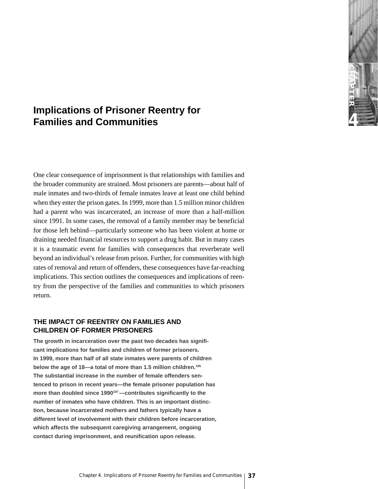

# **Implications of Prisoner Reentry for Families and Communities**

One clear consequence of imprisonment is that relationships with families and the broader community are strained. Most prisoners are parents—about half of male inmates and two-thirds of female inmates leave at least one child behind when they enter the prison gates. In 1999, more than 1.5 million minor children had a parent who was incarcerated, an increase of more than a half-million since 1991. In some cases, the removal of a family member may be beneficial for those left behind—particularly someone who has been violent at home or draining needed financial resources to support a drug habit. But in many cases it is a traumatic event for families with consequences that reverberate well beyond an individual's release from prison. Further, for communities with high rates of removal and return of offenders, these consequences have far-reaching implications. This section outlines the consequences and implications of reentry from the perspective of the families and communities to which prisoners return.

### **THE IMPACT OF REENTRY ON FAMILIES AND CHILDREN OF FORMER PRISONERS**

**The growth in incarceration over the past two decades has significant implications for families and children of former prisoners. In 1999, more than half of all state inmates were parents of children below the age of 18—a total of more than 1.5 million children.196 The substantial increase in the number of female offenders sentenced to prison in recent years—the female prisoner population has** more than doubled since 1990<sup>197</sup>—contributes significantly to the **number of inmates who have children. This is an important distinction, because incarcerated mothers and fathers typically have a different level of involvement with their children before incarceration, which affects the subsequent caregiving arrangement, ongoing contact during imprisonment, and reunification upon release.**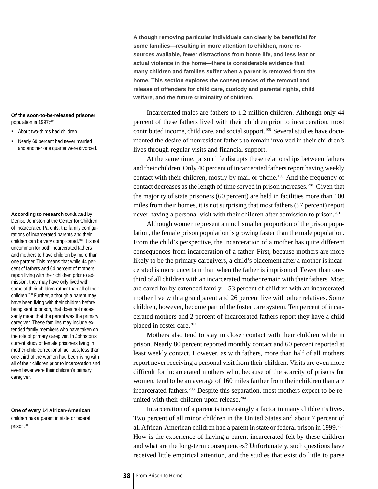#### **Of the soon-to-be-released prisoner** population in 1997:206

- ! About two-thirds had children
- ! Nearly 60 percent had never married and another one quarter were divorced.

**According to research** conducted by Denise Johnston at the Center for Children of Incarcerated Parents, the family configurations of incarcerated parents and their children can be very complicated.207 It is not uncommon for both incarcerated fathers and mothers to have children by more than one partner. This means that while 44 percent of fathers and 64 percent of mothers report living with their children prior to admission, they may have only lived with some of their children rather than all of their children.<sup>208</sup> Further, although a parent may have been living with their children before being sent to prison, that does not necessarily mean that the parent was the primary caregiver. These families may include extended family members who have taken on the role of primary caregiver. In Johnston's current study of female prisoners living in mother-child correctional facilities, less than one-third of the women had been living with all of their children prior to incarceration and even fewer were their children's primary caregiver.

### **One of every 14 African-American**

children has a parent in state or federal prison.209

**Although removing particular individuals can clearly be beneficial for some families—resulting in more attention to children, more resources available, fewer distractions from home life, and less fear or actual violence in the home—there is considerable evidence that many children and families suffer when a parent is removed from the home. This section explores the consequences of the removal and release of offenders for child care, custody and parental rights, child welfare, and the future criminality of children.**

Incarcerated males are fathers to 1.2 million children. Although only 44 percent of these fathers lived with their children prior to incarceration, most contributed income, child care, and social support.<sup>198</sup> Several studies have documented the desire of nonresident fathers to remain involved in their children's lives through regular visits and financial support.

At the same time, prison life disrupts these relationships between fathers and their children. Only 40 percent of incarcerated fathers report having weekly contact with their children, mostly by mail or phone.<sup>199</sup> And the frequency of contact decreases as the length of time served in prison increases.200 Given that the majority of state prisoners (60 percent) are held in facilities more than 100 miles from their homes, it is not surprising that most fathers (57 percent) report never having a personal visit with their children after admission to prison.<sup>201</sup>

Although women represent a much smaller proportion of the prison population, the female prison population is growing faster than the male population. From the child's perspective, the incarceration of a mother has quite different consequences from incarceration of a father. First, because mothers are more likely to be the primary caregivers, a child's placement after a mother is incarcerated is more uncertain than when the father is imprisoned. Fewer than onethird of all children with an incarcerated mother remain with their fathers. Most are cared for by extended family—53 percent of children with an incarcerated mother live with a grandparent and 26 percent live with other relatives. Some children, however, become part of the foster care system. Ten percent of incarcerated mothers and 2 percent of incarcerated fathers report they have a child placed in foster care.<sup>202</sup>

Mothers also tend to stay in closer contact with their children while in prison. Nearly 80 percent reported monthly contact and 60 percent reported at least weekly contact. However, as with fathers, more than half of all mothers report never receiving a personal visit from their children. Visits are even more difficult for incarcerated mothers who, because of the scarcity of prisons for women, tend to be an average of 160 miles farther from their children than are incarcerated fathers.<sup>203</sup> Despite this separation, most mothers expect to be reunited with their children upon release.<sup>204</sup>

Incarceration of a parent is increasingly a factor in many children's lives. Two percent of all minor children in the United States and about 7 percent of all African-American children had a parent in state or federal prison in 1999.205 How is the experience of having a parent incarcerated felt by these children and what are the long-term consequences? Unfortunately, such questions have received little empirical attention, and the studies that exist do little to parse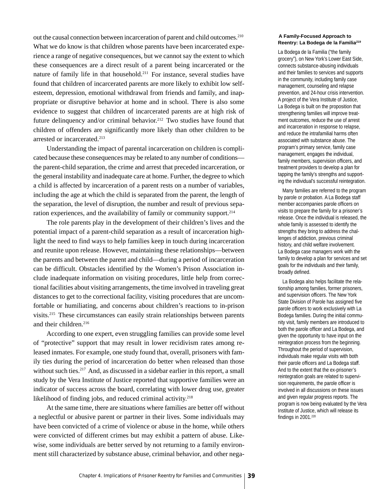out the causal connection between incarceration of parent and child outcomes.<sup>210</sup> What we do know is that children whose parents have been incarcerated experience a range of negative consequences, but we cannot say the extent to which these consequences are a direct result of a parent being incarcerated or the nature of family life in that household.<sup>211</sup> For instance, several studies have found that children of incarcerated parents are more likely to exhibit low selfesteem, depression, emotional withdrawal from friends and family, and inappropriate or disruptive behavior at home and in school. There is also some evidence to suggest that children of incarcerated parents are at high risk of future delinquency and/or criminal behavior.<sup>212</sup> Two studies have found that children of offenders are significantly more likely than other children to be arrested or incarcerated.<sup>213</sup>

Understanding the impact of parental incarceration on children is complicated because these consequences may be related to any number of conditions the parent-child separation, the crime and arrest that preceded incarceration, or the general instability and inadequate care at home. Further, the degree to which a child is affected by incarceration of a parent rests on a number of variables, including the age at which the child is separated from the parent, the length of the separation, the level of disruption, the number and result of previous separation experiences, and the availability of family or community support.<sup>214</sup>

The role parents play in the development of their children's lives and the potential impact of a parent-child separation as a result of incarceration highlight the need to find ways to help families keep in touch during incarceration and reunite upon release. However, maintaining these relationships—between the parents and between the parent and child—during a period of incarceration can be difficult. Obstacles identified by the Women's Prison Association include inadequate information on visiting procedures, little help from correctional facilities about visiting arrangements, the time involved in traveling great distances to get to the correctional facility, visiting procedures that are uncomfortable or humiliating, and concerns about children's reactions to in-prison visits.215 These circumstances can easily strain relationships between parents and their children.<sup>216</sup>

According to one expert, even struggling families can provide some level of "protective" support that may result in lower recidivism rates among released inmates. For example, one study found that, overall, prisoners with family ties during the period of incarceration do better when released than those without such ties.<sup>217</sup> And, as discussed in a sidebar earlier in this report, a small study by the Vera Institute of Justice reported that supportive families were an indicator of success across the board, correlating with lower drug use, greater likelihood of finding jobs, and reduced criminal activity.<sup>218</sup>

At the same time, there are situations where families are better off without a neglectful or abusive parent or partner in their lives. Some individuals may have been convicted of a crime of violence or abuse in the home, while others were convicted of different crimes but may exhibit a pattern of abuse. Likewise, some individuals are better served by not returning to a family environment still characterized by substance abuse, criminal behavior, and other nega-

### **A Family-Focused Approach to Reentry: La Bodega de la Familia219**

La Bodega de la Familia ("the family grocery"), on New York's Lower East Side, connects substance-abusing individuals and their families to services and supports in the community, including family case management, counseling and relapse prevention, and 24-hour crisis intervention. A project of the Vera Institute of Justice, La Bodega is built on the proposition that strengthening families will improve treatment outcomes, reduce the use of arrest and incarceration in response to relapse, and reduce the intrafamilial harms often associated with substance abuse. The program's primary service, family case management, engages the individual, family members, supervision officers, and treatment providers to develop a plan for tapping the family's strengths and supporting the individual's successful reintegration.

Many families are referred to the program by parole or probation. A La Bodega staff member accompanies parole officers on visits to prepare the family for a prisoner's release. Once the individual is released, the whole family is assessed to identify the strengths they bring to address the challenges of addiction, previous criminal history, and child welfare involvement. La Bodega case managers work with the family to develop a plan for services and set goals for the individuals and their family, broadly defined.

La Bodega also helps facilitate the relationship among families, former prisoners, and supervision officers. The New York State Division of Parole has assigned five parole officers to work exclusively with La Bodega families. During the initial community visit, family members are introduced to both the parole officer and La Bodega, and given the opportunity to have input on the reintegration process from the beginning. Throughout the period of supervision, individuals make regular visits with both their parole officers and La Bodega staff. And to the extent that the ex-prisoner's reintegration goals are related to supervision requirements, the parole officer is involved in all discussions on these issues and given regular progress reports. The program is now being evaluated by the Vera Institute of Justice, which will release its findings in 2001.220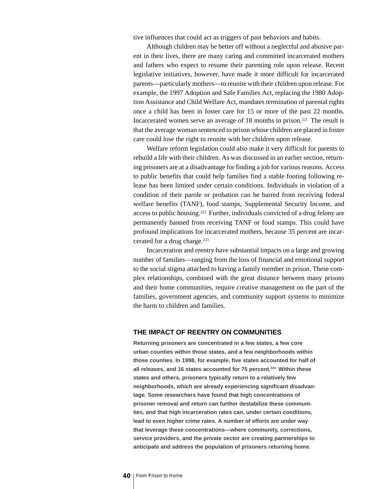tive influences that could act as triggers of past behaviors and habits.

Although children may be better off without a neglectful and abusive parent in their lives, there are many caring and committed incarcerated mothers and fathers who expect to resume their parenting role upon release. Recent legislative initiatives, however, have made it more difficult for incarcerated parents—particularly mothers—to reunite with their children upon release. For example, the 1997 Adoption and Safe Families Act, replacing the 1980 Adoption Assistance and Child Welfare Act, mandates termination of parental rights once a child has been in foster care for 15 or more of the past 22 months. Incarcerated women serve an average of 18 months in prison.<sup>221</sup> The result is that the average woman sentenced to prison whose children are placed in foster care could lose the right to reunite with her children upon release.

Welfare reform legislation could also make it very difficult for parents to rebuild a life with their children. As was discussed in an earlier section, returning prisoners are at a disadvantage for finding a job for various reasons. Access to public benefits that could help families find a stable footing following release has been limited under certain conditions. Individuals in violation of a condition of their parole or probation can be barred from receiving federal welfare benefits (TANF), food stamps, Supplemental Security Income, and access to public housing.<sup>222</sup> Further, individuals convicted of a drug felony are permanently banned from receiving TANF or food stamps. This could have profound implications for incarcerated mothers, because 35 percent are incarcerated for a drug charge.<sup>223</sup>

Incarceration and reentry have substantial impacts on a large and growing number of families—ranging from the loss of financial and emotional support to the social stigma attached to having a family member in prison. These complex relationships, combined with the great distance between many prisons and their home communities, require creative management on the part of the families, government agencies, and community support systems to minimize the harm to children and families.

### **THE IMPACT OF REENTRY ON COMMUNITIES**

**Returning prisoners are concentrated in a few states, a few core urban counties within those states, and a few neighborhoods within those counties. In 1998, for example, five states accounted for half of all releases, and 16 states accounted for 75 percent.224 Within these states and others, prisoners typically return to a relatively few neighborhoods, which are already experiencing significant disadvantage. Some researchers have found that high concentrations of prisoner removal and return can further destabilize these communities, and that high incarceration rates can, under certain conditions, lead to even higher crime rates. A number of efforts are under way that leverage these concentrations—where community, corrections, service providers, and the private sector are creating partnerships to anticipate and address the population of prisoners returning home.**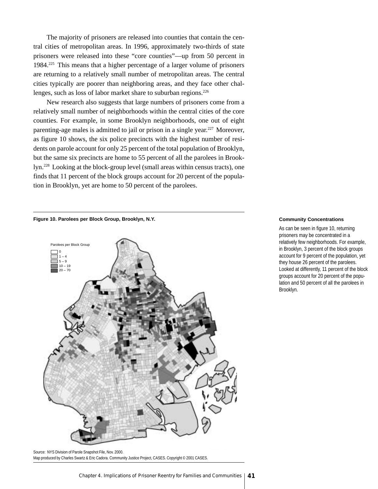The majority of prisoners are released into counties that contain the central cities of metropolitan areas. In 1996, approximately two-thirds of state prisoners were released into these "core counties"—up from 50 percent in 1984.225 This means that a higher percentage of a larger volume of prisoners are returning to a relatively small number of metropolitan areas. The central cities typically are poorer than neighboring areas, and they face other challenges, such as loss of labor market share to suburban regions.<sup>226</sup>

New research also suggests that large numbers of prisoners come from a relatively small number of neighborhoods within the central cities of the core counties. For example, in some Brooklyn neighborhoods, one out of eight parenting-age males is admitted to jail or prison in a single year.<sup>227</sup> Moreover, as figure 10 shows, the six police precincts with the highest number of residents on parole account for only 25 percent of the total population of Brooklyn, but the same six precincts are home to 55 percent of all the parolees in Brooklyn.228 Looking at the block-group level (small areas within census tracts), one finds that 11 percent of the block groups account for 20 percent of the population in Brooklyn, yet are home to 50 percent of the parolees.



Source: NYS Division of Parole Snapshot File, Nov. 2000. Map produced by Charles Swartz & Eric Cadora. Community Justice Project, CASES. Copyright © 2001 CASES.

#### **Community Concentrations**

As can be seen in figure 10, returning prisoners may be concentrated in a relatively few neighborhoods. For example, in Brooklyn, 3 percent of the block groups account for 9 percent of the population, yet they house 26 percent of the parolees. Looked at differently, 11 percent of the block groups account for 20 percent of the population and 50 percent of all the parolees in Brooklyn.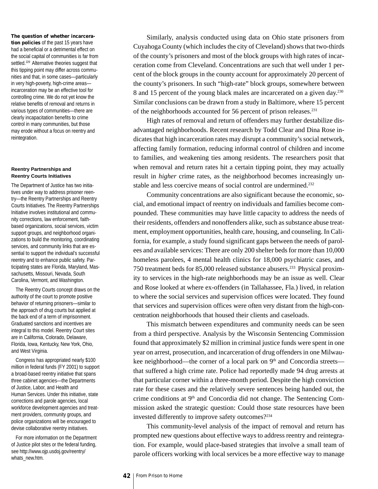**The question of whether incarceration policies** of the past 15 years have had a beneficial or a detrimental effect on the social capital of communities is far from settled.<sup>229</sup> Alternative theories suggest that this tipping point may differ across communities and that, in some cases—particularly in very high-poverty, high-crime areas incarceration may be an effective tool for controlling crime. We do not yet know the relative benefits of removal and returns in various types of communities—there are clearly incapacitation benefits to crime control in many communities, but those may erode without a focus on reentry and reintegration.

### **Reentry Partnerships and Reentry Courts Initiatives**

The Department of Justice has two initiatives under way to address prisoner reentry—the Reentry Partnerships and Reentry Courts Initiatives. The Reentry Partnerships Initiative involves institutional and community corrections, law enforcement, faithbased organizations, social services, victim support groups, and neighborhood organizations to build the monitoring, coordinating services, and community links that are essential to support the individual's successful reentry and to enhance public safety. Participating states are Florida, Maryland, Massachusetts, Missouri, Nevada, South Carolina, Vermont, and Washington.

The Reentry Courts concept draws on the authority of the court to promote positive behavior of returning prisoners—similar to the approach of drug courts but applied at the back end of a term of imprisonment. Graduated sanctions and incentives are integral to this model. Reentry Court sites are in California, Colorado, Delaware, Florida, Iowa, Kentucky, New York, Ohio, and West Virginia.

Congress has appropriated nearly \$100 million in federal funds (FY 2001) to support a broad-based reentry initiative that spans three cabinet agencies—the Departments of Justice, Labor, and Health and Human Services. Under this initiative, state corrections and parole agencies, local workforce development agencies and treatment providers, community groups, and police organizations will be encouraged to devise collaborative reentry initiatives.

For more information on the Department of Justice pilot sites or the federal funding, see http://www.ojp.usdoj.gov/reentry/ whats\_new.htm.

Similarly, analysis conducted using data on Ohio state prisoners from Cuyahoga County (which includes the city of Cleveland) shows that two-thirds of the county's prisoners and most of the block groups with high rates of incarceration come from Cleveland. Concentrations are such that well under 1 percent of the block groups in the county account for approximately 20 percent of the county's prisoners. In such "high-rate" block groups, somewhere between 8 and 15 percent of the young black males are incarcerated on a given day.230 Similar conclusions can be drawn from a study in Baltimore, where 15 percent of the neighborhoods accounted for 56 percent of prison releases.231

High rates of removal and return of offenders may further destabilize disadvantaged neighborhoods. Recent research by Todd Clear and Dina Rose indicates that high incarceration rates may disrupt a community's social network, affecting family formation, reducing informal control of children and income to families, and weakening ties among residents. The researchers posit that when removal and return rates hit a certain tipping point, they may actually result in *higher* crime rates, as the neighborhood becomes increasingly unstable and less coercive means of social control are undermined.<sup>232</sup>

Community concentrations are also significant because the economic, social, and emotional impact of reentry on individuals and families become compounded. These communities may have little capacity to address the needs of their residents, offenders and nonoffenders alike, such as substance abuse treatment, employment opportunities, health care, housing, and counseling. In California, for example, a study found significant gaps between the needs of parolees and available services: There are only 200 shelter beds for more than 10,000 homeless parolees, 4 mental health clinics for 18,000 psychiatric cases, and 750 treatment beds for 85,000 released substance abusers.233 Physical proximity to services in the high-rate neighborhoods may be an issue as well. Clear and Rose looked at where ex-offenders (in Tallahassee, Fla.) lived, in relation to where the social services and supervision offices were located. They found that services and supervision offices were often very distant from the high-concentration neighborhoods that housed their clients and caseloads.

This mismatch between expenditures and community needs can be seen from a third perspective. Analysis by the Wisconsin Sentencing Commission found that approximately \$2 million in criminal justice funds were spent in one year on arrest, prosecution, and incarceration of drug offenders in one Milwaukee neighborhood—the corner of a local park on  $9<sup>th</sup>$  and Concordia streets that suffered a high crime rate. Police had reportedly made 94 drug arrests at that particular corner within a three-month period. Despite the high conviction rate for these cases and the relatively severe sentences being handed out, the crime conditions at  $9<sup>th</sup>$  and Concordia did not change. The Sentencing Commission asked the strategic question: Could those state resources have been invested differently to improve safety outcomes?234

This community-level analysis of the impact of removal and return has prompted new questions about effective ways to address reentry and reintegration. For example, would place-based strategies that involve a small team of parole officers working with local services be a more effective way to manage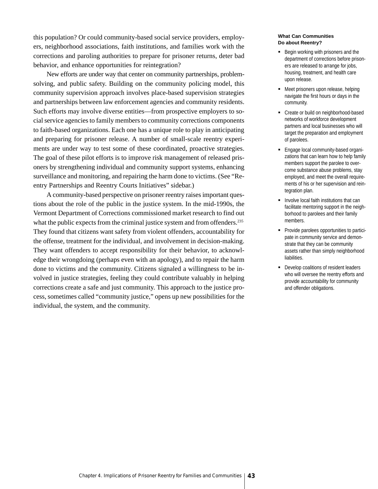this population? Or could community-based social service providers, employers, neighborhood associations, faith institutions, and families work with the corrections and paroling authorities to prepare for prisoner returns, deter bad behavior, and enhance opportunities for reintegration?

New efforts are under way that center on community partnerships, problemsolving, and public safety. Building on the community policing model, this community supervision approach involves place-based supervision strategies and partnerships between law enforcement agencies and community residents. Such efforts may involve diverse entities—from prospective employers to social service agencies to family members to community corrections components to faith-based organizations. Each one has a unique role to play in anticipating and preparing for prisoner release. A number of small-scale reentry experiments are under way to test some of these coordinated, proactive strategies. The goal of these pilot efforts is to improve risk management of released prisoners by strengthening individual and community support systems, enhancing surveillance and monitoring, and repairing the harm done to victims. (See "Reentry Partnerships and Reentry Courts Initiatives" sidebar.)

A community-based perspective on prisoner reentry raises important questions about the role of the public in the justice system. In the mid-1990s, the Vermont Department of Corrections commissioned market research to find out what the public expects from the criminal justice system and from offenders.<sup>235</sup> They found that citizens want safety from violent offenders, accountability for the offense, treatment for the individual, and involvement in decision-making. They want offenders to accept responsibility for their behavior, to acknowledge their wrongdoing (perhaps even with an apology), and to repair the harm done to victims and the community. Citizens signaled a willingness to be involved in justice strategies, feeling they could contribute valuably in helping corrections create a safe and just community. This approach to the justice process, sometimes called "community justice," opens up new possibilities for the individual, the system, and the community.

### **What Can Communities Do about Reentry?**

- Begin working with prisoners and the department of corrections before prisoners are released to arrange for jobs, housing, treatment, and health care upon release.
- Meet prisoners upon release, helping navigate the first hours or days in the community.
- ! Create or build on neighborhood-based networks of workforce development partners and local businesses who will target the preparation and employment of parolees.
- ! Engage local community-based organizations that can learn how to help family members support the parolee to overcome substance abuse problems, stay employed, and meet the overall requirements of his or her supervision and reintegration plan.
- ! Involve local faith institutions that can facilitate mentoring support in the neighborhood to parolees and their family members.
- ! Provide parolees opportunities to participate in community service and demonstrate that they can be community assets rather than simply neighborhood liabilities.
- **Develop coalitions of resident leaders** who will oversee the reentry efforts and provide accountability for community and offender obligations.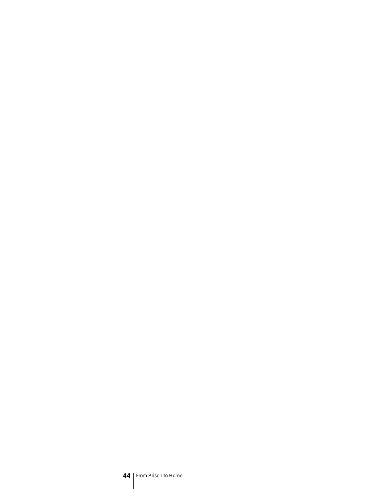### *From Prison to Home*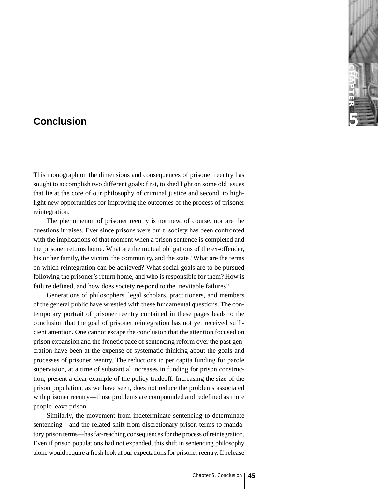

# **Conclusion**

This monograph on the dimensions and consequences of prisoner reentry has sought to accomplish two different goals: first, to shed light on some old issues that lie at the core of our philosophy of criminal justice and second, to highlight new opportunities for improving the outcomes of the process of prisoner reintegration.

The phenomenon of prisoner reentry is not new, of course, nor are the questions it raises. Ever since prisons were built, society has been confronted with the implications of that moment when a prison sentence is completed and the prisoner returns home. What are the mutual obligations of the ex-offender, his or her family, the victim, the community, and the state? What are the terms on which reintegration can be achieved? What social goals are to be pursued following the prisoner's return home, and who is responsible for them? How is failure defined, and how does society respond to the inevitable failures?

Generations of philosophers, legal scholars, practitioners, and members of the general public have wrestled with these fundamental questions. The contemporary portrait of prisoner reentry contained in these pages leads to the conclusion that the goal of prisoner reintegration has not yet received sufficient attention. One cannot escape the conclusion that the attention focused on prison expansion and the frenetic pace of sentencing reform over the past generation have been at the expense of systematic thinking about the goals and processes of prisoner reentry. The reductions in per capita funding for parole supervision, at a time of substantial increases in funding for prison construction, present a clear example of the policy tradeoff. Increasing the size of the prison population, as we have seen, does not reduce the problems associated with prisoner reentry—those problems are compounded and redefined as more people leave prison.

Similarly, the movement from indeterminate sentencing to determinate sentencing—and the related shift from discretionary prison terms to mandatory prison terms—has far-reaching consequences for the process of reintegration. Even if prison populations had not expanded, this shift in sentencing philosophy alone would require a fresh look at our expectations for prisoner reentry. If release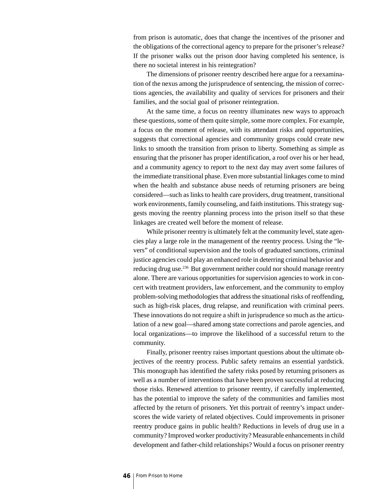from prison is automatic, does that change the incentives of the prisoner and the obligations of the correctional agency to prepare for the prisoner's release? If the prisoner walks out the prison door having completed his sentence, is there no societal interest in his reintegration?

The dimensions of prisoner reentry described here argue for a reexamination of the nexus among the jurisprudence of sentencing, the mission of corrections agencies, the availability and quality of services for prisoners and their families, and the social goal of prisoner reintegration.

At the same time, a focus on reentry illuminates new ways to approach these questions, some of them quite simple, some more complex. For example, a focus on the moment of release, with its attendant risks and opportunities, suggests that correctional agencies and community groups could create new links to smooth the transition from prison to liberty. Something as simple as ensuring that the prisoner has proper identification, a roof over his or her head, and a community agency to report to the next day may avert some failures of the immediate transitional phase. Even more substantial linkages come to mind when the health and substance abuse needs of returning prisoners are being considered—such as links to health care providers, drug treatment, transitional work environments, family counseling, and faith institutions. This strategy suggests moving the reentry planning process into the prison itself so that these linkages are created well before the moment of release.

While prisoner reentry is ultimately felt at the community level, state agencies play a large role in the management of the reentry process. Using the "levers" of conditional supervision and the tools of graduated sanctions, criminal justice agencies could play an enhanced role in deterring criminal behavior and reducing drug use.236 But government neither could nor should manage reentry alone. There are various opportunities for supervision agencies to work in concert with treatment providers, law enforcement, and the community to employ problem-solving methodologies that address the situational risks of reoffending, such as high-risk places, drug relapse, and reunification with criminal peers. These innovations do not require a shift in jurisprudence so much as the articulation of a new goal—shared among state corrections and parole agencies, and local organizations—to improve the likelihood of a successful return to the community.

Finally, prisoner reentry raises important questions about the ultimate objectives of the reentry process. Public safety remains an essential yardstick. This monograph has identified the safety risks posed by returning prisoners as well as a number of interventions that have been proven successful at reducing those risks. Renewed attention to prisoner reentry, if carefully implemented, has the potential to improve the safety of the communities and families most affected by the return of prisoners. Yet this portrait of reentry's impact underscores the wide variety of related objectives. Could improvements in prisoner reentry produce gains in public health? Reductions in levels of drug use in a community? Improved worker productivity? Measurable enhancements in child development and father-child relationships? Would a focus on prisoner reentry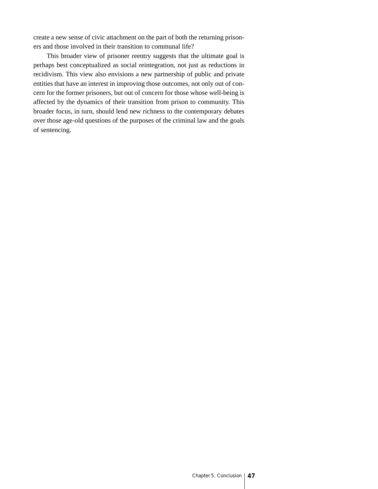create a new sense of civic attachment on the part of both the returning prisoners and those involved in their transition to communal life?

This broader view of prisoner reentry suggests that the ultimate goal is perhaps best conceptualized as social reintegration, not just as reductions in recidivism. This view also envisions a new partnership of public and private entities that have an interest in improving those outcomes, not only out of concern for the former prisoners, but out of concern for those whose well-being is affected by the dynamics of their transition from prison to community. This broader focus, in turn, should lend new richness to the contemporary debates over those age-old questions of the purposes of the criminal law and the goals of sentencing.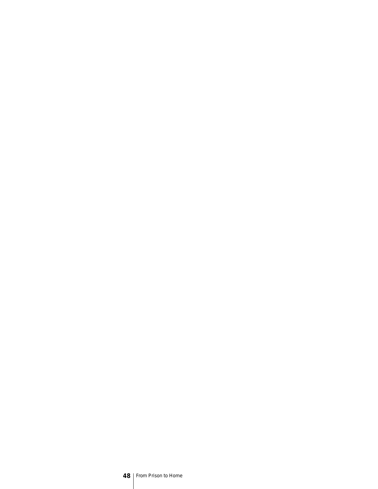### *From Prison to Home*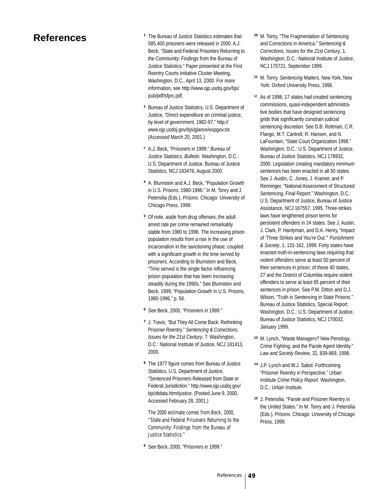# **References**

- **<sup>1</sup>** The Bureau of Justice Statistics estimates that 585,400 prisoners were released in 2000. A.J. Beck, "State and Federal Prisoners Returning to the Community: Findings from the Bureau of Justice Statistics." Paper presented at the First Reentry Courts Initiative Cluster Meeting, Washington, D.C., April 13, 2000. For more information, see http://www.ojp.usdoj.gov/bjs/ pub/pdf/sfprc.pdf.
- **<sup>2</sup>** Bureau of Justice Statistics, U.S. Department of Justice, "Direct expenditure on criminal justice, by level of government, 1982-97." http:// www.ojp.usdoj.gov/bjs/glance/expgov.txt. (Accessed March 20, 2001.)
- **<sup>3</sup>** A.J. Beck, "Prisoners in 1999." *Bureau of Justice Statistics, Bulletin.* Washington, D.C.: U.S. Department of Justice, Bureau of Justice Statistics, NCJ 183476, August 2000.
- **<sup>4</sup>** A. Blumstein and A.J. Beck, "Population Growth in U.S. Prisons, 1980-1996." In M. Tonry and J. Petersilia (Eds.), *Prisons*. Chicago: University of Chicago Press, 1999.
- **<sup>5</sup>** Of note, aside from drug offenses, the adult arrest rate per crime remained remarkably stable from 1980 to 1996. The increasing prison population results from a rise in the use of incarceration in the sanctioning phase, coupled with a significant growth in the time served by prisoners. According to Blumstein and Beck, "Time served is the single factor influencing prison population that has been increasing steadily during the 1990s." See Blumstein and Beck, 1999, "Population Growth in U.S. Prisons, 1980-1996," p. 56.
- **<sup>6</sup>** See Beck, 2000, "Prisoners in 1999."
- **<sup>7</sup>** J. Travis, "But They All Come Back: Rethinking Prisoner Reentry." *Sentencing & Corrections, Issues for the 21st Century*, 7: Washington, D.C.: National Institute of Justice, NCJ 181413, 2000.
- **<sup>8</sup>** The 1977 figure comes from Bureau of Justice Statistics, U.S. Department of Justice, "Sentenced Prisoners Released from State or Federal Jurisdiction." http://www.ojp.usdoj.gov/ bjs/dtdata.htm#justice. (Posted June 9, 2000. Accessed February 28, 2001.)

The 2000 estimate comes from Beck, 2000, "State and Federal Prisoners Returning to the Community: Findings from the Bureau of Justice Statistics."

**<sup>9</sup>** See Beck, 2000, "Prisoners in 1999."

- **<sup>10</sup>** M. Tonry, "The Fragmentation of Sentencing and Corrections in America." *Sentencing & Corrections, Issues for the 21st Century*, 1. Washington, D.C.: National Institute of Justice, NCJ 175721, September 1999.
- **<sup>11</sup>** M. Tonry, *Sentencing Matters*. New York, New York: Oxford University Press, 1996.
- **<sup>12</sup>** As of 1998, 17 states had created sentencing commissions, quasi-independent administrative bodies that have designed sentencing grids that significantly constrain judicial sentencing discretion. See D.B. Rottman, C.R. Flango, M.T. Cantrell, R. Hansen, and N. LaFountain, "State Court Organization 1998." Washington, D.C.: U.S. Department of Justice, Bureau of Justice Statistics, NCJ 178932, 2000. Legislation creating mandatory minimum sentences has been enacted in all 50 states. See J. Austin, C. Jones, J. Kramer, and P. Renninger, "National Assessment of Structured Sentencing, Final Report." Washington, D.C.: U.S. Department of Justice, Bureau of Justice Assistance, NCJ 167557, 1995. Three-strikes laws have lengthened prison terms for persistent offenders in 24 states. See J. Austin, J. Clark, P. Hardyman, and D.A. Henry, "Impact of 'Three Strikes and You're Out.'" *Punishment & Society*, 1, 131-162, 1999. Forty states have enacted truth-in-sentencing laws requiring that violent offenders serve at least 50 percent of their sentences in prison; of these 40 states, 27 and the District of Columbia require violent offenders to serve at least 85 percent of their sentences in prison. See P.M. Ditton and D.J. Wilson, "Truth in Sentencing in State Prisons." Bureau of Justice Statistics, Special Report. Washington, D.C.: U.S. Department of Justice, Bureau of Justice Statistics, NCJ 170032, January 1999.
- **<sup>13</sup>** M. Lynch, "Waste Managers? New Penology, Crime Fighting, and the Parole Agent Identity." *Law and Society Review*, 32, 839-869, 1998.
- **<sup>14</sup>** J.P. Lynch and W.J. Sabol. Forthcoming. "Prisoner Reentry in Perspective." Urban Institute *Crime Policy Report.* Washington, D.C.: Urban Institute.
- **<sup>15</sup>** J. Petersilia, "Parole and Prisoner Reentry in the United States." In M. Tonry and J. Petersilia (Eds.)*, Prisons*. Chicago: University of Chicago Press, 1999.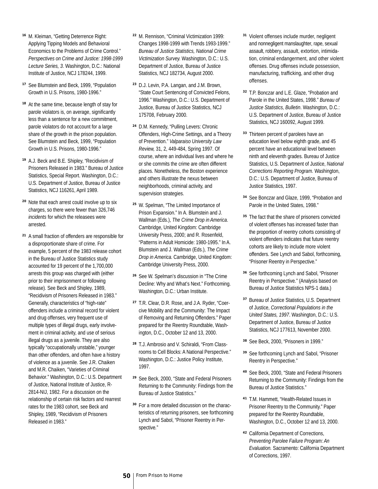- **<sup>16</sup>** M. Kleiman, "Getting Deterrence Right: Applying Tipping Models and Behavioral Economics to the Problems of Crime Control." *Perspectives on Crime and Justice: 1998-1999 Lecture Series, 3*. Washington, D.C.: National Institute of Justice, NCJ 178244, 1999.
- **<sup>17</sup>** See Blumstein and Beck, 1999, "Population Growth in U.S. Prisons, 1980-1996."
- **<sup>18</sup>** At the same time, because length of stay for parole violators is, on average, significantly less than a sentence for a new commitment, parole violators do not account for a large share of the growth in the prison population. See Blumstein and Beck, 1999, "Population Growth in U.S. Prisons, 1980-1996."
- **<sup>19</sup>** A.J. Beck and B.E. Shipley, "Recidivism of Prisoners Released in 1983." Bureau of Justice Statistics, Special Report. Washington, D.C.: U.S. Department of Justice, Bureau of Justice Statistics, NCJ 116261, April 1989.
- **<sup>20</sup>** Note that each arrest could involve up to six charges, so there were fewer than 326,746 *incidents* for which the releasees were arrested.
- **<sup>21</sup>** A small fraction of offenders are responsible for a disproportionate share of crime. For example, 5 percent of the 1983 release cohort in the Bureau of Justice Statistics study accounted for 19 percent of the 1,700,000 arrests this group was charged with (either prior to their imprisonment or following release). See Beck and Shipley, 1989, "Recidivism of Prisoners Released in 1983." Generally, characteristics of "high-rate" offenders include a criminal record for violent and drug offenses, very frequent use of multiple types of illegal drugs, early involvement in criminal activity, and use of serious illegal drugs as a juvenile. They are also typically "occupationally unstable," younger than other offenders, and often have a history of violence as a juvenile. See J.R. Chaiken and M.R. Chaiken, "Varieties of Criminal Behavior." Washington, D.C.: U.S. Department of Justice, National Institute of Justice, R-2814-NIJ, 1982. For a discussion on the relationship of certain risk factors and rearrest rates for the 1983 cohort, see Beck and Shipley, 1989, "Recidivism of Prisoners Released in 1983."
- **<sup>22</sup>** M. Rennison, "Criminal Victimization 1999: Changes 1998-1999 with Trends 1993-1999." *Bureau of Justice Statistics, National Crime Victimization Survey.* Washington, D.C.: U.S. Department of Justice, Bureau of Justice Statistics, NCJ 182734, August 2000.
- **<sup>23</sup>** D.J. Levin, P.A. Langan, and J.M. Brown, "State Court Sentencing of Convicted Felons, 1996." Washington, D.C.: U.S. Department of Justice, Bureau of Justice Statistics, NCJ 175708, February 2000.
- **<sup>24</sup>** D.M. Kennedy, "Pulling Levers: Chronic Offenders, High-Crime Settings, and a Theory of Prevention." *Valparaiso University Law Review,* 31, 2, 449-484, Spring 1997. Of course, where an individual lives and where he or she commits the crime are often different places. Nonetheless, the Boston experience and others illustrate the nexus between neighborhoods, criminal activity, and supervision strategies.
- **<sup>25</sup>** W. Spelman, "The Limited Importance of Prison Expansion." In A. Blumstein and J. Wallman (Eds.), *The Crime Drop in America*. Cambridge, United Kingdom: Cambridge University Press, 2000; and R. Rosenfeld, "Patterns in Adult Homicide: 1980-1995." In A. Blumstein and J. Wallman (Eds.), *The Crime Drop in America*. Cambridge, United Kingdom: Cambridge University Press, 2000.
- **<sup>26</sup>** See W. Spelman's discussion in "The Crime Decline: Why and What's Next." Forthcoming. Washington, D.C.: Urban Institute.
- **<sup>27</sup>** T.R. Clear, D.R. Rose, and J.A. Ryder, "Coercive Mobility and the Community: The Impact of Removing and Returning Offenders." Paper prepared for the Reentry Roundtable, Washington, D.C., October 12 and 13, 2000.
- **<sup>28</sup>** T.J. Ambrosio and V. Schiraldi, "From Classrooms to Cell Blocks: A National Perspective." Washington, D.C.: Justice Policy Institute, 1997.
- **<sup>29</sup>** See Beck, 2000, "State and Federal Prisoners Returning to the Community: Findings from the Bureau of Justice Statistics."
- **<sup>30</sup>** For a more detailed discussion on the characteristics of returning prisoners, see forthcoming Lynch and Sabol, "Prisoner Reentry in Perspective*.*"
- **<sup>31</sup>** Violent offenses include murder, negligent and nonnegligent manslaughter, rape, sexual assault, robbery, assault, extortion, intimidation, criminal endangerment, and other violent offenses. Drug offenses include possession, manufacturing, trafficking, and other drug offenses.
- **<sup>32</sup>** T.P. Bonczar and L.E. Glaze, "Probation and Parole in the United States, 1998." *Bureau of Justice Statistics, Bulletin*. Washington, D.C.: U.S. Department of Justice, Bureau of Justice Statistics, NCJ 160092, August 1999.
- **<sup>33</sup>** Thirteen percent of parolees have an education level below eighth grade, and 45 percent have an educational level between ninth and eleventh grades. Bureau of Justice Statistics, U.S. Department of Justice, *National Corrections Reporting Program.* Washington, D.C.: U.S. Department of Justice, Bureau of Justice Statistics, 1997.
- **<sup>34</sup>** See Bonczar and Glaze, 1999, "Probation and Parole in the United States, 1998."
- **<sup>35</sup>** The fact that the share of prisoners convicted of violent offenses has increased faster than the proportion of reentry cohorts consisting of violent offenders indicates that future reentry cohorts are likely to include more violent offenders. See Lynch and Sabol, forthcoming, "Prisoner Reentry in Perspective*.*"
- **<sup>36</sup>** See forthcoming Lynch and Sabol, "Prisoner Reentry in Perspective*.*" (Analysis based on Bureau of Justice Statistics NPS-1 data.)
- **<sup>37</sup>** Bureau of Justice Statistics, U.S. Department of Justice, *Correctional Populations in the United States, 1997*. Washington, D.C.: U.S. Department of Justice, Bureau of Justice Statistics, NCJ 177613, November 2000.
- **<sup>38</sup>** See Beck, 2000, "Prisoners in 1999."
- **<sup>39</sup>** See forthcoming Lynch and Sabol, "Prisoner Reentry in Perspective*.*"
- **<sup>40</sup>** See Beck, 2000, "State and Federal Prisoners Returning to the Community: Findings from the Bureau of Justice Statistics."
- **<sup>41</sup>** T.M. Hammett, "Health-Related Issues in Prisoner Reentry to the Community." Paper prepared for the Reentry Roundtable, Washington, D.C., October 12 and 13, 2000.
- **<sup>42</sup>** California Department of Corrections, *Preventing Parolee Failure Program: An Evaluation.* Sacramento: California Department of Corrections, 1997.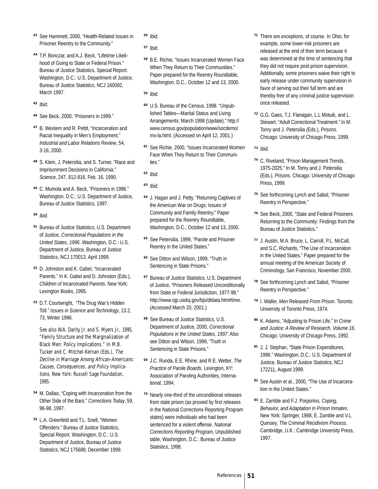- **<sup>43</sup>** See Hammett, 2000, "Health-Related Issues in Prisoner Reentry to the Community."
- **<sup>44</sup>** T.P. Bonczar, and A.J. Beck, "Lifetime Likelihood of Going to State or Federal Prison." Bureau of Justice Statistics, Special Report. Washington, D.C.: U.S. Department of Justice, Bureau of Justice Statistics, NCJ 160092, March 1997.
- **<sup>45</sup>** *Ibid.*
- **<sup>46</sup>** See Beck, 2000, "Prisoners in 1999."
- **<sup>47</sup>** B. Western and R. Pettit, "Incarceration and Racial Inequality in Men's Employment." *Industrial and Labor Relations Review*, 54, 3-16, 2000.
- **<sup>48</sup>** S. Klein, J. Petersilia, and S. Turner, "Race and Imprisonment Decisions in California." *Science*, 247, 812-816, Feb. 16, 1990.
- **<sup>49</sup>** C. Mumola and A. Beck, "Prisoners in 1996." Washington, D.C.: U.S. Department of Justice, Bureau of Justice Statistics, 1997.
- **<sup>50</sup>** *Ibid.*
- **<sup>51</sup>** Bureau of Justice Statistics, U.S. Department of Justice, *Correctional Populations in the United States, 1996*. Washington, D.C.: U.S. Department of Justice, Bureau of Justice Statistics, NCJ 170013, April 1999.
- **<sup>52</sup>** D. Johnston and K. Gabel, "Incarcerated Parents." In K. Gabel and D. Johnston (Eds.), *Children of Incarcerated Parents*. New York: Lexington Books, 1995.
- **<sup>53</sup>** D.T. Courtwright, "The Drug War's Hidden Toll*.*" *Issues in Science and Technology*, 13.2, 73, Winter 1996.

See also W.A. Darity Jr. and S. Myers Jr., 1995, "Family Structure and the Marginalization of Black Men: Policy Implications." In M.B. Tucker and C. Mitchel-Kernan (Eds.), The Decline in Marriage Among African-Americans: Causes, Consequences, and Policy Implications. New York: Russell Sage Foundation, 1995.

- **<sup>54</sup>** M. Dallao, "Coping with Incarceration from the Other Side of the Bars." *Corrections Today*, 59, 96-98, 1997.
- **<sup>55</sup>** L.A. Greenfeld and T.L. Snell, "Women Offenders." Bureau of Justice Statistics, Special Report. Washington, D.C.: U.S. Department of Justice, Bureau of Justice Statistics, NCJ 175688, December 1999.

**<sup>56</sup>** *Ibid.*

- **<sup>58</sup>** B.E. Richie, "Issues Incarcerated Women Face When They Return to Their Communities." Paper prepared for the Reentry Roundtable, Washington, D.C., October 12 and 13, 2000.
- **<sup>59</sup>** *Ibid.*
- **<sup>60</sup>** U.S. Bureau of the Census. 1998. "Unpublished Tables—Marital Status and Living Arrangements: March 1998 (Update)." http:// www.census.gov/population/www/socdemo/ ms-la.html. (Accessed on April 12, 2001.)
- **<sup>61</sup>** See Richie, 2000, "Issues Incarcerated Women Face When They Return to Their Communities."
- **<sup>62</sup>** *Ibid.*
- **<sup>63</sup>** *Ibid.*
- **<sup>64</sup>** J. Hagan and J. Petty, "Returning Captives of the American War on Drugs: Issues of Community and Family Reentry." Paper prepared for the Reentry Roundtable, Washington, D.C., October 12 and 13, 2000.
- **<sup>65</sup>** See Petersilia, 1999, "Parole and Prisoner Reentry in the United States."
- **<sup>66</sup>** See Ditton and Wilson, 1999, "Truth in Sentencing in State Prisons."
- **<sup>67</sup>** Bureau of Justice Statistics, U.S. Department of Justice, "Prisoners Released Unconditionally from State or Federal Jurisdiction, 1977-98." http://www.ojp.usdoj.gov/bjs/dtdata.htm#time. (Accessed March 20, 2001.)
- **<sup>68</sup>** See Bureau of Justice Statistics, U.S. Department of Justice, 2000, *Correctional Populations in the United States, 1997*. Also see Ditton and Wilson, 1999, "Truth in Sentencing in State Prisons."
- **<sup>69</sup>** J.C. Runda, E.E. Rhine, and R.E. Wetter, *The Practice of Parole Boards.* Lexington, KY: Association of Paroling Authorities, International, 1994.
- **<sup>70</sup>** Nearly one-third of the unconditional releases from state prison (as proxied by first releases in the National Corrections Reporting Program states) were individuals who had been sentenced for a violent offense. *National Corrections Reporting Program*, Unpublished table, Washington, D.C.: Bureau of Justice Statistics, 1998.
- **<sup>71</sup>** There are exceptions, of course. In Ohio, for example, some lower-risk prisoners are released at the end of their term because it was determined at the time of sentencing that they did not require post-prison supervision. Additionally, some prisoners waive their right to early release under community supervision in favor of serving out their full term and are thereby free of any criminal justice supervision once released.
- **<sup>72</sup>** G.G. Gaes, T.J. Flanagan, L.L Motuik, and L. Stewart, "Adult Correctional Treatment." In M. Tonry and J. Petersilia (Eds.), *Prisons*. Chicago: University of Chicago Press, 1999.

### **<sup>73</sup>** *Ibid.*

- **<sup>74</sup>** C. Riveland, "Prison Management Trends, 1975-2025." In M. Tonry and J. Petersilia (Eds.), *Prisons*. Chicago: University of Chicago Press, 1999.
- **<sup>75</sup>** See forthcoming Lynch and Sabol, "Prisoner Reentry in Perspective."
- **<sup>76</sup>** See Beck, 2000, "State and Federal Prisoners Returning to the Community: Findings from the Bureau of Justice Statistics."
- **<sup>77</sup>** J. Austin, M.A. Bruce, L. Carroll, P.L. McCall, and S.C. Richards, "The Use of Incarceration in the United States." Paper prepared for the annual meeting of the American Society of Criminology, San Francisco, November 2000.
- **<sup>78</sup>** See forthcoming Lynch and Sabol, "Prisoner Reentry in Perspective."
- **<sup>79</sup>** I. Waller, *Men Released From Prison*. Toronto: University of Toronto Press, 1974.
- **<sup>80</sup>** K. Adams, "Adjusting to Prison Life." In *Crime and Justice: A Review of Research, Volume 16.* Chicago: University of Chicago Press, 1992.
- **<sup>81</sup>** J. J. Stephan, "State Prison Expenditures, 1996." Washington, D.C.: U.S. Department of Justice, Bureau of Justice Statistics, NCJ 172211, August 1999.
- **<sup>82</sup>** See Austin et al., 2000, "The Use of Incarceration in the United States."
- **<sup>83</sup>** E. Zamble and F.J. Porporino, *Coping, Behavior, and Adaptation in Prison Inmates.* New York: Springer, 1988; E. Zamble and V.L. Quinsey, *The Criminal Recidivism Process.* Cambridge, U.K.: Cambridge University Press, 1997.

**<sup>57</sup>** *Ibid.*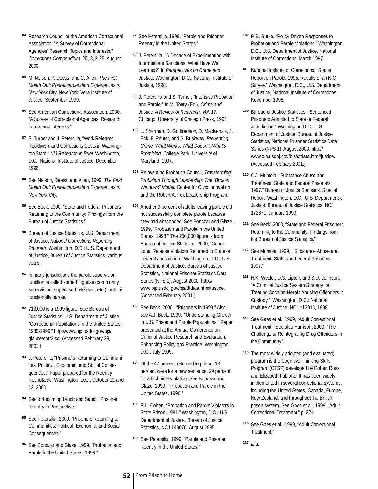- **<sup>84</sup>** Research Council of the American Correctional Association, "A Survey of Correctional Agencies' Research Topics and Interests." *Corrections Compendium,* 25, 8, 2-25, August 2000.
- **<sup>85</sup>** M. Nelson, P. Deess, and C. Allen, *The First Month Out: Post-Incarceration Experiences in New York City.* New York: Vera Institute of Justice, September 1999.
- **<sup>86</sup>** See American Correctional Association, 2000, "A Survey of Correctional Agencies' Research Topics and Interests."
- **<sup>87</sup>** S. Turner and J. Petersilia, "Work Release: Recidivism and Corrections Costs in Washington State." *NIJ Research In Brief.* Washington, D.C.: National Institute of Justice, December 1996.
- **<sup>88</sup>** See Nelson, Deess, and Allen, 1999, *The First Month Out: Post-Incarceration Experiences in New York City.*
- **<sup>89</sup>** See Beck, 2000, "State and Federal Prisoners Returning to the Community: Findings from the Bureau of Justice Statistics."
- **<sup>90</sup>** Bureau of Justice Statistics, U.S. Department of Justice, *National Corrections Reporting Program.* Washington, D.C.: U.S. Department of Justice, Bureau of Justice Statistics, various years.
- **<sup>91</sup>** In many jurisdictions the parole supervision function is called something else (community supervision, supervised released, etc.), but it is functionally parole.
- **<sup>92</sup>** 713,000 is a 1999 figure. See Bureau of Justice Statistics, U.S. Department of Justice, "Correctional Populations in the United States, 1980-1999." http://www.ojp.usdoj.gov/bjs/ glance/corr2.txt. (Accessed February 28, 2001.)
- **<sup>93</sup>** J. Petersilia, "Prisoners Returning to Communities: Political, Economic, and Social Consequences." Paper prepared for the Reentry Roundtable, Washington, D.C., October 12 and 13, 2000.
- **<sup>94</sup>** See forthcoming Lynch and Sabol, "Prisoner Reentry in Perspective*.*"
- **<sup>95</sup>** See Petersilia, 2000, "Prisoners Returning to Communities: Political, Economic, and Social Consequences."
- **<sup>96</sup>** See Bonczar and Glaze, 1999, "Probation and Parole in the United States, 1998."
- **<sup>97</sup>** See Petersilia, 1999, "Parole and Prisoner Reentry in the United States."
- **<sup>98</sup>** J. Petersilia, "A Decade of Experimenting with Intermediate Sanctions: What Have We Learned?" In *Perspectives on Crime and Justice*. Washington, D.C.: National Institute of Justice, 1998.
- **<sup>99</sup>** J. Petersilia and S. Turner, "Intensive Probation and Parole." In M. Tonry (Ed.), *Crime and Justice: A Review of Research, Vol. 17.* Chicago: University of Chicago Press, 1993.
- **<sup>100</sup>** L. Sherman, D. Gottfredson, D. MacKenzie, J. Eck, P. Reuter, and S. Bushway, *Preventing Crime: What Works, What Doesn't, What's Promising*. College Park: University of Maryland, 1997.
- **<sup>101</sup>** Reinventing Probation Council, *Transforming Probation Through Leadership: The "Broken Windows" Model.* Center for Civic Innovation and the Robert A. Fox Leadership Program.
- **<sup>102</sup>** Another 9 percent of adults leaving parole did not successfully complete parole because they had absconded. See Bonczar and Glaze, 1999, "Probation and Parole in the United States, 1998." The 206,000 figure is from Bureau of Justice Statistics, 2000, "Conditional Release Violators Returned to State or Federal Jurisdiction." Washington, D.C.: U.S. Department of Justice, Bureau of Justice Statistics, National Prisoner Statistics Data Series (NPS 1), August 2000. http:// www.ojp.usdoj.gov/bjs/dtdata.htm#justice. (Accessed February 2001.)
- **<sup>103</sup>** See Beck, 2000, "Prisoners in 1999." Also see A.J. Beck, 1999, "Understanding Growth in U.S. Prison and Parole Populations." Paper presented at the Annual Conference on Criminal Justice Research and Evaluation: Enhancing Policy and Practice, Washington, D.C., July 1999.
- **<sup>104</sup>** Of the 42 percent returned to prison, 13 percent were for a new sentence, 29 percent for a technical violation. See Bonczar and Glaze, 1999, "Probation and Parole in the United States, 1998."
- **<sup>105</sup>** R.L. Cohen, "Probation and Parole Violators in State Prison, 1991." Washington, D.C.: U.S. Department of Justice, Bureau of Justice Statistics, NCJ 149076, August 1995.
- **<sup>106</sup>** See Petersilia, 1999, "Parole and Prisoner Reentry in the United States."
- **<sup>107</sup>** P. B. Burke, "Policy-Driven Responses to Probation and Parole Violations." Washington, D.C., U.S. Department of Justice, National Institute of Corrections, March 1997.
- **<sup>108</sup>** National Institute of Corrections, "Status Report on Parole, 1995: Results of an NIC Survey." Washington, D.C., U.S. Department of Justice, National Institute of Corrections, November 1995.
- **<sup>109</sup>** Bureau of Justice Statistics, "Sentenced Prisoners Admitted to State or Federal Jurisdiction." Washington D.C.: U.S. Department of Justice, Bureau of Justice Statistics, National Prisoner Statistics Data Series (NPS 1), August 2000. http:// www.ojp.usdoj.gov/bjs/dtdata.htm#justice. (Accessed February 2001.)
- **<sup>110</sup>** C.J. Mumola, "Substance Abuse and Treatment, State and Federal Prisoners, 1997." Bureau of Justice Statistics, Special Report. Washington, D.C.: U.S. Department of Justice, Bureau of Justice Statistics, NCJ 172871, January 1999.
- **<sup>111</sup>** See Beck, 2000, "State and Federal Prisoners Returning to the Community: Findings from the Bureau of Justice Statistics."
- **<sup>112</sup>** See Mumola, 1999, "Substance Abuse and Treatment, State and Federal Prisoners, 1997."
- **<sup>113</sup>** H.K. Wexler, D.S. Lipton, and B.D. Johnson, "A Criminal Justice System Strategy for Treating Cocaine-Heroin Abusing Offenders in Custody." Washington, D.C.: National Institute of Justice, NCJ 113915, 1998.
- **<sup>114</sup>** See Gaes et al., 1999, "Adult Correctional Treatment." See also Harrison, 2000, "The Challenge of Reintegrating Drug Offenders in the Community."
- **<sup>115</sup>** The most widely adopted (and evaluated) program is the Cognitive Thinking Skills Program (CTSP) developed by Robert Ross and Elizabeth Fabiano. It has been widely implemented in several correctional systems, including the United States, Canada, Europe, New Zealand, and throughout the British prison system. See Gaes et al., 1999, "Adult Correctional Treatment," p. 374.
- **<sup>116</sup>** See Gaes et al., 1999, "Adult Correctional Treatment."
- **<sup>117</sup>** *Ibid.*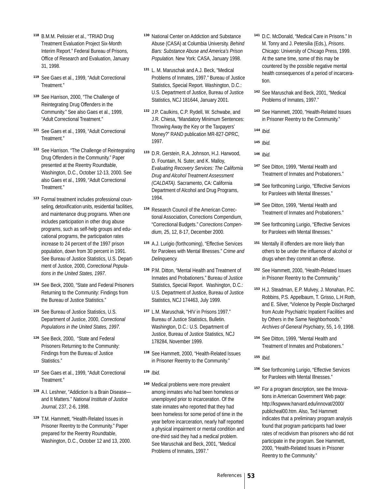- **<sup>118</sup>** B.M.M. Pelissier et al., "TRIAD Drug Treatment Evaluation Project Six-Month Interim Report." Federal Bureau of Prisons, Office of Research and Evaluation, January 31, 1998.
- **<sup>119</sup>** See Gaes et al., 1999, "Adult Correctional Treatment."
- **<sup>120</sup>** See Harrison, 2000, "The Challenge of Reintegrating Drug Offenders in the Community." See also Gaes et al., 1999, "Adult Correctional Treatment."
- **<sup>121</sup>** See Gaes et al., 1999, "Adult Correctional Treatment."
- **<sup>122</sup>** See Harrison. "The Challenge of Reintegrating Drug Offenders in the Community." Paper presented at the Reentry Roundtable, Washington, D.C., October 12-13, 2000. See also Gaes et al., 1999, "Adult Correctional Treatment."
- **<sup>123</sup>** Formal treatment includes professional counseling, detoxification units, residential facilities, and maintenance drug programs. When one includes participation in other drug abuse programs, such as self-help groups and educational programs, the participation rates increase to 24 percent of the 1997 prison population, down from 30 percent in 1991. See Bureau of Justice Statistics, U.S. Department of Justice, 2000, *Correctional Populations in the United States, 1997*.
- **<sup>124</sup>** See Beck, 2000, "State and Federal Prisoners Returning to the Community: Findings from the Bureau of Justice Statistics."
- **<sup>125</sup>** See Bureau of Justice Statistics, U.S. Department of Justice, 2000, *Correctional Populations in the United States, 1997*.
- **<sup>126</sup>** See Beck, 2000, "State and Federal Prisoners Returning to the Community: Findings from the Bureau of Justice Statistics."
- **<sup>127</sup>** See Gaes et al., 1999, "Adult Correctional Treatment."
- **<sup>128</sup>** A.I. Leshner, "Addiction Is a Brain Disease and It Matters." *National Institute of Justice Journal*, 237, 2-6, 1998.
- **<sup>129</sup>** T.M. Hammett, "Health-Related Issues in Prisoner Reentry to the Community." Paper prepared for the Reentry Roundtable, Washington, D.C., October 12 and 13, 2000.
- **<sup>130</sup>** National Center on Addiction and Substance Abuse (CASA) at Columbia University. *Behind Bars: Substance Abuse and America's Prison Population.* New York: CASA, January 1998.
- **<sup>131</sup>** L. M. Maruschak and A.J. Beck, "Medical Problems of Inmates, 1997." Bureau of Justice Statistics, Special Report. Washington, D.C.: U.S. Department of Justice, Bureau of Justice Statistics, NCJ 181644, January 2001.
- **<sup>132</sup>** J.P. Caulkins, C.P. Rydell, W. Schwabe, and J.R. Chiesa, "Mandatory Minimum Sentences: Throwing Away the Key or the Taxpayers' Money?" RAND publication MR-827-DPRC, 1997.
- **<sup>133</sup>** D.R. Gerstein, R.A. Johnson, H.J. Harwood, D. Fountain, N. Suter, and K. Malloy, *Evaluating Recovery Services: The California Drug and Alcohol Treatment Assessment (CALDATA).* Sacramento, CA: California Department of Alcohol and Drug Programs, 1994.
- **<sup>134</sup>** Research Council of the American Correctional Association, Corrections Compendium, "Correctional Budgets." *Corrections Compendium,* 25, 12, 8-17, December 2000.
- **<sup>135</sup>** A.J. Lurigio (forthcoming), "Effective Services for Parolees with Mental Illnesses." *Crime and Delinquency.*
- **<sup>136</sup>** P.M. Ditton, "Mental Health and Treatment of Inmates and Probationers." Bureau of Justice Statistics, Special Report. Washington, D.C.: U.S. Department of Justice, Bureau of Justice Statistics, NCJ 174463, July 1999.
- **<sup>137</sup>** L.M. Maruschak, "HIV in Prisons 1997." Bureau of Justice Statistics, Bulletin. Washington, D.C.: U.S. Department of Justice, Bureau of Justice Statistics, NCJ 178284, November 1999.
- **<sup>138</sup>** See Hammett, 2000, "Health-Related Issues in Prisoner Reentry to the Community."
- **<sup>139</sup>** *Ibid.*
- **<sup>140</sup>** Medical problems were more prevalent among inmates who had been homeless or unemployed prior to incarceration. Of the state inmates who reported that they had been homeless for some period of time in the year before incarceration, nearly half reported a physical impairment or mental condition and one-third said they had a medical problem. See Maruschak and Beck, 2001, "Medical Problems of Inmates, 1997."
- **<sup>141</sup>** D.C. McDonald, "Medical Care in Prisons." In M. Tonry and J. Petersilia (Eds.), *Prisons*. Chicago: University of Chicago Press, 1999. At the same time, some of this may be countered by the possible negative mental health consequences of a period of incarceration.
- **<sup>142</sup>** See Maruschak and Beck, 2001, "Medical Problems of Inmates, 1997."
- **<sup>143</sup>** See Hammett, 2000, "Health-Related Issues in Prisoner Reentry to the Community."
- **<sup>144</sup>** *Ibid.*

**<sup>145</sup>** *Ibid.*

- **<sup>146</sup>** *Ibid.*
- **<sup>147</sup>** See Ditton, 1999, "Mental Health and Treatment of Inmates and Probationers."
- **<sup>148</sup>** See forthcoming Lurigio, "Effective Services for Parolees with Mental Illnesses."
- **<sup>149</sup>** See Ditton, 1999, "Mental Health and Treatment of Inmates and Probationers."
- **<sup>150</sup>** See forthcoming Lurigio, "Effective Services for Parolees with Mental Illnesses."
- **<sup>151</sup>** Mentally ill offenders are more likely than others to be under the influence of alcohol or drugs when they commit an offense.
- **<sup>152</sup>** See Hammett, 2000, "Health-Related Issues in Prisoner Reentry to the Community."
- **<sup>153</sup>** H.J. Steadman, E.P. Mulvey, J. Monahan, P.C. Robbins, P.S. Appelbaum, T. Grisso, L.H Roth, and E. Silver, "Violence by People Discharged from Acute Psychiatric Inpatient Facilities and by Others in the Same Neighborhoods." *Archives of General Psychiatry*, 55, 1-9, 1998.
- **<sup>154</sup>** See Ditton, 1999, "Mental Health and Treatment of Inmates and Probationers."
- **<sup>155</sup>** *Ibid.*
- **<sup>156</sup>** See forthcoming Lurigio, "Effective Services for Parolees with Mental Illnesses."
- **<sup>157</sup>** For a program description, see the Innovations in American Government Web page: http://ksgwww.harvard.edu/innovat/2000/ publicheal00.htm. Also, Ted Hammett indicates that a preliminary program analysis found that program participants had lower rates of recidivism than prisoners who did not participate in the program. See Hammett, 2000, "Health-Related Issues in Prisoner Reentry to the Community."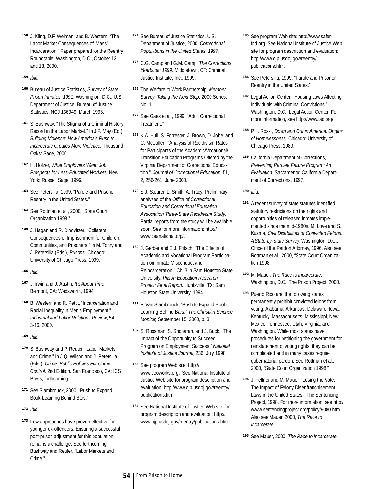- **<sup>158</sup>** J. Kling, D.F. Weiman, and B. Western, "The Labor Market Consequences of 'Mass' Incarceration." Paper prepared for the Reentry Roundtable, Washington, D.C., October 12 and 13, 2000.
- **<sup>159</sup>** *Ibid.*
- **<sup>160</sup>** Bureau of Justice Statistics, *Survey of State Prison Inmates, 1991*. Washington, D.C.: U.S. Department of Justice, Bureau of Justice Statistics, NCJ 136949, March 1993.
- **<sup>161</sup>** S. Bushway, "The Stigma of a Criminal History Record in the Labor Market." In J.P. May (Ed.), *Building Violence: How America's Rush to Incarcerate Creates More Violence.* Thousand Oaks: Sage, 2000.
- **<sup>162</sup>** H. Holzer, *What Employers Want: Job Prospects for Less-Educated Workers.* New York: Russell Sage, 1996.
- **<sup>163</sup>** See Petersilia, 1999, "Parole and Prisoner Reentry in the United States."
- **<sup>164</sup>** See Rottman et al., 2000, "State Court Organization 1998."
- **<sup>165</sup>** J. Hagan and R. Dinovitzer, "Collateral Consequences of Imprisonment for Children, Communities, and Prisoners." In M. Tonry and J. Petersilia (Eds.), *Prisons*. Chicago: University of Chicago Press, 1999.
- **<sup>166</sup>** *Ibid.*
- **<sup>167</sup>** J. Irwin and J. Austin, *It's About Time*. Belmont, CA: Wadsworth, 1994.
- **<sup>168</sup>** B. Western and R. Pettit, "Incarceration and Racial Inequality in Men's Employment." *Industrial and Labor Relations Review*, 54, 3-16, 2000.
- **<sup>169</sup>** *Ibid.*
- **<sup>170</sup>** S. Bushway and P. Reuter, "Labor Markets and Crime." In J.Q. Wilson and J. Petersilia (Eds.), *Crime: Public Policies For Crime Control,* 2nd Edition*.* San Francisco, CA: ICS Press, forthcoming.
- **<sup>171</sup>** See Slambrouck, 2000, "Push to Expand Book-Learning Behind Bars."

**<sup>172</sup>** *Ibid.*

**<sup>173</sup>** Few approaches have proven effective for younger ex-offenders. Ensuring a successful post-prison adjustment for this population remains a challenge. See forthcoming Bushway and Reuter, "Labor Markets and Crime."

- **<sup>174</sup>** See Bureau of Justice Statistics, U.S. Department of Justice, 2000, *Correctional Populations in the United States, 1997*.
- **<sup>175</sup>** C.G. Camp and G.M. Camp, *The Corrections Yearbook: 1999*. Middletown, CT: Criminal Justice Institute, Inc., 1999.
- **<sup>176</sup>** The Welfare to Work Partnership, *Member Survey: Taking the Next Step*. 2000 Series, No. 1.
- **<sup>177</sup>** See Gaes et al., 1999, "Adult Correctional Treatment."
- **<sup>178</sup>** K.A. Hull, S. Forrester, J. Brown, D. Jobe, and C. McCullen, "Analysis of Recidivism Rates for Participants of the Academic/Vocational/ Transition Education Programs Offered by the Virginia Department of Correctional Education." *Journal of Correctional Education*, 51, 2, 256-261, June 2000.
- **<sup>179</sup>** S.J. Steurer, L. Smith, A. Tracy. Preliminary analyses of the *Office of Correctional Education and Correctional Education Association Three-State Recidivism Study*. Partial reports from the study will be available soon. See for more information: http:// www.ceanational.org/.
- **<sup>180</sup>** J. Gerber and E.J. Fritsch, "The Effects of Academic and Vocational Program Participation on Inmate Misconduct and Reincarceration." Ch. 3 in Sam Houston State University, *Prison Education Research Project: Final Report*. Huntsville, TX: Sam Houston State University, 1994.
- **<sup>181</sup>** P. Van Slambrouck, "Push to Expand Book-Learning Behind Bars." *The Christian Science Monitor,* September 15, 2000, p. 3.
- **<sup>182</sup>** S. Rossman, S. Sridharan, and J. Buck, "The Impact of the Opportunity to Succeed Program on Employment Success." *National Institute of Justice Journal,* 236, July 1998.
- **<sup>183</sup>** See program Web site: http:// www.ceoworks.org. See National Institute of Justice Web site for program description and evaluation: http://www.ojp.usdoj.gov/reentry/ publications.htm.
- **<sup>184</sup>** See National Institute of Justice Web site for program description and evaluation: http:// www.ojp.usdoj.gov/reentry/publications.htm.
- **<sup>185</sup>** See program Web site: http://www.saferfnd.org. See National Institute of Justice Web site for program description and evaluation: http://www.ojp.usdoj.gov/reentry/ publications.htm.
- **<sup>186</sup>** See Petersilia, 1999, "Parole and Prisoner Reentry in the United States."
- **<sup>187</sup>** Legal Action Center, "Housing Laws Affecting Individuals with Criminal Convictions." Washington, D.C.: Legal Action Center. For more information, see http://www.lac.org/.
- **<sup>188</sup>** P.H. Rossi, *Down and Out in America: Origins of Homelessness.* Chicago: University of Chicago Press, 1989.
- **<sup>189</sup>** California Department of Corrections, *Preventing Parolee Failure Program: An Evaluation.* Sacramento: California Department of Corrections, 1997.
- **<sup>190</sup>** *Ibid.*
- **<sup>191</sup>** A recent survey of state statutes identified statutory restrictions on the rights and opportunities of released inmates implemented since the mid-1980s. M. Love and S. Kuzma, *Civil Disabilities of Convicted Felons: A State-by-State Survey.* Washington, D.C.: Office of the Pardon Attorney, 1996. Also see Rottman et al., 2000, "State Court Organization 1998."
- **<sup>192</sup>** M. Mauer, *The Race to Incarcerate.* Washington, D.C.: The Prison Project, 2000.
- **<sup>193</sup>** Puerto Rico and the following states permanently prohibit convicted felons from voting: Alabama, Arkansas, Delaware, Iowa, Kentucky, Massachusetts, Mississippi, New Mexico, Tennessee, Utah, Virginia, and Washington. While most states have procedures for petitioning the government for reinstatement of voting rights, they can be complicated and in many cases require gubernatorial pardon. See Rottman et al., 2000, "State Court Organization 1998."
- **<sup>194</sup>** J. Fellner and M. Mauer, "Losing the Vote: The Impact of Felony Disenfranchisement Laws in the United States." The Sentencing Project, 1998. For more information, see http:/ /www.sentencingproject.org/policy/9080.htm. Also see Mauer, 2000, *The Race to Incarcerate.*
- **<sup>195</sup>** See Mauer, 2000, *The Race to Incarcerate.*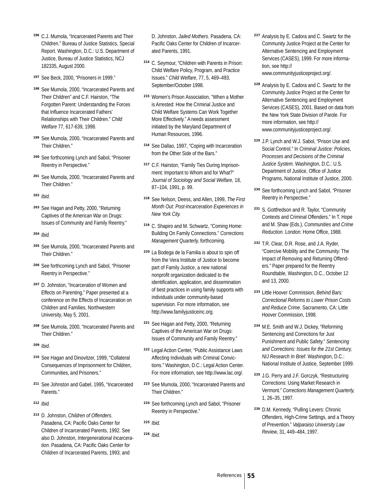- **<sup>196</sup>** C.J. Mumola, "Incarcerated Parents and Their Children." Bureau of Justice Statistics, Special Report. Washington, D.C.: U.S. Department of Justice, Bureau of Justice Statistics, NCJ 182335, August 2000.
- **<sup>197</sup>** See Beck, 2000, "Prisoners in 1999."
- **<sup>198</sup>** See Mumola, 2000, "Incarcerated Parents and Their Children" and C.F. Hairston, "The Forgotten Parent: Understanding the Forces that Influence Incarcerated Fathers' Relationships with Their Children." *Child Welfare* 77, 617-639, 1998.
- **<sup>199</sup>** See Mumola, 2000, "Incarcerated Parents and Their Children."
- **<sup>200</sup>** See forthcoming Lynch and Sabol, "Prisoner Reentry in Perspective*.*"
- **<sup>201</sup>** See Mumola, 2000, "Incarcerated Parents and Their Children."
- **<sup>202</sup>** *Ibid*.
- **<sup>203</sup>** See Hagan and Petty, 2000, "Returning Captives of the American War on Drugs: Issues of Community and Family Reentry."
- **<sup>204</sup>** *Ibid.*
- **<sup>205</sup>** See Mumola, 2000, "Incarcerated Parents and Their Children."
- **<sup>206</sup>** See forthcoming Lynch and Sabol, "Prisoner Reentry in Perspective."
- **<sup>207</sup>** D. Johnston, "Incarceration of Women and Effects on Parenting." Paper presented at a conference on the Effects of Incarceration on Children and Families, Northwestern University, May 5, 2001.
- **<sup>208</sup>** See Mumola, 2000, "Incarcerated Parents and Their Children."
- **<sup>209</sup>** *Ibid*.
- **<sup>210</sup>** See Hagan and Dinovitzer, 1999, "Collateral Consequences of Imprisonment for Children, Communities, and Prisoners."
- **<sup>211</sup>** See Johnston and Gabel, 1995, "Incarcerated Parents."
- **<sup>212</sup>** *Ibid.*
- **<sup>213</sup>** D. Johnston, *Children of Offenders*. Pasadena, CA: Pacific Oaks Center for Children of Incarcerated Parents, 1992. See also D. Johnston, *Intergenerational Incarceration*. Pasadena, CA: Pacific Oaks Center for Children of Incarcerated Parents, 1993; and

D. Johnston, *Jailed Mothers*. Pasadena, CA: Pacific Oaks Center for Children of Incarcerated Parents, 1991.

- **<sup>214</sup>** C. Seymour, "Children with Parents in Prison: Child Welfare Policy, Program, and Practice Issues." *Child Welfare*, 77, 5, 469–493, September/October 1998.
- **<sup>215</sup>** Women's Prison Association, "When a Mother is Arrested: How the Criminal Justice and Child Welfare Systems Can Work Together More Effectively." A needs assessment initiated by the Maryland Department of Human Resources, 1996.
- **<sup>216</sup>** See Dallao, 1997, "Coping with Incarceration from the Other Side of the Bars."
- **<sup>217</sup>** C.F. Hairston, "Family Ties During Imprisonment: Important to Whom and for What?" *Journal of Sociology and Social Welfare,* 18, 87–104, 1991, p. 99.
- **<sup>218</sup>** See Nelson, Deess, and Allen, 1999, *The First Month Out: Post-Incarceration Experiences in New York City.*
- **<sup>219</sup>** C. Shapiro and M. Schwartz, "Coming Home: Building On Family Connections." *Corrections Management Quarterly,* forthcoming.
- **<sup>220</sup>** La Bodega de la Familia is about to spin off from the Vera Institute of Justice to become part of Family Justice, a new national nonprofit organization dedicated to the identification, application, and dissemination of best practices in using family supports with individuals under community-based supervision. For more information, see http://www.familyjusticeinc.org.
- **<sup>221</sup>** See Hagan and Petty, 2000, "Returning Captives of the American War on Drugs: Issues of Community and Family Reentry."
- **<sup>222</sup>** Legal Action Center, "Public Assistance Laws Affecting Individuals with Criminal Convictions." Washington, D.C.: Legal Action Center. For more information, see http://www.lac.org/.
- **<sup>223</sup>** See Mumola, 2000, "Incarcerated Parents and Their Children."
- **<sup>224</sup>** See forthcoming Lynch and Sabol, "Prisoner Reentry in Perspective."
- **<sup>225</sup>** *Ibid.*
- **<sup>226</sup>** *Ibid.*
- **<sup>227</sup>** Analysis by E. Cadora and C. Swartz for the Community Justice Project at the Center for Alternative Sentencing and Employment Services (CASES), 1999. For more information, see http:// www.communityjusticeproject.org/.
- **<sup>228</sup>** Analysis by E. Cadora and C. Swartz for the Community Justice Project at the Center for Alternative Sentencing and Employment Services (CASES), 2001. Based on data from the New York State Division of Parole. For more information, see http:// www.communityjusticeproject.org/.
- **<sup>229</sup>** J.P. Lynch and W.J. Sabol, "Prison Use and Social Control." In *Criminal Justice: Policies, Processes and Decisions of the Criminal Justice System.* Washington, D.C.: U.S. Department of Justice, Office of Justice Programs, National Institute of Justice, 2000.
- **<sup>230</sup>** See forthcoming Lynch and Sabol, "Prisoner Reentry in Perspective."
- **<sup>231</sup>** S. Gottfredson and R. Taylor, "Community Contexts and Criminal Offenders." In T. Hope and M. Shaw (Eds.), *Communities and Crime Reduction.* London: Home Office, 1988.
- **<sup>232</sup>** T.R. Clear, D.R. Rose, and J.A. Ryder, "Coercive Mobility and the Community: The Impact of Removing and Returning Offenders." Paper prepared for the Reentry Roundtable, Washington, D.C., October 12 and 13, 2000.
- **<sup>233</sup>** Little Hoover Commission, *Behind Bars: Correctional Reforms to Lower Prison Costs and Reduce Crime*. Sacramento, CA: Little Hoover Commission, 1998.
- **<sup>234</sup>** M.E. Smith and W.J. Dickey, "Reforming Sentencing and Corrections for Just Punishment and Public Safety." *Sentencing and Corrections: Issues for the 21st Century, NIJ Research In Brief*. Washington, D.C.: National Institute of Justice, September 1999.
- **<sup>235</sup>** J.G. Perry and J.F. Gorczyk, "Restructuring Corrections: Using Market Research in Vermont." *Corrections Management Quarterly,* 1, 26–35, 1997.
- **<sup>236</sup>** D.M. Kennedy, "Pulling Levers: Chronic Offenders, High-Crime Settings, and a Theory of Prevention." *Valparaiso University Law Review*, 31, 449–484, 1997.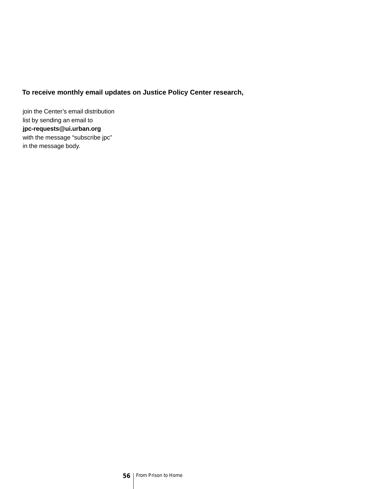## **To receive monthly email updates on Justice Policy Center research,**

join the Center's email distribution list by sending an email to **jpc-requests@ui.urban.org** with the message "subscribe jpc" in the message body.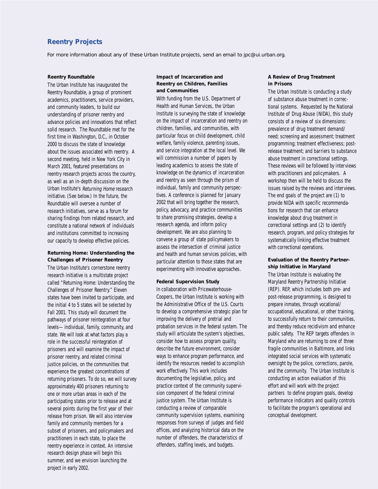### **Reentry Projects**

For more information about any of these Urban Institute projects, send an email to jpc@ui.urban.org.

#### **Reentry Roundtable**

The Urban Institute has inaugurated the Reentry Roundtable, a group of prominent academics, practitioners, service providers, and community leaders, to build our understanding of prisoner reentry and advance policies and innovations that reflect solid research. The Roundtable met for the first time in Washington, D.C., in October 2000 to discuss the state of knowledge about the issues associated with reentry. A second meeting, held in New York City in March 2001, featured presentations on reentry research projects across the country, as well as an in-depth discussion on the Urban Institute's Returning Home research initiative. (See below.) In the future, the Roundtable will oversee a number of research initiatives, serve as a forum for sharing findings from related research, and constitute a national network of individuals and institutions committed to increasing our capacity to develop effective policies.

### **Returning Home: Understanding the Challenges of Prisoner Reentry**

The Urban Institute's cornerstone reentry research initiative is a multistate project called "Returning Home: Understanding the Challenges of Prisoner Reentry." Eleven states have been invited to participate, and the initial 4 to 5 states will be selected by Fall 2001. This study will document the pathways of prisoner reintegration at four levels—individual, family, community, and state. We will look at what factors play a role in the successful reintegration of prisoners and will examine the impact of prisoner reentry, and related criminal justice policies, on the communities that experience the greatest concentrations of returning prisoners. To do so, we will survey approximately 400 prisoners returning to one or more urban areas in each of the participating states prior to release and at several points during the first year of their release from prison. We will also interview family and community members for a subset of prisoners, and policymakers and practitioners in each state, to place the reentry experience in context. An intensive research design phase will begin this summer, and we envision launching the project in early 2002.

### **Impact of Incarceration and Reentry on Children, Families and Communities**

With funding from the U.S. Department of Health and Human Services, the Urban Institute is surveying the state of knowledge on the impact of incarceration and reentry on children, families, and communities, with particular focus on child development, child welfare, family violence, parenting issues, and service integration at the local level. We will commission a number of papers by leading academics to assess the state of knowledge on the dynamics of incarceration and reentry as seen through the prism of individual, family and community perspectives. A conference is planned for January 2002 that will bring together the research, policy, advocacy, and practice communities to share promising strategies, develop a research agenda, and inform policy development. We are also planning to convene a group of state policymakers to assess the intersection of criminal justice and health and human services policies, with particular attention to those states that are experimenting with innovative approaches.

#### **Federal Supervision Study**

In collaboration with Pricewaterhouse-Coopers, the Urban Institute is working with the Administrative Office of the U.S. Courts to develop a comprehensive strategic plan for improving the delivery of pretrial and probation services in the federal system. The study will articulate the system's objectives, consider how to assess program quality, describe the future environment, consider ways to enhance program performance, and identify the resources needed to accomplish work effectively. This work includes documenting the legislative, policy, and practice context of the community supervision component of the federal criminal justice system. The Urban Institute is conducting a review of comparable community supervision systems, examining responses from surveys of judges and field offices, and analyzing historical data on the number of offenders, the characteristics of offenders, staffing levels, and budgets.

### **A Review of Drug Treatment in Prisons**

The Urban Institute is conducting a study of substance abuse treatment in correctional systems. Requested by the National Institute of Drug Abuse (NIDA), this study consists of a review of six dimensions: prevalence of drug treatment demand/ need; screening and assessment; treatment programming; treatment effectiveness; postrelease treatment; and barriers to substance abuse treatment in correctional settings. These reviews will be followed by interviews with practitioners and policymakers. A workshop then will be held to discuss the issues raised by the reviews and interviews. The end goals of the project are (1) to provide NIDA with specific recommendations for research that can enhance knowledge about drug treatment in correctional settings and (2) to identify research, program, and policy strategies for systematically linking effective treatment with correctional operations.

### **Evaluation of the Reentry Partnership Initiative in Maryland**

The Urban Institute is evaluating the Maryland Reentry Partnership Initiative (REP). REP, which includes both pre- and post-release programming, is designed to prepare inmates, through vocational/ occupational, educational, or other training, to successfully return to their communities, and thereby reduce recidivism and enhance public safety. The REP targets offenders in Maryland who are returning to one of three fragile communities in Baltimore, and links integrated social services with systematic oversight by the police, corrections, parole, and the community. The Urban Institute is conducting an action evaluation of this effort and will work with the project partners to define program goals, develop performance indicators and quality controls to facilitate the program's operational and conceptual development.